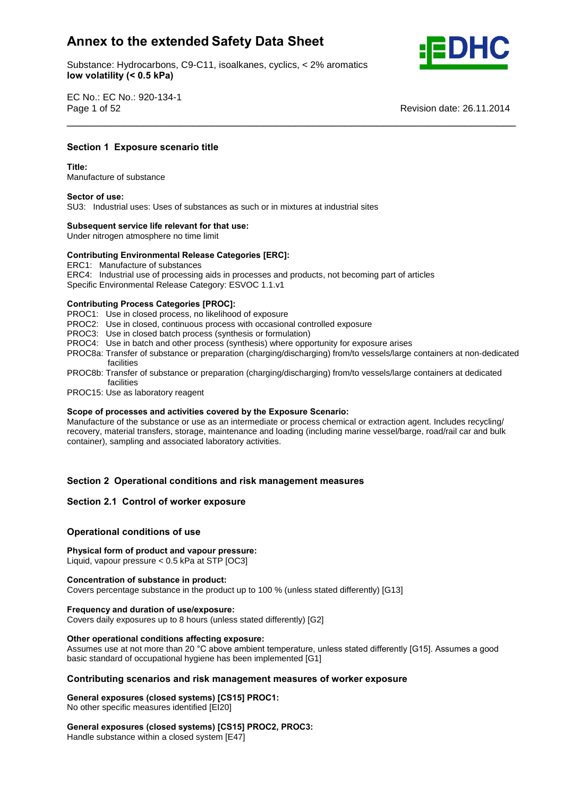Substance: Hydrocarbons, C9-C11, isoalkanes, cyclics, < 2% aromatics **volatility (< 0.5 kPa)**



EC No.: EC No.: 920-134-1 Page 1 of 52 Revision date: 26.11.2014

## **<sup>1</sup> Exposure scenario title Title:**

Title:

**Section**

Manufacture of substance **Sector of use:**

SU3: Industrial uses: Uses of substances as such or in mixtures at industrial sites **Subsequent service life relevant for that use:**

Under nitrogen atmosphere no time limit

# **Subsequent service life relevant for that use:**<br>
Under nitrogen atmosphere no time limit<br>
Contributing Environmental Release Categories [ERC]:

ERC1: Manufacture of substances

ERC4: Industrial use of processing aids in processes and products, not becoming part of articles

Specific Environmental Release Category: ESVOC 1.1.v1 **Contributing Process Categories [PROC]:**

PROC1: Use in closed process, no likelihood of exposure

- PROC2: Use in closed, continuous process with occasional controlled exposure
- PROC3: Use in closed batch process (synthesis or formulation)
- PROC4: Use in batch and other process (synthesis) where opportunity for exposure arises
- PROC8a: Transfer of substance or preparation (charging/discharging) from/to vessels/large containers at non-dedicated facilities

\_\_\_\_\_\_\_\_\_\_\_\_\_\_\_\_\_\_\_\_\_\_\_\_\_\_\_\_\_\_\_\_\_\_\_\_\_\_\_\_\_\_\_\_\_\_\_\_\_\_\_\_\_\_\_\_\_\_\_\_\_\_\_\_\_\_\_\_\_\_\_

- PROC8b: Transfer of substance or preparation (charging/discharging) from/to vessels/large containers at dedicated facilities
- PROC15: Use as laboratory reagent **Scope**

### **of processes and activities covered by the Exposure Scenario:**

Manufacture of the substance or use as an intermediate or process chemical or extraction agent. Includes recycling/ recovery, material transfers, storage, maintenance and loading (including marine vessel/barge, road/rail car and bulk container), sampling and associated laboratory activities.

# **<sup>2</sup> Operational conditions and risk management measures Section 2.1 Control of worker exposure**

### **Section 2.1 Control of worker exposure**

## **conditions** of worker exposured<br>Operational conditions of use

### **form of product and vapour pressure:**

Liquid, vapour pressure < 0.5 kPa at STP [OC3] **Concentration of substance in product:**

Covers percentage substance in the product up to 100 % (unless stated differently) [G13] **Frequency and duration of use/exposure:**

Covers daily exposures up to 8 hours (unless stated differently) [G2] **Other operational conditions affecting exposure:**

Other operational conditions affecting exposure:<br>Assumes use at not more than 20 °C above ambient temperature, unless stated differently [G15]. Assumes a good Assumes use at not more than 20 °C above ambient temperature, unles<br>basic standard of occupational hygiene has been implemented [G1] **scenarios and risk management measures of worker exposure General exposures (closed systems) [CS15] PROC1:**

No other specific measures identified [EI20] **General**

**exposures (closed systems) [CS15] PROC1:**<br>No other specific measures identified [EI20]<br>**General exposures (closed systems) <b>[CS15] PROC2, PROC3:** Handle substance within a closed system [E47]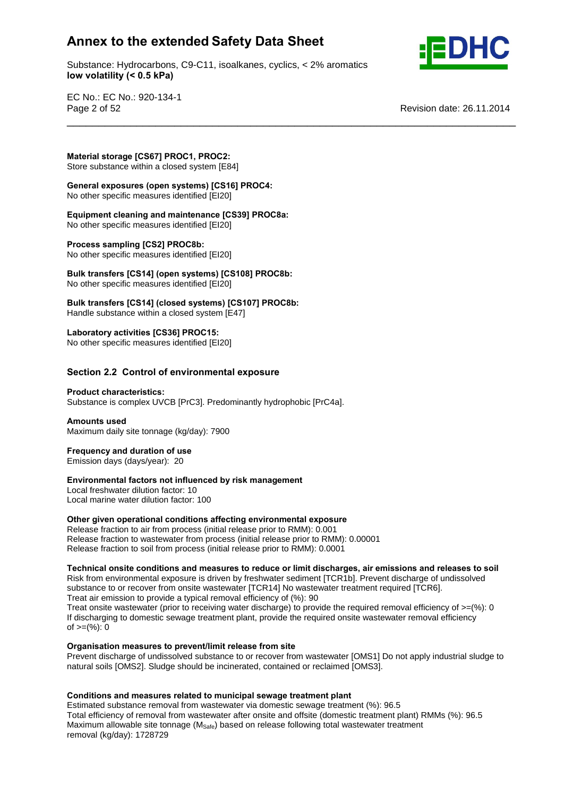Substance: Hydrocarbons, C9-C11, isoalkanes, cyclics, < 2% aromatics **volatility (< 0.5 kPa)**

\_\_\_\_\_\_\_\_\_\_\_\_\_\_\_\_\_\_\_\_\_\_\_\_\_\_\_\_\_\_\_\_\_\_\_\_\_\_\_\_\_\_\_\_\_\_\_\_\_\_\_\_\_\_\_\_\_\_\_\_\_\_\_\_\_\_\_\_\_\_\_



EC No.: EC No.: 920-134-1 Page 2 of 52 Revision date: 26.11.2014

**storage [CS67] PROC1, PROC2:**

**Store substance within a closed system [E84]** 

 **exposures (open systems) [CS16] PROC4: Experimental contract (open systems) Example** 

 **cleaning and maintenance [CS39] PROC8a:** No other specific measures identified [EI20] **Process sampling [CS2] PROC8b:**

No other specific measures identified [EI20]

**increases sampling [CS2] PROC8b:**<br>No other specific measures identified [EI20]<br>Bulk transfers [CS14] (open systems) [CS108] PROC8b: No other specific measures identified [EI20] **Bulk**

 **transfers [CS14] (closed systems) [CS107] PROC8b:** Handle substance within a closed system [E47] **Laboratory activities [CS36] PROC15:**

No other specific measures identified [EI20] **Section**

# **2.2 Control of environmental exposure Product characteristics:**

Substance is complex UVCB [PrC3]. Predominantly hydrophobic [PrC4a]. **Amounts used**

Maximum daily site tonnage (kg/day): 7900 **Frequency and duration of use**

**Emission days (days/year): 20** 

# Frequency and duration of use<br> **Emission days (days/year): 20<br>
<b>Environmental factors not influenced by risk management**

Local freshwater dilution factor: 10 Local marine water dilution factor: 100 **Other**

### **given operational conditions affecting environmental exposure**

Release fraction to air from process (initial release prior to RMM): 0.001 Release fraction to wastewater from process (initial release prior to RMM): 0.00001 Release fraction to soil from process (initial release prior to RMM): 0.0001

### **onsite conditions and measures to reduce or limit discharges, air emissions and releases to soil**

Risk from environmental exposure is driven by freshwater sediment [TCR1b]. Prevent discharge of undissolved substance to or recover from onsite wastewater [TCR14] No wastewater treatment required [TCR6]. Treat air emission to provide a typical removal efficiency of (%): 90 Treat onsite wastewater (prior to receiving water discharge) to provide the required removal efficiency of  $>=$ (%): 0 If discharging to domestic sewage treatment plant, provide the required onsite wastewater removal efficiency n albertal ging to dent<br>of >=(%): 0

### **measures to prevent/limit release from site**

Prevent discharge of undissolved substance to or recover from wastewater [OMS1] Do not apply industrial sludge to natural soils [OMS2]. Sludge should be incinerated, contained or reclaimed [OMS3].

### **and measures related to municipal sewage treatment plant**

Estimated substance removal from wastewater via domestic sewage treatment (%): 96.5 Total efficiency of removal from wastewater after onsite and offsite (domestic treatment plant) RMMs (%): 96.5 Maximum allowable site tonnage  $(M<sub>Safe</sub>)$  based on release following total wastewater treatment removal (kg/day): 1728729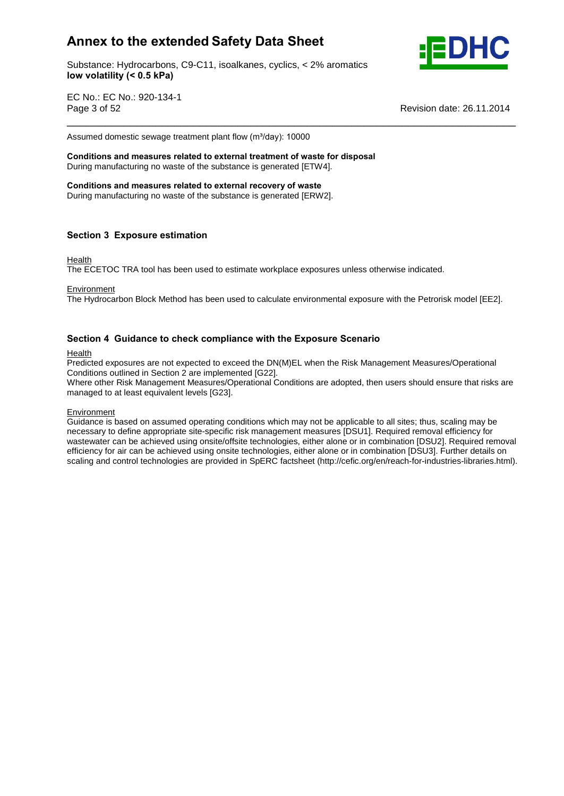Substance: Hydrocarbons, C9-C11, isoalkanes, cyclics, < 2% aromatics **volatility (< 0.5 kPa)**



EC No.: EC No.: 920-134-1 Page 3 of 52 Revision date: 26.11.2014

Assumed domestic sewage treatment plant flow (m³/day): <sup>10000</sup> **Conditions and measures related to external treatment of waste for disposal**

During manufacturing no waste of the substance is generated [ETW4]. **Conditions and measures related to external recovery of waste**

During manufacturing no waste of the substance is generated [ERW2].

### **<sup>3</sup> Exposure estimation**

### Health

The ECETOC TRA tool has been used to estimate workplace exposures unless otherwise indicated.

**Environment** 

The Hydrocarbon Block Method has been used to calculate environmental exposure with the Petrorisk model [EE2].

\_\_\_\_\_\_\_\_\_\_\_\_\_\_\_\_\_\_\_\_\_\_\_\_\_\_\_\_\_\_\_\_\_\_\_\_\_\_\_\_\_\_\_\_\_\_\_\_\_\_\_\_\_\_\_\_\_\_\_\_\_\_\_\_\_\_\_\_\_\_\_

### **<sup>4</sup> Guidance to check compliance with the Exposure Scenario**

### Health

Predicted exposures are not expected to exceed the DN(M)EL when the Risk Management Measures/Operational Conditions outlined in Section 2 are implemented [G22].

Where other Risk Management Measures/Operational Conditions are adopted, then users should ensure that risks are managed to at least equivalent levels [G23].

### **Environment**

Guidance is based on assumed operating conditions which may not be applicable to all sites; thus, scaling may be necessary to define appropriate site-specific risk management measures [DSU1]. Required removal efficiency for wastewater can be achieved using onsite/offsite technologies, either alone or in combination [DSU2]. Required removal efficiency for air can be achieved using onsite technologies, either alone or in combination [DSU3]. Further details on scaling and control technologies are provided in SpERC factsheet (http://cefic.org/en/reach-for-industries-libraries.html).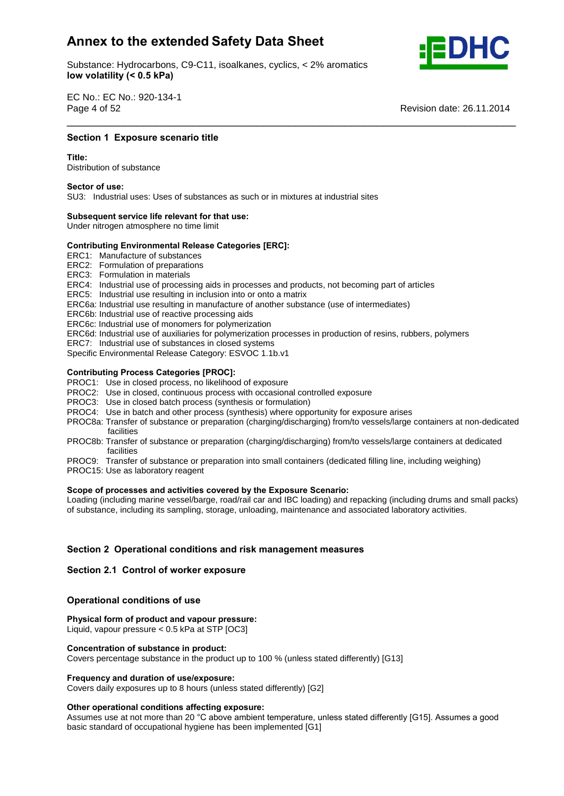Substance: Hydrocarbons, C9-C11, isoalkanes, cyclics, < 2% aromatics **volatility (< 0.5 kPa)**



EC No.: EC No.: 920-134-1 Page 4 of 52

**Revision date: 26.11.2014** 

## **1 Exposure scenario title**<br>————————————————————<br>Section 1 Exposure scenario title

Distribution of substance **Sector of use:**

SU3: Industrial uses: Uses of substances as such or in mixtures at industrial sites **Subsequent service life relevant for that use:**

Under nitrogen atmosphere no time limit

# **Subsequent service life relevant for that use:**<br>
Under nitrogen atmosphere no time limit<br>
Contributing Environmental Release Categories [ERC]:

ERC1: Manufacture of substances

ERC2: Formulation of preparations

ERC3: Formulation in materials

ERC4: Industrial use of processing aids in processes and products, not becoming part of articles

ERC5: Industrial use resulting in inclusion into or onto a matrix

ERC6a: Industrial use resulting in manufacture of another substance (use of intermediates)

ERC6b: Industrial use of reactive processing aids

ERC6c: Industrial use of monomers for polymerization

- ERC6d: Industrial use of auxiliaries for polymerization processes in production of resins, rubbers, polymers
- ERC7: Industrial use of substances in closed systems

Specific Environmental Release Category: ESVOC 1.1b.v1 **Contributing Process Categories [PROC]:**

- PROC1: Use in closed process, no likelihood of exposure
- PROC2: Use in closed, continuous process with occasional controlled exposure
- PROC3: Use in closed batch process (synthesis or formulation)
- PROC4: Use in batch and other process (synthesis) where opportunity for exposure arises
- PROC8a: Transfer of substance or preparation (charging/discharging) from/to vessels/large containers at non-dedicated facilities

\_\_\_\_\_\_\_\_\_\_\_\_\_\_\_\_\_\_\_\_\_\_\_\_\_\_\_\_\_\_\_\_\_\_\_\_\_\_\_\_\_\_\_\_\_\_\_\_\_\_\_\_\_\_\_\_\_\_\_\_\_\_\_\_\_\_\_\_\_\_\_

- PROC8b: Transfer of substance or preparation (charging/discharging) from/to vessels/large containers at dedicated facilities
- PROC9: Transfer of substance or preparation into small containers (dedicated filling line, including weighing)
- PROC15: Use as laboratory reagent **Scope**

### **of processes and activities covered by the Exposure Scenario:**

Loading (including marine vessel/barge, road/rail car and IBC loading) and repacking (including drums and small packs) of substance, including its sampling, storage, unloading, maintenance and associated laboratory activities.

# **<sup>2</sup> Operational conditions and risk management measures Section 2.1 Control of worker exposure**

### **Section 2.1 Control of worker exposure**

## **conditions** of worker exposured<br>Operational conditions of use

 **form of product and vapour pressure:** Liquid, vapour pressure < 0.5 kPa at STP [OC3] **Concentration of substance in product:**

Covers percentage substance in the product up to 100 % (unless stated differently) [G13] **Frequency and duration of use/exposure:**

Covers daily exposures up to 8 hours (unless stated differently) [G2] **Other operational conditions affecting exposure:**

Other operational conditions affecting exposure:<br>Assumes use at not more than 20 °C above ambient temperature, unless stated differently [G15]. Assumes a good basic standard of occupational hygiene has been implemented [G1]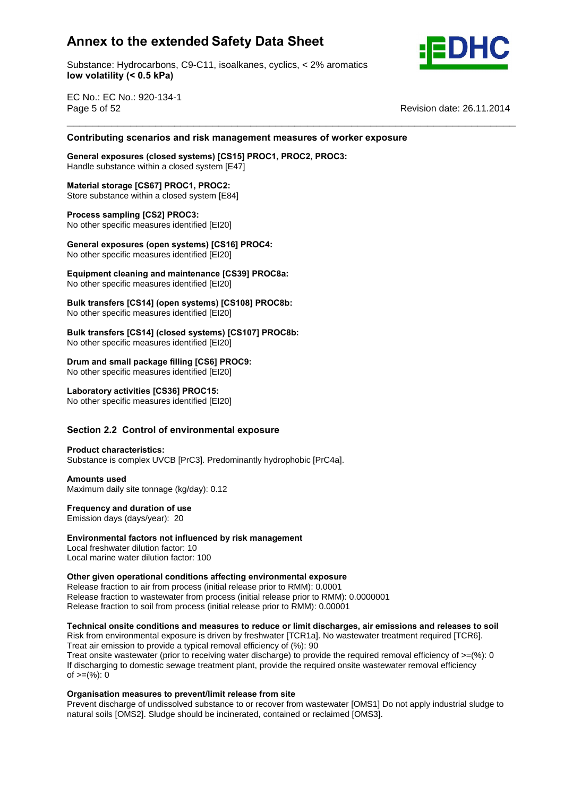Substance: Hydrocarbons, C9-C11, isoalkanes, cyclics, < 2% aromatics **volatility (< 0.5 kPa)**



EC No.: EC No.: 920-134-1 Page 5 of 52 Revision date: 26.11.2014 \_\_\_\_\_\_\_\_\_\_\_\_\_\_\_\_\_\_\_\_\_\_\_\_\_\_\_\_\_\_\_\_\_\_\_\_\_\_\_\_\_\_\_\_\_\_\_\_\_\_\_\_\_\_\_\_\_\_\_\_\_\_\_\_\_\_\_\_\_\_\_ **Contributing**

# **scenarios and risk management measures of worker exposure General exposures (closed systems) [CS15] PROC1, PROC2, PROC3:**

Handle substance within a closed system [E47] **Material storage [CS67] PROC1, PROC2:**

Store substance within a closed system [E84] **Process sampling [CS2] PROC3:**

No other specific measures identified [EI20] **Process sampling [CS2] PROC3:**<br>No other specific measures identified [EI20]<br>General exposures (open systems) [CS16] PROC4:

**Experimental contract (open systems) Example** 

 **cleaning and maintenance [CS39] PROC8a:** No other specific measures identified [EI20] **Bulk**

 **transfers [CS14] (open systems) [CS108] PROC8b:** No other specific measures identified [EI20] **Bulk**

**transfers [CS14] (closed systems) [CS107] PROC8b:**

No other specific measures identified [EI20] **Drum andsmall package filling [CS6] PROC9:**

No other specific measures identified [EI20] **Laboratory activities [CS36] PROC15:**

No other specific measures identified [EI20] **Section**

# **2.2 Control of environmental exposure Product characteristics:**

Substance is complex UVCB [PrC3]. Predominantly hydrophobic [PrC4a]. **Amounts used**

Maximum daily site tonnage (kg/day): 0.12 **Frequency and duration of use**

**Emission days (days/year): 20** 

# **factors factors** *f* **<b>influence** *influenced* **by risk management**<br> **influenced by risk management**

Local freshwater dilution factor: 10 Local marine water dilution factor: 100 **Other**

### **given operational conditions affecting environmental exposure**

Release fraction to air from process (initial release prior to RMM): 0.0001 Release fraction to wastewater from process (initial release prior to RMM): 0.0000001 Release fraction to soil from process (initial release prior to RMM): 0.00001

### **onsite conditions and measures to reduce or limit discharges, air emissions and releases to soil**

Risk from environmental exposure is driven by freshwater [TCR1a]. No wastewater treatment required [TCR6]. Treat air emission to provide a typical removal efficiency of (%): 90

Treat onsite wastewater (prior to receiving water discharge) to provide the required removal efficiency of  $>=$ (%): 0 If discharging to domestic sewage treatment plant, provide the required onsite wastewater removal efficiency n albertal ging to dent<br>of >=(%): 0

### **measures to prevent/limit release from site**

Prevent discharge of undissolved substance to or recover from wastewater [OMS1] Do not apply industrial sludge to natural soils [OMS2]. Sludge should be incinerated, contained or reclaimed [OMS3].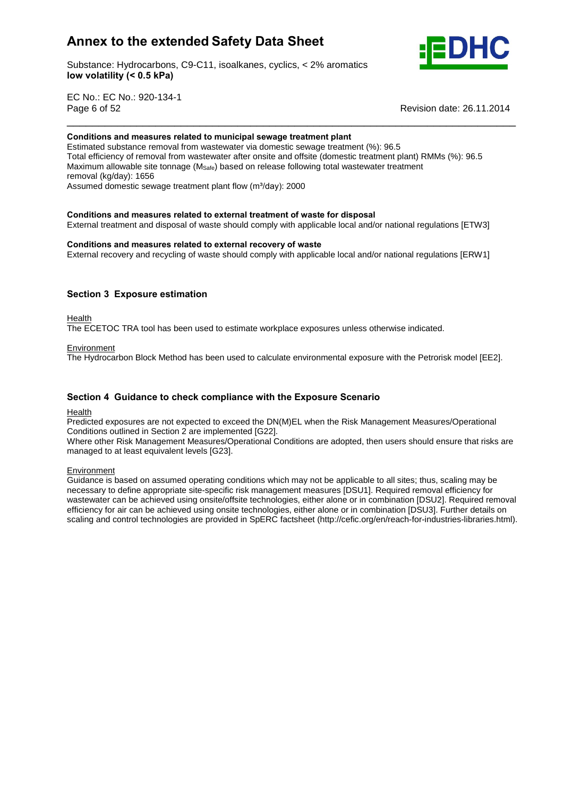

Substance: Hydrocarbons, C9-C11, isoalkanes, cyclics, < 2% aromatics **volatility (< 0.5 kPa)**

EC No.: EC No.: 920-134-1 Page 6 of 52

**Revision date: 26.11.2014** 

### **and measures related to municipal sewage treatment plant**

Estimated substance removal from wastewater via domestic sewage treatment (%): 96.5 Total efficiency of removal from wastewater after onsite and offsite (domestic treatment plant) RMMs (%): 96.5 Maximum allowable site tonnage ( $M_{\text{Safe}}$ ) based on release following total wastewater treatment<br>removal (kg/day): 1656<br>Assumed domestic sewage treatment plant flow (m<sup>3</sup>/day): 2000 removal (kg/day): 1656 Assumed domestic sewage treatment plant flow (m<sup>3</sup>/day): 2000

\_\_\_\_\_\_\_\_\_\_\_\_\_\_\_\_\_\_\_\_\_\_\_\_\_\_\_\_\_\_\_\_\_\_\_\_\_\_\_\_\_\_\_\_\_\_\_\_\_\_\_\_\_\_\_\_\_\_\_\_\_\_\_\_\_\_\_\_\_\_\_

### **and measures related to external treatment of waste for disposal**

External treatment and disposal of waste should comply with applicable local and/or national regulations [ETW3]<br>Conditions and measures related to external recovery of waste

External recovery and recycling of waste should comply with applicable local and/or national regulations [ERW1]

### **<sup>3</sup> Exposure estimation**

Health

The ECETOC TRA tool has been used to estimate workplace exposures unless otherwise indicated.

### **Environment**

The Hydrocarbon Block Method has been used to calculate environmental exposure with the Petrorisk model [EE2].

### **<sup>4</sup> Guidance to check compliance with the Exposure Scenario**

### Health

Predicted exposures are not expected to exceed the DN(M)EL when the Risk Management Measures/Operational Conditions outlined in Section 2 are implemented [G22].

Where other Risk Management Measures/Operational Conditions are adopted, then users should ensure that risks are managed to at least equivalent levels [G23].

### **Environment**

Guidance is based on assumed operating conditions which may not be applicable to all sites; thus, scaling may be necessary to define appropriate site-specific risk management measures [DSU1]. Required removal efficiency for wastewater can be achieved using onsite/offsite technologies, either alone or in combination [DSU2]. Required removal efficiency for air can be achieved using onsite technologies, either alone or in combination [DSU3]. Further details on scaling and control technologies are provided in SpERC factsheet (http://cefic.org/en/reach-for-industries-libraries.html).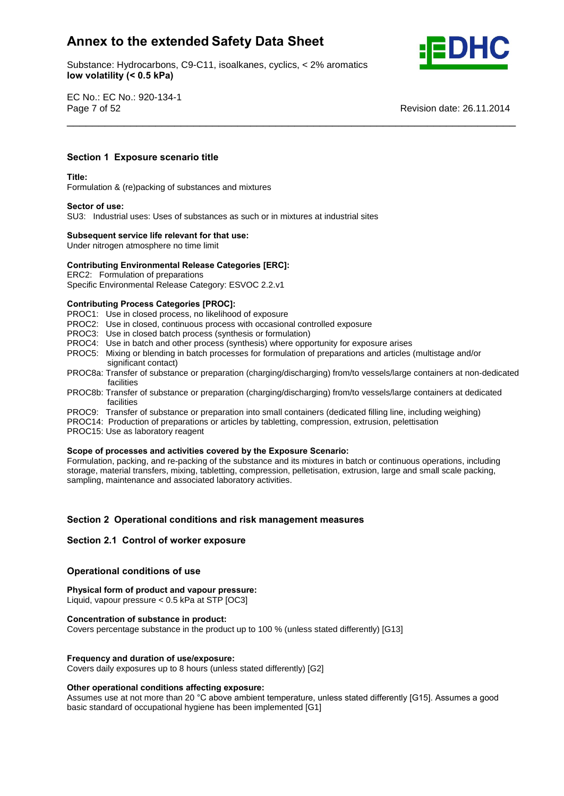Substance: Hydrocarbons, C9-C11, isoalkanes, cyclics, < 2% aromatics **volatility (< 0.5 kPa)**



EC No.: EC No.: 920-134-1 Page 7 of 52 Revision date: 26.11.2014

## **<sup>1</sup> Exposure scenario title Title:**

### Title:

Formulation & (re)packing of substances and mixtures **Sector of use:**

SU3: Industrial uses: Uses of substances as such or in mixtures at industrial sites **Subsequent service life relevant for that use:**

Under nitrogen atmosphere no time limit

# **Subsequent service life relevant for that use:**<br>Under nitrogen atmosphere no time limit<br>Contributing Environmental Release Categories [ERC]:

ERC2: Formulation of preparations

Specific Environmental Release Category: ESVOC 2.2.v1 **Contributing Process Categories [PROC]:**

PROC1: Use in closed process, no likelihood of exposure

- PROC2: Use in closed, continuous process with occasional controlled exposure
- PROC3: Use in closed batch process (synthesis or formulation)
- PROC4: Use in batch and other process (synthesis) where opportunity for exposure arises
- PROC5: Mixing or blending in batch processes for formulation of preparations and articles (multistage and/or significant contact)
- PROC8a: Transfer of substance or preparation (charging/discharging) from/to vessels/large containers at non-dedicated facilities

\_\_\_\_\_\_\_\_\_\_\_\_\_\_\_\_\_\_\_\_\_\_\_\_\_\_\_\_\_\_\_\_\_\_\_\_\_\_\_\_\_\_\_\_\_\_\_\_\_\_\_\_\_\_\_\_\_\_\_\_\_\_\_\_\_\_\_\_\_\_\_

- PROC8b: Transfer of substance or preparation (charging/discharging) from/to vessels/large containers at dedicated facilities
- PROC9: Transfer of substance or preparation into small containers (dedicated filling line, including weighing)
- PROC14: Production of preparations or articles by tabletting, compression, extrusion, pelettisation
- PROC15: Use as laboratory reagent

### **of processes and activities covered by the Exposure Scenario:**

Formulation, packing, and re-packing of the substance and its mixtures in batch or continuous operations, including storage, material transfers, mixing, tabletting, compression, pelletisation, extrusion, large and small scale packing, sampling, maintenance and associated laboratory activities.

# **<sup>2</sup> Operational conditions and risk management measures Section 2.1 Control of worker exposure**

### **Section 2.1 Control of worker exposure**

## **conditions** of worker exposured<br>Operational conditions of use

**form of product and vapour pressure:**

Liquid, vapour pressure < 0.5 kPa at STP [OC3] **Concentration of substance in product:**

Covers percentage substance in the product up to 100 % (unless stated differently) [G13]

### **and duration of use/exposure:**

Covers daily exposures up to 8 hours (unless stated differently) [G2] **Other operational conditions affecting exposure:**

Other operational conditions affecting exposure:<br>Assumes use at not more than 20 °C above ambient temperature, unless stated differently [G15]. Assumes a good basic standard of occupational hygiene has been implemented [G1]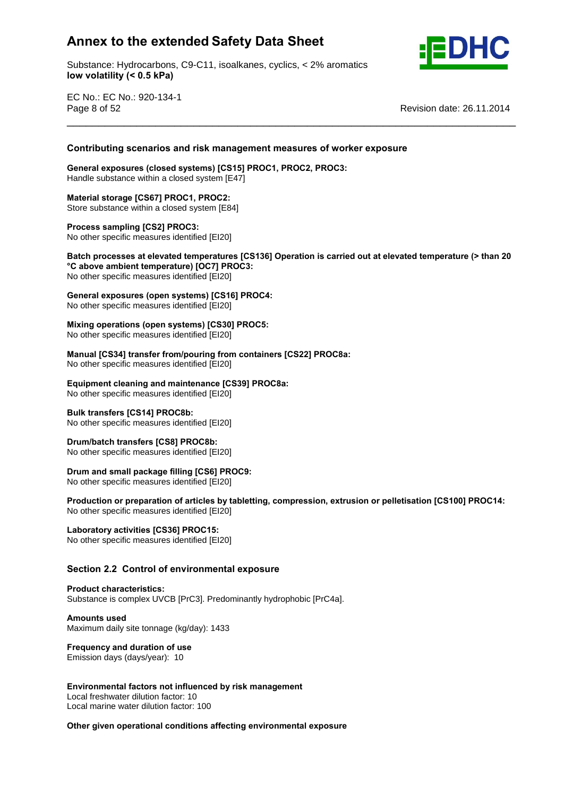Substance: Hydrocarbons, C9-C11, isoalkanes, cyclics, < 2% aromatics **volatility (< 0.5 kPa)**



EC No.: EC No.: 920-134-1 Page 8 of 52 Revision date: 26.11.2014

# **scenarios and risk management measures of worker exposure General exposures (closed systems) [CS15] PROC1, PROC2, PROC3:**

Handle substance within a closed system [E47] **Material storage [CS67] PROC1, PROC2:**

Store substance within a closed system [E84] **Process sampling [CS2] PROC3:**

No other specific measures identified [EI20]

 **processes at elevated temperatures [CS136] Operation is carried out at elevated temperature (> than <sup>20</sup> above ambient temperature) [OC7] PROC3: exposure ambient temperature) [OC7] PROC3:**<br>No other specific measures identified [El20]<br>General exposures (open systems) [CS16] PROC4:

\_\_\_\_\_\_\_\_\_\_\_\_\_\_\_\_\_\_\_\_\_\_\_\_\_\_\_\_\_\_\_\_\_\_\_\_\_\_\_\_\_\_\_\_\_\_\_\_\_\_\_\_\_\_\_\_\_\_\_\_\_\_\_\_\_\_\_\_\_\_\_ **Contributing**

No other specific measures identified [EI20]

No other specific measures identified [EI20] **Mixing**

 **operations (open systems) [CS30] PROC5:** mandal productive (specific systems) **Production** 

**[CS34] transfer from/pouring from containers [CS22] PROC8a:**

Mo other specific measures identified [EI20]

 **cleaning and maintenance [CS39] PROC8a:** No other specific measures identified [EI20] **Bulk transfers [CS14] PROC8b:**

No other specific measures identified [EI20] **Drum/batch transfers [CS8] PROC8b:**

No other specific measures identified [EI20] **Drum andsmall package filling [CS6] PROC9:**

**Production Production Production Production Production Production Production Production Production Production Production Production Production Production Production Production Production**

 **or preparation of articles by tabletting, compression, extrusion or pelletisation [CS100] PROC14:** No other specific measures identified [EI20] **Laboratory activities [CS36] PROC15:**

No other specific measures identified [EI20] **Section**

# **2.2 Control of environmental exposure Product characteristics:**

Substance is complex UVCB [PrC3]. Predominantly hydrophobic [PrC4a]. **Amounts used**

Maximum daily site tonnage (kg/day): 1433 **Frequency and duration of use**

Emission days (days/year): 10

### **factors not influenced by risk management**

Local freshwater dilution factor: 10 Local marine water dilution factor: 100

### **given operational conditions affecting environmental exposure**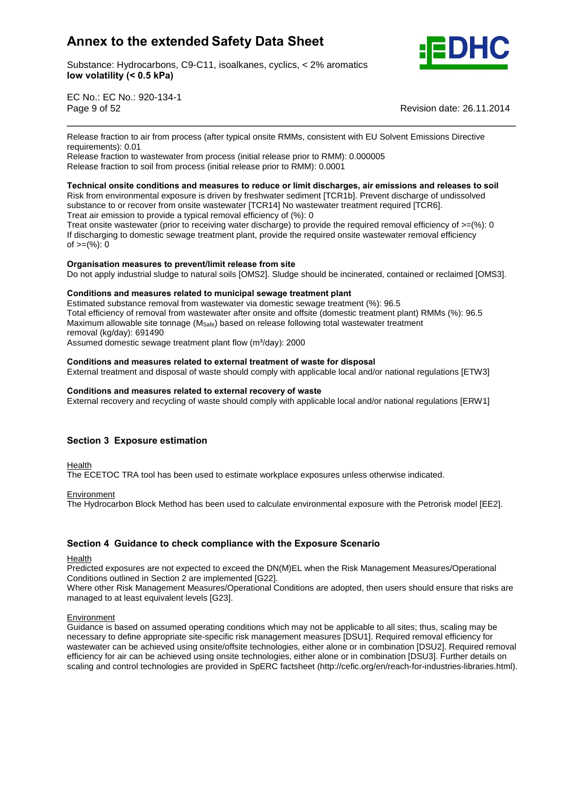Substance: Hydrocarbons, C9-C11, isoalkanes, cyclics, < 2% aromatics **volatility (< 0.5 kPa)**



EC No.: EC No.: 920-134-1 Page 9 of 52 Revision date: 26.11.2014

Release fraction to air from process (after typical onsite RMMs, consistent with EU Solvent Emissions Directive requirements): 0.01

\_\_\_\_\_\_\_\_\_\_\_\_\_\_\_\_\_\_\_\_\_\_\_\_\_\_\_\_\_\_\_\_\_\_\_\_\_\_\_\_\_\_\_\_\_\_\_\_\_\_\_\_\_\_\_\_\_\_\_\_\_\_\_\_\_\_\_\_\_\_\_

Release fraction to wastewater from process (initial release prior to RMM): 0.000005 Release fraction to soil from process (initial release prior to RMM): 0.0001

### **onsite conditions and measures to reduce or limit discharges, air emissions and releases to soil**

Risk from environmental exposure is driven by freshwater sediment [TCR1b]. Prevent discharge of undissolved substance to or recover from onsite wastewater [TCR14] No wastewater treatment required [TCR6]. Treat air emission to provide a typical removal efficiency of (%): 0

Treat onsite wastewater (prior to receiving water discharge) to provide the required removal efficiency of  $>=$ (%): 0 If discharging to domestic sewage treatment plant, provide the required onsite wastewater removal efficiency  $\int_0^{\pi} e^{-x} \cos \theta \, dx$  of  $\theta = (%).$ 

### **measures to prevent/limit release from site**

Do not apply industrial sludge to natural soils [OMS2]. Sludge should be incinerated, contained or reclaimed [OMS3].<br>Conditions and measures related to municipal sewage treatment plant

Estimated substance removal from wastewater via domestic sewage treatment (%): 96.5 Total efficiency of removal from wastewater after onsite and offsite (domestic treatment plant) RMMs (%): 96.5 Maximum allowable site tonnage ( $M_{\text{Safe}}$ ) based on release following total wastewater treatment<br>removal (kg/day): 691490<br>Assumed domestic sewage treatment plant flow (m<sup>3</sup>/day): 2000 removal (kg/day): 691490

Assumed domestic sewage treatment plant flow (m<sup>3</sup>/day): 2000

### **and measures related to external treatment of waste for disposal**

External treatment and disposal of waste should comply with applicable local and/or national regulations [ETW3]<br>Conditions and measures related to external recovery of waste

External recovery and recycling of waste should comply with applicable local and/or national regulations [ERW1]

### **<sup>3</sup> Exposure estimation**

Health

The ECETOC TRA tool has been used to estimate workplace exposures unless otherwise indicated.

### **Environment**

The Hydrocarbon Block Method has been used to calculate environmental exposure with the Petrorisk model [EE2].

### **<sup>4</sup> Guidance to check compliance with the Exposure Scenario**

**Health** 

Predicted exposures are not expected to exceed the DN(M)EL when the Risk Management Measures/Operational Conditions outlined in Section 2 are implemented [G22].

Where other Risk Management Measures/Operational Conditions are adopted, then users should ensure that risks are managed to at least equivalent levels [G23].

### **Environment**

Guidance is based on assumed operating conditions which may not be applicable to all sites; thus, scaling may be necessary to define appropriate site-specific risk management measures [DSU1]. Required removal efficiency for wastewater can be achieved using onsite/offsite technologies, either alone or in combination [DSU2]. Required removal efficiency for air can be achieved using onsite technologies, either alone or in combination [DSU3]. Further details on scaling and control technologies are provided in SpERC factsheet (http://cefic.org/en/reach-for-industries-libraries.html).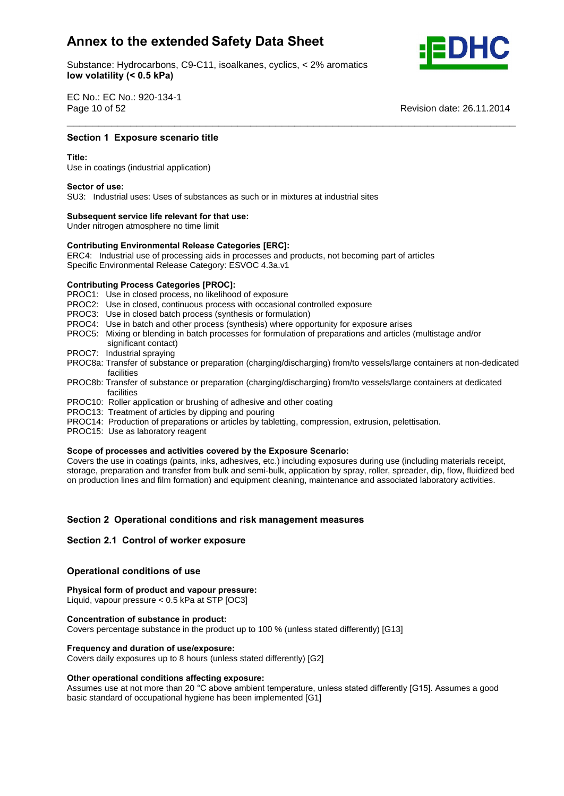Substance: Hydrocarbons, C9-C11, isoalkanes, cyclics, < 2% aromatics **volatility (< 0.5 kPa)**



EC No.: EC No.: 920-134-1 Page 10 of 52

Revision date: 26.11.2014

## **1 Exposure scenario title**<br>————————————————————<br>Section 1 Exposure scenario title

Use in coatings (industrial application) **Sector of use:**

SU3: Industrial uses: Uses of substances as such or in mixtures at industrial sites **Subsequent service life relevant for that use:**

Under nitrogen atmosphere no time limit

## **Subsequent service life relevant for that use:**<br>
Under nitrogen atmosphere no time limit<br>
Contributing Environmental Release Categories [ERC]:

ERC4: Industrial use of processing aids in processes and products, not becoming part of articles Specific Environmental Release Category: ESVOC 4.3a.v1 **Contributing Process Categories [PROC]:**

PROC1: Use in closed process, no likelihood of exposure

- PROC2: Use in closed, continuous process with occasional controlled exposure
- PROC3: Use in closed batch process (synthesis or formulation)
- PROC4: Use in batch and other process (synthesis) where opportunity for exposure arises
- PROC5: Mixing or blending in batch processes for formulation of preparations and articles (multistage and/or significant contact)
- PROC7: Industrial spraying
- PROC8a: Transfer of substance or preparation (charging/discharging) from/to vessels/large containers at non-dedicated facilities

\_\_\_\_\_\_\_\_\_\_\_\_\_\_\_\_\_\_\_\_\_\_\_\_\_\_\_\_\_\_\_\_\_\_\_\_\_\_\_\_\_\_\_\_\_\_\_\_\_\_\_\_\_\_\_\_\_\_\_\_\_\_\_\_\_\_\_\_\_\_\_

- PROC8b: Transfer of substance or preparation (charging/discharging) from/to vessels/large containers at dedicated facilities
- PROC10: Roller application or brushing of adhesive and other coating
- PROC13: Treatment of articles by dipping and pouring
- PROC14: Production of preparations or articles by tabletting, compression, extrusion, pelettisation.
- PROC15: Use as laboratory reagent

### **of processes and activities covered by the Exposure Scenario:**

Covers the use in coatings (paints, inks, adhesives, etc.) including exposures during use (including materials receipt, storage, preparation and transfer from bulk and semi-bulk, application by spray, roller, spreader, dip, flow, fluidized bed on production lines and film formation) and equipment cleaning, maintenance and associated laboratory activities.

# **<sup>2</sup> Operational conditions and risk management measures Section 2.1 Control of worker exposure**

### **Section 2.1 Control of worker exposure**

## **conditions** of worker exposured<br>Operational conditions of use

**form of product and vapour pressure:**

Liquid, vapour pressure < 0.5 kPa at STP [OC3] **Concentration of substance in product:**

Covers percentage substance in the product up to 100 % (unless stated differently) [G13] **Frequency and duration of use/exposure:**

Covers daily exposures up to 8 hours (unless stated differently) [G2] **Other operational conditions affecting exposure:**

Other operational conditions affecting exposure:<br>Assumes use at not more than 20 °C above ambient temperature, unless stated differently [G15]. Assumes a good basic standard of occupational hygiene has been implemented [G1]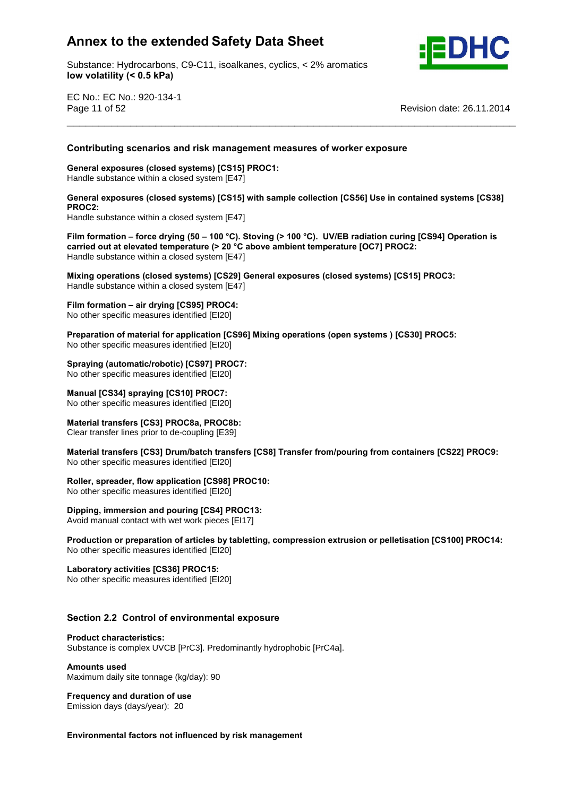

Substance: Hydrocarbons, C9-C11, isoalkanes, cyclics, < 2% aromatics **volatility (< 0.5 kPa)**

EC No.: EC No.: 920-134-1 Page 11 of 52 Revision date: 26.11.2014

# **scenarios and risk management measures of worker exposure General exposures (closed systems) [CS15] PROC1:**

Handle substance within a closed system [E47] **General exposures (closed systems) [CS15] with sample collection [CS56] Use in contained systems [CS38] PROC2:**

\_\_\_\_\_\_\_\_\_\_\_\_\_\_\_\_\_\_\_\_\_\_\_\_\_\_\_\_\_\_\_\_\_\_\_\_\_\_\_\_\_\_\_\_\_\_\_\_\_\_\_\_\_\_\_\_\_\_\_\_\_\_\_\_\_\_\_\_\_\_\_ **Contributing**

Handle substance within a closed system [E47] **Filmcarried**

 **formation <sup>ñ</sup> force drying (50 <sup>ñ</sup> <sup>100</sup> °C). Stoving (> <sup>100</sup> °C).UV/EB radiation curing [CS94] Operation is out at elevated temperature (> <sup>20</sup> °C above ambient temperature [OC7] PROC2:** Handle substance within a closed system [E47] **Mixingcarried out at elevated temperature (> 20 °C above ambient temperature [OC7] PROC2:<br>
Handle substance within a closed system [E47]<br>
Mixing operations (closed systems) [CS29] General exposures (closed systems) [CS15] PROC3** 

Handle substance within a closed system [E47] **Film formation <sup>ñ</sup> air drying [CS95] PROC4:**

No other specific measures identified [EI20] **Preparation**

Film formation – air drying [CS95] PROC4:<br>No other specific measures identified [EI20]<br>Preparation of material for application [CS96] Mixing operations (open systems ) [CS30] PROC5: No other specific measures identified [EI20]

**(automatic/robotic) [CS97] PROC7:**

No other specific measures identified [EI20] **Manual [CS34] spraying [CS10] PROC7:**

No other specific measures identified [EI20] **Material transfers [CS3] PROC8a, PROC8b:**

**Clear transfer lines prior to de-coupling [E39]** 

 **transfers [CS3] Drum/batch transfers [CS8] Transfer from/pouring from containers [CS22] PROC9: No other specific measures identified [EI20]** 

**spreader, flow application [CS98] PROC10:**

No other specific measures identified [EI20] **Dipping,**

 **immersion and pouring [CS4] PROC13:** Avoid manual contact with wet work pieces [EI17] **Production**

 **or preparation of articles by tabletting, compression extrusion or pelletisation [CS100] PROC14:** No other specific measures identified [EI20] **Laboratory activities [CS36] PROC15:**

No other specific measures identified [EI20]

# **2.2 Control of environmental exposure Product characteristics:**

Substance is complex UVCB [PrC3]. Predominantly hydrophobic [PrC4a]. **Amounts used**

Maximum daily site tonnage (kg/day): 90 **Frequency and duration of use**

Emission days (days/year): 20

**factors not influenced by risk management**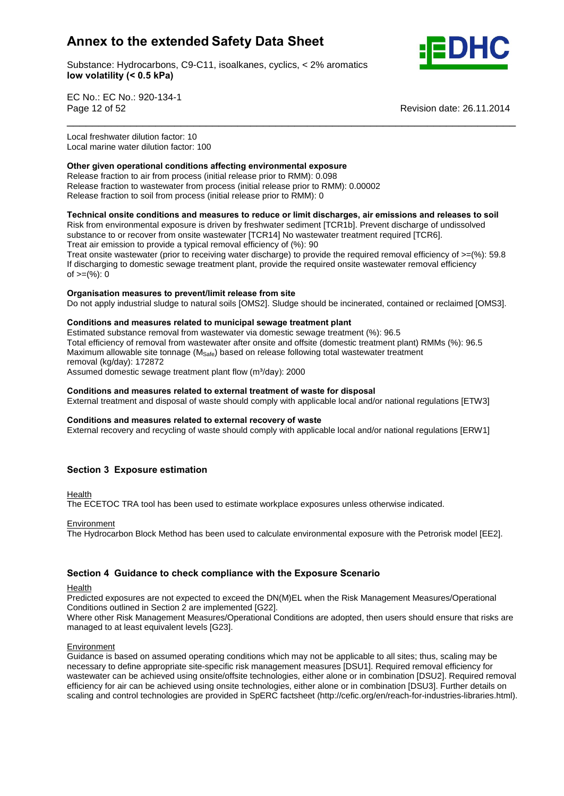Substance: Hydrocarbons, C9-C11, isoalkanes, cyclics, < 2% aromatics **volatility (< 0.5 kPa)**



EC No.: EC No.: 920-134-1 Page 12 of 52 Revision date: 26.11.2014

Local freshwater dilution factor: 10 Local marine water dilution factor: 100 **Other**

### **given operational conditions affecting environmental exposure** Release fraction to air from process (initial release prior to RMM): 0.098 Release fraction to wastewater from process (initial release prior to RMM): 0.00002 release fraction to soil from process (initial release prior to RMM): 0

### **onsite conditions and measures to reduce or limit discharges, air emissions and releases to soil**

\_\_\_\_\_\_\_\_\_\_\_\_\_\_\_\_\_\_\_\_\_\_\_\_\_\_\_\_\_\_\_\_\_\_\_\_\_\_\_\_\_\_\_\_\_\_\_\_\_\_\_\_\_\_\_\_\_\_\_\_\_\_\_\_\_\_\_\_\_\_\_

Risk from environmental exposure is driven by freshwater sediment [TCR1b]. Prevent discharge of undissolved substance to or recover from onsite wastewater [TCR14] No wastewater treatment required [TCR6]. Treat air emission to provide a typical removal efficiency of (%): 90

Treat onsite wastewater (prior to receiving water discharge) to provide the required removal efficiency of  $\geq=(\%):$  59.8 If discharging to domestic sewage treatment plant, provide the required onsite wastewater removal efficiency n albertal ging to dent<br>of >=(%): 0

### **measures to prevent/limit release from site**

Do not apply industrial sludge to natural soils [OMS2]. Sludge should be incinerated, contained or reclaimed [OMS3].<br>Conditions and measures related to municipal sewage treatment plant

Estimated substance removal from wastewater via domestic sewage treatment (%): 96.5 Total efficiency of removal from wastewater after onsite and offsite (domestic treatment plant) RMMs (%): 96.5 Maximum allowable site tonnage (M<sub>Safe</sub>) based on release following total wastewater treatment<br>
removal (kg/day): 172872<br>
Assumed domestic sewage treatment plant flow (m<sup>3</sup>/day): 2000 removal (kg/day): 172872

Assumed domestic sewage treatment plant flow (m<sup>3</sup>/day): 2000

### **and measures related to external treatment of waste for disposal**

External treatment and disposal of waste should comply with applicable local and/or national regulations [ETW3]<br>Conditions and measures related to external recovery of waste

External recovery and recycling of waste should comply with applicable local and/or national regulations [ERW1]

### **<sup>3</sup> Exposure estimation**

Health

The ECETOC TRA tool has been used to estimate workplace exposures unless otherwise indicated.

**Environment** 

The Hydrocarbon Block Method has been used to calculate environmental exposure with the Petrorisk model [EE2].

### **<sup>4</sup> Guidance to check compliance with the Exposure Scenario**

Health

Predicted exposures are not expected to exceed the DN(M)EL when the Risk Management Measures/Operational Conditions outlined in Section 2 are implemented [G22].

Where other Risk Management Measures/Operational Conditions are adopted, then users should ensure that risks are managed to at least equivalent levels [G23].

### Environment

Guidance is based on assumed operating conditions which may not be applicable to all sites; thus, scaling may be necessary to define appropriate site-specific risk management measures [DSU1]. Required removal efficiency for wastewater can be achieved using onsite/offsite technologies, either alone or in combination [DSU2]. Required removal efficiency for air can be achieved using onsite technologies, either alone or in combination [DSU3]. Further details on scaling and control technologies are provided in SpERC factsheet (http://cefic.org/en/reach-for-industries-libraries.html).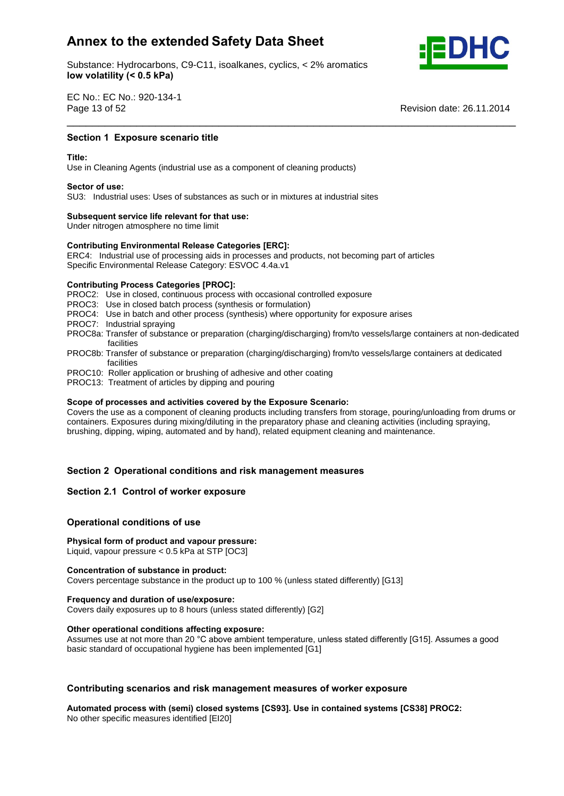Substance: Hydrocarbons, C9-C11, isoalkanes, cyclics, < 2% aromatics **volatility (< 0.5 kPa)**



EC No.: EC No.: 920-134-1 Page 13 of 52

**Revision date: 26.11.2014** 

## **1 Exposure scenario title**<br>————————————————————<br>Section 1 Exposure scenario title

Use in Cleaning Agents (industrial use as a component of cleaning products) **Sector of use:**

SU3: Industrial uses: Uses of substances as such or in mixtures at industrial sites **Subsequent service life relevant for that use:**

Under nitrogen atmosphere no time limit

## **Subsequent service life relevant for that use:**<br>
Under nitrogen atmosphere no time limit<br>
Contributing Environmental Release Categories [ERC]:

ERC4: Industrial use of processing aids in processes and products, not becoming part of articles Specific Environmental Release Category: ESVOC 4.4a.v1 **Contributing Process Categories [PROC]:**

PROC2: Use in closed, continuous process with occasional controlled exposure

PROC3: Use in closed batch process (synthesis or formulation)

- PROC4: Use in batch and other process (synthesis) where opportunity for exposure arises
- PROC7: Industrial spraying
- PROC8a: Transfer of substance or preparation (charging/discharging) from/to vessels/large containers at non-dedicated facilities

\_\_\_\_\_\_\_\_\_\_\_\_\_\_\_\_\_\_\_\_\_\_\_\_\_\_\_\_\_\_\_\_\_\_\_\_\_\_\_\_\_\_\_\_\_\_\_\_\_\_\_\_\_\_\_\_\_\_\_\_\_\_\_\_\_\_\_\_\_\_\_

- PROC8b: Transfer of substance or preparation (charging/discharging) from/to vessels/large containers at dedicated facilities
- PROC10: Roller application or brushing of adhesive and other coating
- PROC13: Treatment of articles by dipping and pouring **Scope**

### **of processes and activities covered by the Exposure Scenario:**

Covers the use as a component of cleaning products including transfers from storage, pouring/unloading from drums or containers. Exposures during mixing/diluting in the preparatory phase and cleaning activities (including spraying, brushing, dipping, wiping, automated and by hand), related equipment cleaning and maintenance.

# **<sup>2</sup> Operational conditions and risk management measures Section 2.1 Control of worker exposure**

### **Section 2.1 Control of worker exposure**

## **conditions** of worker exposured<br> **Physical**<br> **Physical**<br> **Physical**<br> **Physical**

### **form of product and vapour pressure:**

Liquid, vapour pressure < 0.5 kPa at STP [OC3] **Concentration of substance in product:**

Covers percentage substance in the product up to 100 % (unless stated differently) [G13] **Frequency and duration of use/exposure:**

Covers daily exposures up to 8 hours (unless stated differently) [G2] **Other operational conditions affecting exposure:**

Other operational conditions affecting exposure:<br>Assumes use at not more than 20 °C above ambient temperature, unless stated differently [G15]. Assumes a good basic standard of occupational hygiene has been implemented [G1]

# **Contributing scenarios and risk management measures of worker exposure<br>Automated process with (semi) closed systems [CS93]. Use in contained systems [CS38] PROC2:**

No other specific measures identified [EI20]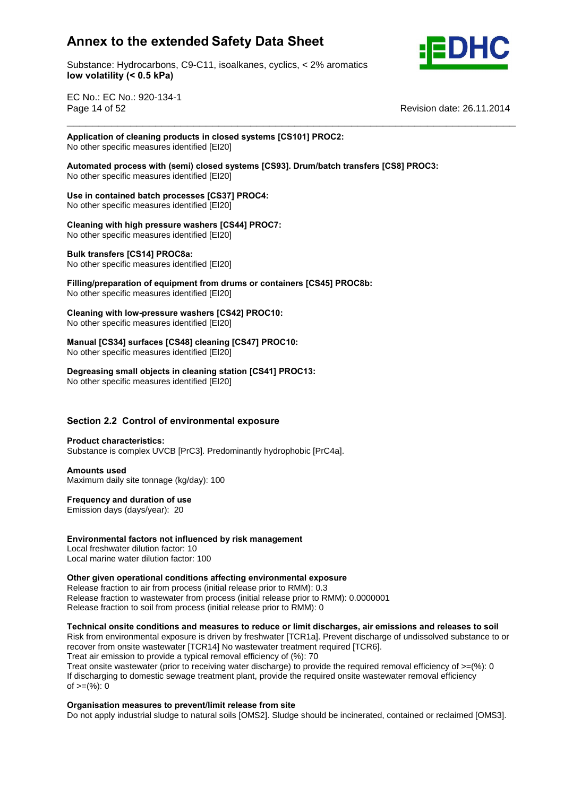

Substance: Hydrocarbons, C9-C11, isoalkanes, cyclics, < 2% aromatics **volatility (< 0.5 kPa)**

EC No.: EC No.: 920-134-1 Page 14 of 52

**Revision date: 26.11.2014** 

### **of cleaning products in closed systems [CS101] PROC2:** No other specific measures identified [EI20]

 **process with (semi) closed systems [CS93]. Drum/batch transfers [CS8] PROC3:** No other specific measures identified [EI20] **Use**

\_\_\_\_\_\_\_\_\_\_\_\_\_\_\_\_\_\_\_\_\_\_\_\_\_\_\_\_\_\_\_\_\_\_\_\_\_\_\_\_\_\_\_\_\_\_\_\_\_\_\_\_\_\_\_\_\_\_\_\_\_\_\_\_\_\_\_\_\_\_\_

 **in contained batch processes [CS37] PROC4:** No other specific measures identified [EI20] **Cleaning**

### **with high pressure washers [CS44] PROC7:**

No other specific measures identified [EI20] **Bulk transfers [CS14] PROC8a:**

**Figure 2.1 Figure 1.1 Figure 2.1 Figure 2.1 Figure 2.1 Figure 2.1 Figure 2.1 Figure 2.1 Figure 2.1 Figure 2.1 Figure 2.1 Figure 2.1 Figure 2.1 Figure 2.1 Figure 2.1 Figure 2.1 Figure 2.1**

**Bulk transfers [CS14] PROC8a:**<br>No other specific measures identified [EI20]<br>Filling/preparation of equipment from drums or containers [CS45] PROC8b: No other specific measures identified [EI20]

 **with low-pressure washers [CS42] PROC10: No other specific measures identified [EI20]** 

**[CS34] surfaces [CS48] cleaning [CS47] PROC10:**

No other specific measures identified [EI20] **Degreasing**

**small objects in cleaning station [CS41] PROC13:**

No other specific measures identified [EI20]

# **2.2 Control of environmental exposure Product characteristics:**

Substance is complex UVCB [PrC3]. Predominantly hydrophobic [PrC4a]. **Amounts used**

Maximum daily site tonnage (kg/day): 100 **Frequency and duration of use**

Emission days (days/year): 20

### **factors not influenced by risk management**

Local freshwater dilution factor: 10 Local marine water dilution factor: 100 **Other**

### **given operational conditions affecting environmental exposure**

Release fraction to air from process (initial release prior to RMM): 0.3 Release fraction to wastewater from process (initial release prior to RMM): 0.0000001 release fraction to soil from process (initial release prior to RMM): 0

**onsite conditions and measures to reduce or limit discharges, air emissions and releases to soil**

Risk from environmental exposure is driven by freshwater [TCR1a]. Prevent discharge of undissolved substance to or recover from onsite wastewater [TCR14] No wastewater treatment required [TCR6]. Treat air emission to provide a typical removal efficiency of (%): 70

Treat onsite wastewater (prior to receiving water discharge) to provide the required removal efficiency of  $\geq$ =(%): 0 If discharging to domestic sewage treatment plant, provide the required onsite wastewater removal efficiency n albertal ging to dent<br>of >=(%): 0

### **measures to prevent/limit release from site**

Do not apply industrial sludge to natural soils [OMS2]. Sludge should be incinerated, contained or reclaimed [OMS3].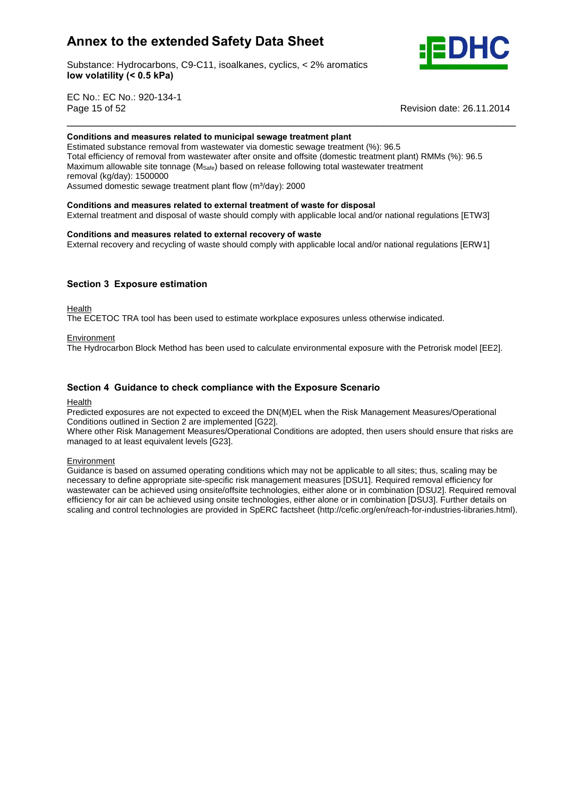

Substance: Hydrocarbons, C9-C11, isoalkanes, cyclics, < 2% aromatics **volatility (< 0.5 kPa)**

EC No.: EC No.: 920-134-1 Page 15 of 52

**Revision date: 26.11.2014** 

### **and measures related to municipal sewage treatment plant**

Estimated substance removal from wastewater via domestic sewage treatment (%): 96.5 Total efficiency of removal from wastewater after onsite and offsite (domestic treatment plant) RMMs (%): 96.5 Maximum allowable site tonnage ( $M_{\text{Safe}}$ ) based on release following total wastewater treatment<br>removal (kg/day): 1500000<br>Assumed domestic sewage treatment plant flow (m<sup>3</sup>/day): 2000 removal (kg/day): 1500000 Assumed domestic sewage treatment plant flow (m<sup>3</sup>/day): 2000

\_\_\_\_\_\_\_\_\_\_\_\_\_\_\_\_\_\_\_\_\_\_\_\_\_\_\_\_\_\_\_\_\_\_\_\_\_\_\_\_\_\_\_\_\_\_\_\_\_\_\_\_\_\_\_\_\_\_\_\_\_\_\_\_\_\_\_\_\_\_\_

**and measures related to external treatment of waste for disposal**

External treatment and disposal of waste should comply with applicable local and/or national regulations [ETW3]<br>Conditions and measures related to external recovery of waste

External recovery and recycling of waste should comply with applicable local and/or national regulations [ERW1]

### **<sup>3</sup> Exposure estimation**

Health

The ECETOC TRA tool has been used to estimate workplace exposures unless otherwise indicated.

### **Environment**

The Hydrocarbon Block Method has been used to calculate environmental exposure with the Petrorisk model [EE2].

### **<sup>4</sup> Guidance to check compliance with the Exposure Scenario**

**Health** 

Predicted exposures are not expected to exceed the DN(M)EL when the Risk Management Measures/Operational Conditions outlined in Section 2 are implemented [G22].

Where other Risk Management Measures/Operational Conditions are adopted, then users should ensure that risks are managed to at least equivalent levels [G23].

**Environment** 

Guidance is based on assumed operating conditions which may not be applicable to all sites; thus, scaling may be necessary to define appropriate site-specific risk management measures [DSU1]. Required removal efficiency for wastewater can be achieved using onsite/offsite technologies, either alone or in combination [DSU2]. Required removal efficiency for air can be achieved using onsite technologies, either alone or in combination [DSU3]. Further details on scaling and control technologies are provided in SpERC factsheet (http://cefic.org/en/reach-for-industries-libraries.html).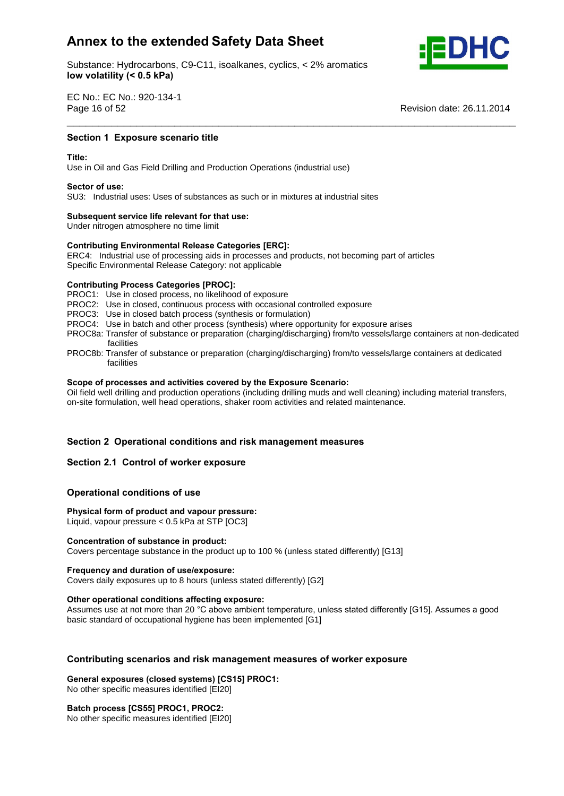Substance: Hydrocarbons, C9-C11, isoalkanes, cyclics, < 2% aromatics **volatility (< 0.5 kPa)**



EC No.: EC No.: 920-134-1 Page 16 of 52

**Revision date: 26.11.2014** 

## **1 Exposure scenario title**<br>————————————————————<br>Section 1 Exposure scenario title

Use in Oiland Gas Field Drilling and Production Operations (industrial use) **Sector of use:**

SU3: Industrial uses: Uses of substances as such or in mixtures at industrial sites **Subsequent service life relevant for that use:**

Under nitrogen atmosphere no time limit

## **Subsequent service life relevant for that use:**<br>
Under nitrogen atmosphere no time limit<br>
Contributing Environmental Release Categories [ERC]:

ERC4: Industrial use of processing aids in processes and products, not becoming part of articles Specific Environmental Release Category: not applicable **Contributing Process Categories [PROC]:**

PROC1: Use in closed process, no likelihood of exposure

PROC2: Use in closed, continuous process with occasional controlled exposure

PROC3: Use in closed batch process (synthesis or formulation)

- PROC4: Use in batch and other process (synthesis) where opportunity for exposure arises
- PROC8a: Transfer of substance or preparation (charging/discharging) from/to vessels/large containers at non-dedicated facilities

\_\_\_\_\_\_\_\_\_\_\_\_\_\_\_\_\_\_\_\_\_\_\_\_\_\_\_\_\_\_\_\_\_\_\_\_\_\_\_\_\_\_\_\_\_\_\_\_\_\_\_\_\_\_\_\_\_\_\_\_\_\_\_\_\_\_\_\_\_\_\_

PROC8b: Transfer of substance or preparation (charging/discharging) from/to vessels/large containers at dedicated **Scope**facilities

### **of processes and activities covered by the Exposure Scenario:**

Oil field well drilling and production operations (including drilling muds and well cleaning) including material transfers, on-site formulation, well head operations, shaker room activities and related maintenance.

# **<sup>2</sup> Operational conditions and risk management measures Section 2.1 Control of worker exposure**

### **Section 2.1 Control of worker exposure**

## **conditions** of worker exposured<br> **Physical**<br> **Physical**<br> **Physical**<br> **Physical**

### **form of product and vapour pressure:**

Liquid, vapour pressure < 0.5 kPa at STP [OC3] **Concentration of substance in product:**

Covers percentage substance in the product up to 100 % (unless stated differently) [G13] **Frequency and duration of use/exposure:**

Covers daily exposures up to 8 hours (unless stated differently) [G2] **Other operational conditions affecting exposure:**

Other operational conditions affecting exposure:<br>Assumes use at not more than 20 °C above ambient temperature, unless stated differently [G15]. Assumes a good basic standard of occupational hygiene has been implemented [G1]

# **scenarios and risk management measures of worker exposure General exposures (closed systems) [CS15] PROC1:**

No other specific measures identified [EI20] **Batch process [CS55] PROC1, PROC2:**

No other specific measures identified [EI20]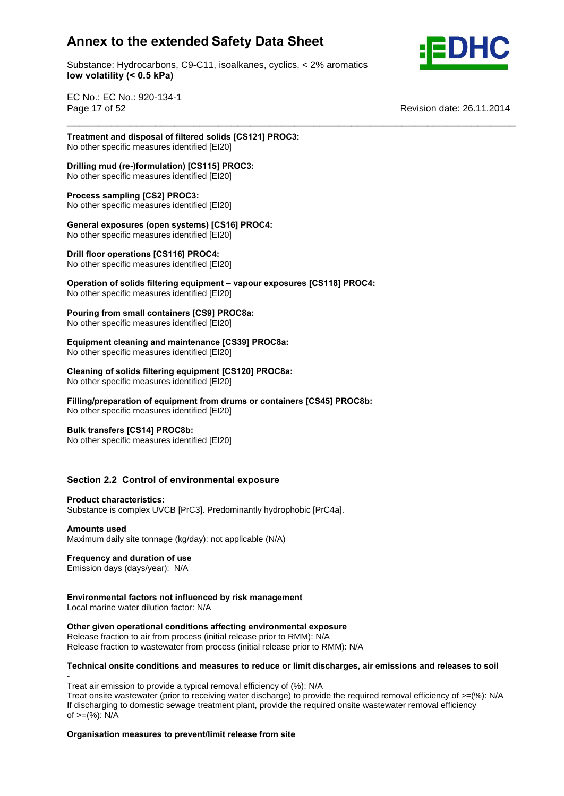

\_\_\_\_\_\_\_\_\_\_\_\_\_\_\_\_\_\_\_\_\_\_\_\_\_\_\_\_\_\_\_\_\_\_\_\_\_\_\_\_\_\_\_\_\_\_\_\_\_\_\_\_\_\_\_\_\_\_\_\_\_\_\_\_\_\_\_\_\_\_\_



EC No.: EC No.: 920-134-1 Page 17 of 52

**Revision date: 26.11.2014** 

 **and disposal of filtered solids [CS121] PROC3:** No other specific measures identified [EI20]

 **mud (re-)formulation) [CS115] PROC3:** No other specific measures identified [EI20] **Process sampling [CS2] PROC3:**

No other specific measures identified [EI20] **Process sampling [CS2] PROC3:**<br>No other specific measures identified [EI20]<br>General exposures (open systems) [CS16] PROC4:

No other specific measures identified [EI20] **Drill floor operations [CS116] PROC4:**

No other specific measures identified [EI20] **Operation**

**brill floor operations [CS116] PROC4:**<br>No other specific measures identified [EI20]<br>Operation of solids filtering equipment – vapour exposures [CS118] PROC4: No other specific measures identified [EI20] **Pouring**

 **from small containers [CS9] PROC8a:** No other specific measures identified [EI20]

**cleaning and maintenance [CS39] PROC8a:**

No other specific measures identified [EI20] **Cleaning**

 **of solids filtering equipment [CS120] PROC8a: No other specific measures identified [EI20]** 

 **of equipment from drums orcontainers [CS45] PROC8b:** No other specific measures identified [EI20] **Bulk transfers [CS14] PROC8b:**

No other specific measures identified [EI20]

# **2.2 Control of environmental exposure Product characteristics:**

Substance is complex UVCB [PrC3]. Predominantly hydrophobic [PrC4a]. **Amounts used**

Maximum daily site tonnage (kg/day): not applicable (N/A) **Frequency and duration of use**

Emission days (days/year): N/A **Environmental**

### **factors not influenced by risk management**

Local marine water dilution factor: N/A **Other**

### **given operational conditions affecting environmental exposure**

Release fraction to air from process (initial release prior to RMM): N/A release mashem to all noth process (links) release prior to millipped the random contains Release fraction to wastewater from process (initial release prior to RMM): N/A

### **onsite conditions and measures to reduce or limit discharges, air emissions and releases to soil**

Treat air emission to provide a typical removal efficiency of (%): N/A Treat onsite wastewater (prior to receiving water discharge) to provide the required removal efficiency of  $\geq$ (%): N/A If discharging to domestic sewage treatment plant, provide the required onsite wastewater removal efficiency n also half ging to domest.<br>of >=(%): N/A

### **measures to prevent/limit release from site**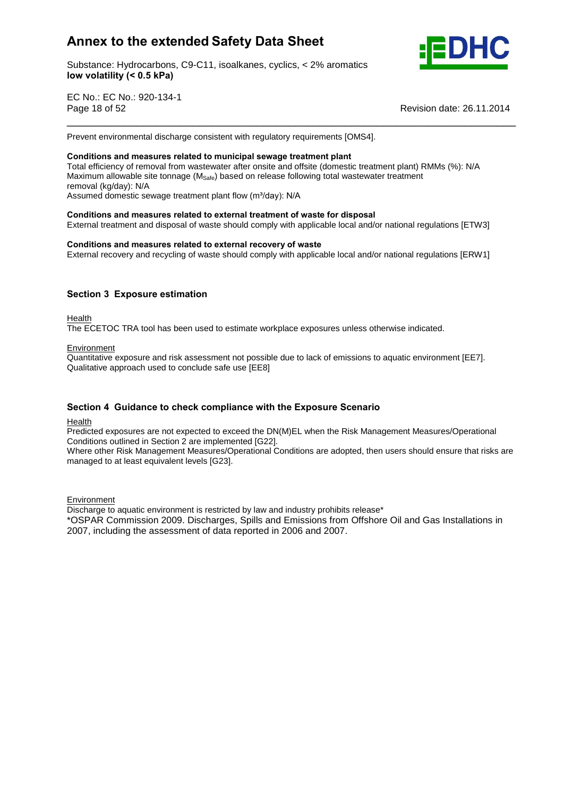Substance: Hydrocarbons, C9-C11, isoalkanes, cyclics, < 2% aromatics **volatility (< 0.5 kPa)**



EC No.: EC No.: 920-134-1 Page 18 of 52 Revision date: 26.11.2014

Prevent environmental discharge consistent with regulatory requirements [OMS4]. **Conditions and measures related to municipal sewage treatment plant**

Total efficiency of removal from wastewater after onsite and offsite (domestic treatment plant) RMMs (%): N/A Maximum allowable site tonnage ( $M_{\text{Safe}}$ ) based on release following total wastewater treatment<br>removal (kg/day): N/A<br>Assumed domestic sewage treatment plant flow (m<sup>3</sup>/day): N/A removal (kg/day): N/A Assumed domestic sewage treatment plant flow (m<sup>3</sup>/day): N/A

\_\_\_\_\_\_\_\_\_\_\_\_\_\_\_\_\_\_\_\_\_\_\_\_\_\_\_\_\_\_\_\_\_\_\_\_\_\_\_\_\_\_\_\_\_\_\_\_\_\_\_\_\_\_\_\_\_\_\_\_\_\_\_\_\_\_\_\_\_\_\_

### **and measures related to external treatment of waste for disposal**

External treatment and disposal of waste should comply with applicable local and/or national regulations [ETW3]<br>Conditions and measures related to external recovery of waste

External recovery and recycling of waste should comply with applicable local and/or national regulations [ERW1]

### **<sup>3</sup> Exposure estimation**

Health

The ECETOC TRA tool has been used to estimate workplace exposures unless otherwise indicated.

Environment

Quantitative exposure and risk assessment not possible due to lack of emissions to aquatic environment [EE7]. Qualitative approach used to conclude safe use [EE8]

### **<sup>4</sup> Guidance to check compliance with the Exposure Scenario**

Health

Predicted exposures are not expected to exceed the DN(M)EL when the Risk Management Measures/Operational Conditions outlined in Section 2 are implemented [G22].

Where other Risk Management Measures/Operational Conditions are adopted, then users should ensure that risks are managed to at least equivalent levels [G23].

**Environment** 

Discharge to aquatic environment is restricted by law and industry prohibits release\*

\*OSPAR Commission 2009. Discharges, Spills and Emissions from Offshore Oil and Gas Installations in 2007, including the assessment of data reported in 2006 and 2007.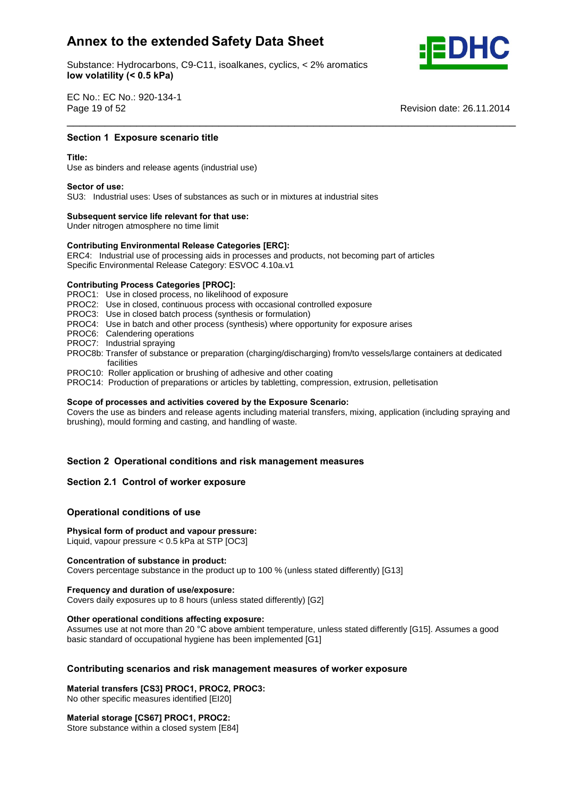Substance: Hydrocarbons, C9-C11, isoalkanes, cyclics, < 2% aromatics **volatility (< 0.5 kPa)**



EC No.: EC No.: 920-134-1 Page 19 of 52

**Revision date: 26.11.2014** 

## **1 Exposure scenario title**<br>————————————————————<br>Section 1 Exposure scenario title

Use as binders and release agents (industrial use) **Sector of use:**

SU3: Industrial uses: Uses of substances as such or in mixtures at industrial sites **Subsequent service life relevant for that use:**

Under nitrogen atmosphere no time limit

## **Subsequent service life relevant for that use:**<br>
Under nitrogen atmosphere no time limit<br>
Contributing Environmental Release Categories [ERC]:

ERC4: Industrial use of processing aids in processes and products, not becoming part of articles Specific Environmental Release Category: ESVOC 4.10a.v1 **Contributing Process Categories [PROC]:**

PROC1: Use in closed process, no likelihood of exposure

PROC2: Use in closed, continuous process with occasional controlled exposure

PROC3: Use in closed batch process (synthesis or formulation)

PROC4: Use in batch and other process (synthesis) where opportunity for exposure arises

PROC6: Calendering operations

- PROC7: Industrial spraying
- PROC8b: Transfer of substance or preparation (charging/discharging) from/to vessels/large containers at dedicated facilities

\_\_\_\_\_\_\_\_\_\_\_\_\_\_\_\_\_\_\_\_\_\_\_\_\_\_\_\_\_\_\_\_\_\_\_\_\_\_\_\_\_\_\_\_\_\_\_\_\_\_\_\_\_\_\_\_\_\_\_\_\_\_\_\_\_\_\_\_\_\_\_

- PROC10: Roller application or brushing of adhesive and other coating
- PROC14: Production of preparations or articles by tabletting, compression, extrusion, pelletisation<br>Scope of processes and activities covered by the Exposure Scenario:

Covers the use as binders and release agents including material transfers, mixing, application (including spraying and brushing), mould forming and casting, and handling of waste.

# **<sup>2</sup> Operational conditions and risk management measures Section 2.1 Control of worker exposure**

### **Section 2.1 Control of worker exposure**

## **conditions** of worker exposured<br> **Physical**<br> **Physical**<br> **Physical**<br> **Physical**

### **form of product and vapour pressure:**

Liquid, vapour pressure < 0.5 kPa at STP [OC3] **Concentration of substance in product:**

Covers percentage substance in the product up to 100 % (unless stated differently) [G13] **Frequency and duration of use/exposure:**

Covers daily exposures up to 8 hours (unless stated differently) [G2] **Other operational conditions affecting exposure:**

Other operational conditions affecting exposure:<br>Assumes use at not more than 20 °C above ambient temperature, unless stated differently [G15]. Assumes a good basic standard of occupational hygiene has been implemented [G1]

# **scenarios and risk management measures of worker exposure Material transfers [CS3] PROC1, PROC2, PROC3:**

No other specific measures identified [EI20] **Material storage [CS67] PROC1, PROC2:**

Store substance within a closed system [E84]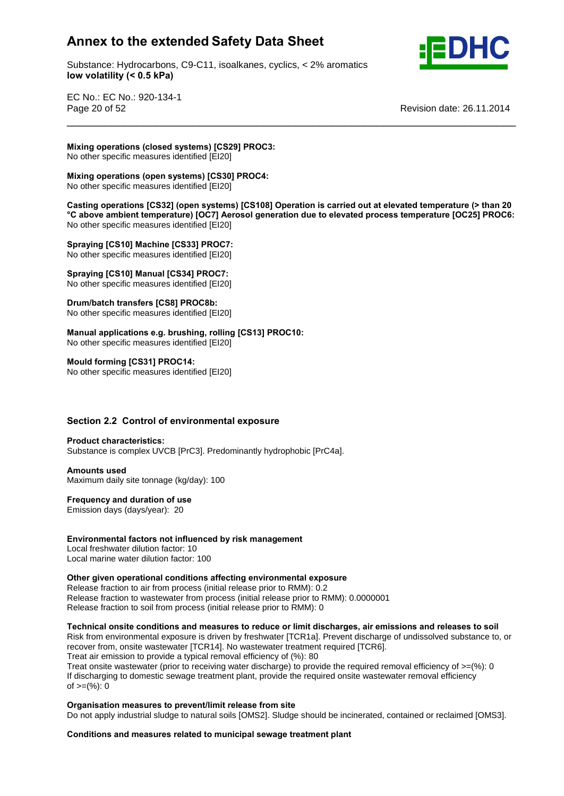Substance: Hydrocarbons, C9-C11, isoalkanes, cyclics, < 2% aromatics **volatility (< 0.5 kPa)**



EC No.: EC No.: 920-134-1 Page 20 of 52 Revision date: 26.11.2014

 **operations (closed systems) [CS29] PROC3:** No other specific measures identified [EI20] **Mixing**

**operations (open systems) [CS30] PROC4:**

mand specific measures identified [EI20]

 **operations [CS32] (open systems) [CS108] Operation is carried out at elevated temperature (> than <sup>20</sup> above ambient temperature) [OC7] Aerosol generation due to elevated process temperature [OC25] PROC6:** No other specific measures identified [EI20] **Spraying [CS10] Machine [CS33] PROC7:**

\_\_\_\_\_\_\_\_\_\_\_\_\_\_\_\_\_\_\_\_\_\_\_\_\_\_\_\_\_\_\_\_\_\_\_\_\_\_\_\_\_\_\_\_\_\_\_\_\_\_\_\_\_\_\_\_\_\_\_\_\_\_\_\_\_\_\_\_\_\_\_ **Mixing**

No other specific measures identified [EI20] **Spraying [CS10] Manual [CS34] PROC7:**

No other specific measures identified [EI20] **Drum/batch transfers [CS8] PROC8b:**

No other specific measures identified [EI20] **ManualDrum/batch transfers [CS8] PROC8b:**<br>No other specific measures identified [EI20]<br>Manual applications e.g. brushing, rolling [CS13] PROC10:

No other specific measures identified [EI20] **Mould forming [CS31] PROC14:**

No other specific measures identified [EI20]

# **2.2 Control of environmental exposure Product characteristics:**

Substance is complex UVCB [PrC3]. Predominantly hydrophobic [PrC4a]. **Amounts used**

Maximum daily site tonnage (kg/day): 100 **Frequency and duration of use**

Emission days (days/year): 20

**factors not influenced by risk management**

Local freshwater dilution factor: 10 Local marine water dilution factor: 100 **Other**

**given operational conditions affecting environmental exposure**

Release fraction to air from process (initial release prior to RMM): 0.2 Release fraction to wastewater from process (initial release prior to RMM): 0.0000001 release fraction to soil from process (initial release prior to RMM): 0

 **onsite conditions and measures to reduce or limit discharges, air emissions and releases to soil** Risk from environmental exposure is driven by freshwater [TCR1a]. Prevent discharge of undissolved substance to, or

recover from, onsite wastewater [TCR14]. No wastewater treatment required [TCR6]. Treat air emission to provide a typical removal efficiency of (%): 80 Treat onsite wastewater (prior to receiving water discharge) to provide the required removal efficiency of  $\geq$ =(%): 0

If discharging to domestic sewage treatment plant, provide the required onsite wastewater removal efficiency n albertal ging to dent<br>of >=(%): 0

### **measures to prevent/limit release from site**

Do not apply industrial sludge to natural soils [OMS2]. Sludge should be incinerated, contained or reclaimed [OMS3].<br>Conditions and measures related to municipal sewage treatment plant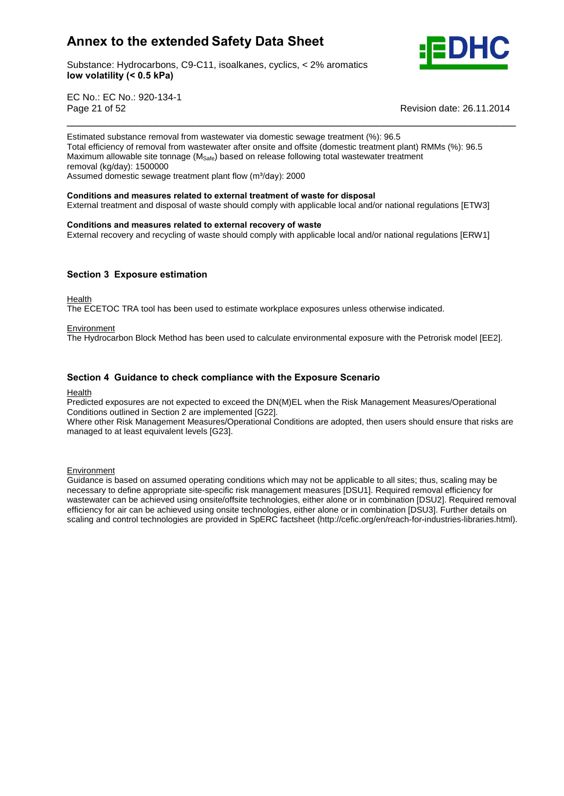

Substance: Hydrocarbons, C9-C11, isoalkanes, cyclics, < 2% aromatics **volatility (< 0.5 kPa)**

EC No.: EC No.: 920-134-1 Page 21 of 52 Revision date: 26.11.2014

Estimated substance removal from wastewater via domestic sewage treatment (%): 96.5 Total efficiency of removal from wastewater after onsite and offsite (domestic treatment plant) RMMs (%): 96.5 Maximum allowable site tonnage ( $M_{\text{Safe}}$ ) based on release following total wastewater treatment<br>removal (kg/day): 1500000<br>Assumed domestic sewage treatment plant flow (m<sup>3</sup>/day): 2000 removal (kg/day): 1500000

\_\_\_\_\_\_\_\_\_\_\_\_\_\_\_\_\_\_\_\_\_\_\_\_\_\_\_\_\_\_\_\_\_\_\_\_\_\_\_\_\_\_\_\_\_\_\_\_\_\_\_\_\_\_\_\_\_\_\_\_\_\_\_\_\_\_\_\_\_\_\_

## **Conditions and measures related to external treatment of waste for disposal**

External treatment and disposal of waste should comply with applicable local and/or national regulations [ETW3]<br>Conditions and measures related to external recovery of waste

External recovery and recycling of waste should comply with applicable local and/or national regulations [ERW1]

### **<sup>3</sup> Exposure estimation**

Health

The ECETOC TRA tool has been used to estimate workplace exposures unless otherwise indicated.

### Environment

The Hydrocarbon Block Method has been used to calculate environmental exposure with the Petrorisk model [EE2].

### **<sup>4</sup> Guidance to check compliance with the Exposure Scenario**

### Health

Predicted exposures are not expected to exceed the DN(M)EL when the Risk Management Measures/Operational Conditions outlined in Section 2 are implemented [G22].

Where other Risk Management Measures/Operational Conditions are adopted, then users should ensure that risks are managed to at least equivalent levels [G23].

**Environment** 

Guidance is based on assumed operating conditions which may not be applicable to all sites; thus, scaling may be necessary to define appropriate site-specific risk management measures [DSU1]. Required removal efficiency for wastewater can be achieved using onsite/offsite technologies, either alone or in combination [DSU2]. Required removal efficiency for air can be achieved using onsite technologies, either alone or in combination [DSU3]. Further details on scaling and control technologies are provided in SpERC factsheet (http://cefic.org/en/reach-for-industries-libraries.html).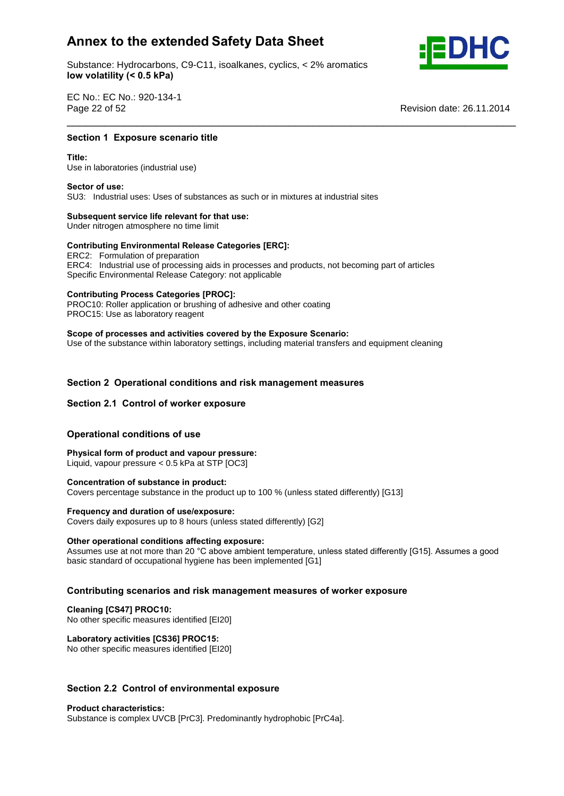Substance: Hydrocarbons, C9-C11, isoalkanes, cyclics, < 2% aromatics **volatility (< 0.5 kPa)**



EC No.: EC No.: 920-134-1 **Page 22 of 52** 

**Revision date: 26.11.2014** 

## **<sup>1</sup> Exposure scenario title Title:**

Use in laboratories (industrial use) **Sector of use:**

SU3: Industrial uses: Uses of substances as such or in mixtures at industrial sites **Subsequent service life relevant for that use:**

Under nitrogen atmosphere no time limit

# **Subsequent service life relevant for that use:**<br>
Under nitrogen atmosphere no time limit<br>
Contributing Environmental Release Categories [ERC]:

ERC2: Formulation of preparation ERC4: Industrial use of processing aids in processes and products, not becoming part of articles Specific Environmental Release Category: not applicable **Contributing Process Categories [PROC]:**

\_\_\_\_\_\_\_\_\_\_\_\_\_\_\_\_\_\_\_\_\_\_\_\_\_\_\_\_\_\_\_\_\_\_\_\_\_\_\_\_\_\_\_\_\_\_\_\_\_\_\_\_\_\_\_\_\_\_\_\_\_\_\_\_\_\_\_\_\_\_\_

PROC10: Roller application or brushing of adhesive and other coating PROC15: Use as laboratory reagent

 **of processes and activities covered by the Exposure Scenario:** Use of the substance within laboratory settings, including material transfers and equipment cleaning

# **<sup>2</sup> Operational conditions and risk management measures Section 2.1 Control of worker exposure**

### **Section 2.1 Control of worker exposure**

## **conditions** of worker exposured<br>Operational conditions of use

 **form of product and vapour pressure:** Liquid, vapour pressure < 0.5 kPa at STP [OC3] **Concentration of substance in product:**

Covers percentage substance in the product up to 100 % (unless stated differently) [G13] **Frequency and duration of use/exposure:**

Covers daily exposures up to 8 hours (unless stated differently) [G2] **Other operational conditions affecting exposure:**

Other operational conditions affecting exposure:<br>Assumes use at not more than 20 °C above ambient temperature, unless stated differently [G15]. Assumes a good basic standard of occupational hygiene has been implemented [G1]

# **scenarios and risk management measures of worker exposure Cleaning [CS47] PROC10:**

No other specific measures identified [EI20] **Laboratory activities [CS36] PROC15:**

No other specific measures identified [EI20]

# **2.2 Control of environmental exposure Product characteristics:**

Substance is complex UVCB [PrC3]. Predominantly hydrophobic [PrC4a].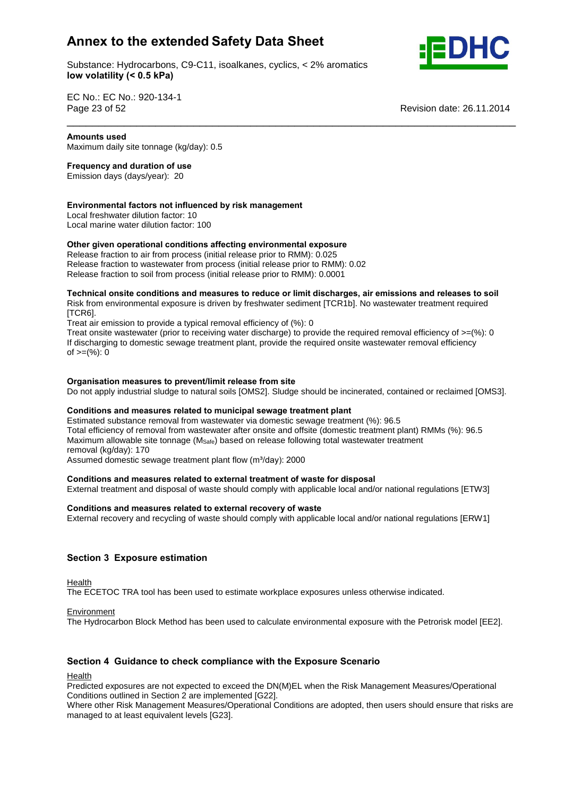Substance: Hydrocarbons, C9-C11, isoalkanes, cyclics, < 2% aromatics **volatility (< 0.5 kPa)**



EC No.: EC No.: 920-134-1 Page 23 of 52 **used**

**Revision date: 26.11.2014** 

Maximum daily site tonnage (kg/day): 0.5 **Frequency and duration of use**

Emission days (days/year): 20

### **factors not influenced by risk management**

Local freshwater dilution factor: 10 Local marine water dilution factor: 100 **Other**

### **given operational conditions affecting environmental exposure**

Release fraction to air from process (initial release prior to RMM): 0.025 Release fraction to wastewater from process (initial release prior to RMM): 0.02 release mashem to masterially mem process (initial release prior to RMM): 0.0001

 **onsite conditions and measures to reduce or limit discharges, air emissions and releases to soil** Risk from environmental exposure is driven by freshwater sediment [TCR1b]. No wastewater treatment required [TCR6].

\_\_\_\_\_\_\_\_\_\_\_\_\_\_\_\_\_\_\_\_\_\_\_\_\_\_\_\_\_\_\_\_\_\_\_\_\_\_\_\_\_\_\_\_\_\_\_\_\_\_\_\_\_\_\_\_\_\_\_\_\_\_\_\_\_\_\_\_\_\_\_

Treat air emission to provide a typical removal efficiency of (%): 0

Treat onsite wastewater (prior to receiving water discharge) to provide the required removal efficiency of  $\geq$  (%): 0 If discharging to domestic sewage treatment plant, provide the required onsite wastewater removal efficiency of  $>=(\%)$ : 0

### **measures to prevent/limit release from site**

Do not apply industrial sludge to natural soils [OMS2]. Sludge should be incinerated, contained or reclaimed [OMS3].<br>Conditions and measures related to municipal sewage treatment plant

Estimated substance removal from wastewater via domestic sewage treatment (%): 96.5 Total efficiency of removal from wastewater after onsite and offsite (domestic treatment plant) RMMs (%): 96.5 Maximum allowable site tonnage (M<sub>Safe</sub>) based on release following total wastewater treatment<br>
removal (kg/day): 170<br>
Assumed domestic sewage treatment plant flow (m<sup>3</sup>/day): 2000 removal (kg/day): 170

Assumed domestic sewage treatment plant flow (m<sup>3</sup>/day): 2000

### **and measures related to external treatment of waste for disposal**

External treatment and disposal of waste should comply with applicable local and/or national regulations [ETW3]<br>Conditions and measures related to external recovery of waste

External recovery and recycling of waste should comply with applicable local and/or national regulations [ERW1]

### **<sup>3</sup> Exposure estimation**

**Health** 

The ECETOC TRA tool has been used to estimate workplace exposures unless otherwise indicated.

### **Environment**

The Hydrocarbon Block Method has been used to calculate environmental exposure with the Petrorisk model [EE2].

### **<sup>4</sup> Guidance to check compliance with the Exposure Scenario**

Health

Predicted exposures are not expected to exceed the DN(M)EL when the Risk Management Measures/Operational Conditions outlined in Section 2 are implemented [G22].

Where other Risk Management Measures/Operational Conditions are adopted, then users should ensure that risks are managed to at least equivalent levels [G23].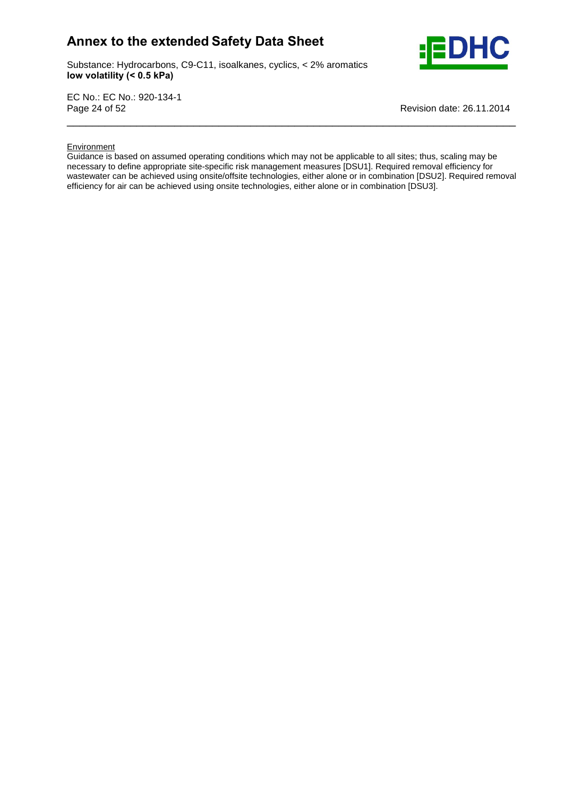Substance: Hydrocarbons, C9-C11, isoalkanes, cyclics, < 2% aromatics **volatility (< 0.5 kPa)**



EC No.: EC No.: 920-134-1 Page 24 of 52 Revision date: 26.11.2014

### **Environment**

Guidance is based on assumed operating conditions which may not be applicable to all sites; thus, scaling may be necessary to define appropriate site-specific risk management measures [DSU1]. Required removal efficiency for wastewater can be achieved using onsite/offsite technologies, either alone or in combination [DSU2]. Required removal efficiency for air can be achieved using onsite technologies, either alone or in combination [DSU3].

\_\_\_\_\_\_\_\_\_\_\_\_\_\_\_\_\_\_\_\_\_\_\_\_\_\_\_\_\_\_\_\_\_\_\_\_\_\_\_\_\_\_\_\_\_\_\_\_\_\_\_\_\_\_\_\_\_\_\_\_\_\_\_\_\_\_\_\_\_\_\_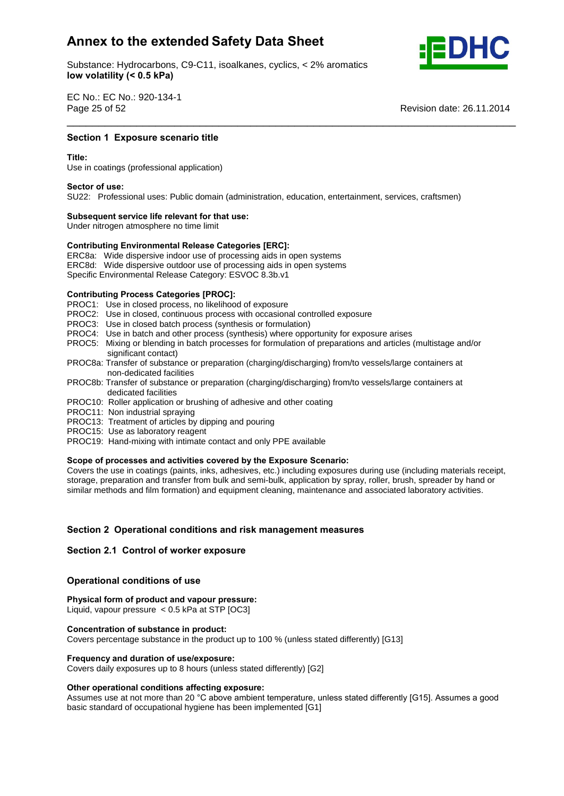Substance: Hydrocarbons, C9-C11, isoalkanes, cyclics, < 2% aromatics **volatility (< 0.5 kPa)**



EC No.: EC No.: 920-134-1 Page 25 of 52

**Revision date: 26.11.2014** 

## **1 Exposure scenario title**<br>————————————————————<br>Section 1 Exposure scenario title

Use in coatings (professional application) **Sector of use:**

SU22: Professional uses: Public domain (administration, education, entertainment, services, craftsmen) **Subsequent service life relevant for that use:**

\_\_\_\_\_\_\_\_\_\_\_\_\_\_\_\_\_\_\_\_\_\_\_\_\_\_\_\_\_\_\_\_\_\_\_\_\_\_\_\_\_\_\_\_\_\_\_\_\_\_\_\_\_\_\_\_\_\_\_\_\_\_\_\_\_\_\_\_\_\_\_

Under nitrogen atmosphere no time limit

## **Subsequent service life relevant for that use:**<br>Under nitrogen atmosphere no time limit<br>Contributing Environmental Release Categories [ERC]:

ERC8a: Wide dispersive indoor use of processing aids in open systems ERC8d: Wide dispersive outdoor use of processing aids in open systems Specific Environmental Release Category: ESVOC 8.3b.v1 **Contributing Process Categories [PROC]:**

PROC1: Use in closed process, no likelihood of exposure

- PROC2: Use in closed, continuous process with occasional controlled exposure
- PROC3: Use in closed batch process (synthesis or formulation)
- PROC4: Use in batch and other process (synthesis) where opportunity for exposure arises
- PROC5: Mixing or blending in batch processes for formulation of preparations and articles (multistage and/or significant contact)
- PROC8a: Transfer of substance or preparation (charging/discharging) from/to vessels/large containers at non-dedicated facilities
- PROC8b: Transfer of substance or preparation (charging/discharging) from/to vessels/large containers at dedicated facilities
- PROC10: Roller application or brushing of adhesive and other coating
- PROC11: Non industrial spraying
- PROC13: Treatment of articles by dipping and pouring
- PROC15: Use as laboratory reagent
- PROC19: Hand-mixing with intimate contact and only PPE available **Scope of processes and activities covered by the Exposure Scenario:**

Covers the use in coatings (paints, inks, adhesives, etc.) including exposures during use (including materials receipt, storage, preparation and transfer from bulk and semi-bulk, application by spray, roller, brush, spreader by hand or similar methods and film formation) and equipment cleaning, maintenance and associated laboratory activities.

# **<sup>2</sup> Operational conditions and risk management measures Section 2.1 Control of worker exposure**

### **Section 2.1 Control of worker exposure**

## **conditions** of worker exposured<br> **Physical**<br> **Physical**<br> **Physical**<br> **Physical**

 **form of product and vapour pressure:** Liquid, vapour pressure < 0.5 kPa at STP [OC3] **Concentration of substance in product:**

Covers percentage substance in the product up to 100 % (unless stated differently) [G13] **Frequency and duration of use/exposure:**

Covers daily exposures up to 8 hours (unless stated differently) [G2] **Other operational conditions affecting exposure:**

Other operational conditions affecting exposure:<br>Assumes use at not more than 20 °C above ambient temperature, unless stated differently [G15]. Assumes a good basic standard of occupational hygiene has been implemented [G1]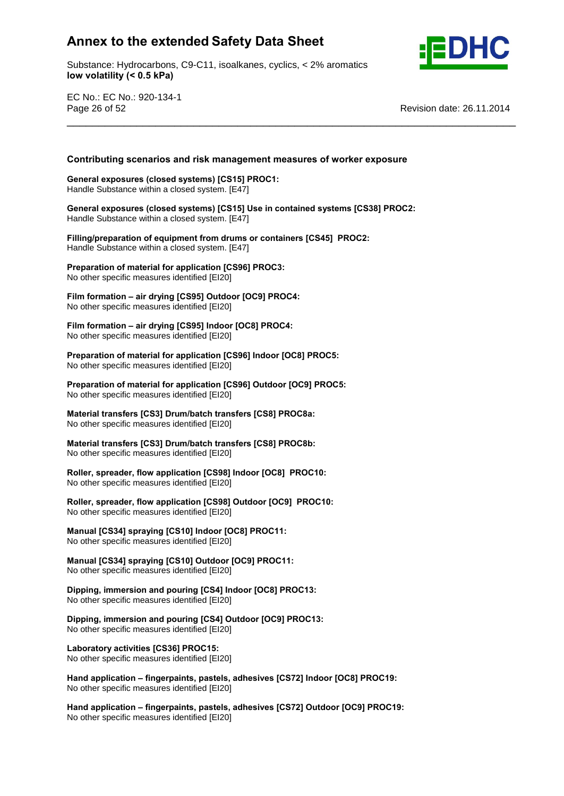Substance: Hydrocarbons, C9-C11, isoalkanes, cyclics, < 2% aromatics **volatility (< 0.5 kPa)**



EC No.: EC No.: 920-134-1 Page 26 of 52 Revision date: 26.11.2014

# **scenarios and risk management measures of worker exposure General exposures (closed systems) [CS15] PROC1:**

\_\_\_\_\_\_\_\_\_\_\_\_\_\_\_\_\_\_\_\_\_\_\_\_\_\_\_\_\_\_\_\_\_\_\_\_\_\_\_\_\_\_\_\_\_\_\_\_\_\_\_\_\_\_\_\_\_\_\_\_\_\_\_\_\_\_\_\_\_\_\_

Handle Substance within a closed system. [E47] **General**General exposures (closed systems) [CS15] PROC1:<br>Handle Substance within a closed system. [E47]<br>General exposures (closed systems) [CS15] Use in contained systems [CS38] PROC2:

**Handle Substance within a closed system.** [E47]

 **of equipment from drums orcontainers [CS45] PROC2:** Handle Substance within a closed system. [E47] **Preparation**

 **of material for application [CS96] PROC3:** No other specific measures identified [EI20]

 **formation <sup>ñ</sup> air drying [CS95] Outdoor [OC9] PROC4:** No other specific measures identified [EI20]

 **formation <sup>ñ</sup> air drying [CS95] Indoor [OC8] PROC4: Preparation of the preparation of the preparation**  $\mathbf{P}$ 

 **of material for application [CS96] Indoor [OC8] PROC5:** No other specific measures identified [EI20] **Preparation**

 **of material for application [CS96] Outdoor [OC9] PROC5:** No other specific measures identified [EI20]

 **transfers [CS3] Drum/batch transfers [CS8] PROC8a: No other specific measures identified [EI20]** 

 **transfers [CS3] Drum/batch transfers [CS8] PROC8b:** No other specific measures identified [EI20] **Roller,**

 **spreader, flow application [CS98] Indoor [OC8] PROC10:** No other specific measures identified [EI20]

 **spreader, flow application [CS98] Outdoor [OC9] PROC10:** No other specific measures identified [EI20]

 **[CS34] spraying [CS10] Indoor [OC8] PROC11:** No other specific measures identified [EI20] **Manual**

 **[CS34] spraying [CS10] Outdoor [OC9] PROC11:** No other specific measures identified [EI20] **Dipping,**

 **immersion and pouring [CS4] Indoor [OC8] PROC13:** No other specific measures identified [EI20] **Dipping,**

 **immersion and pouring [CS4] Outdoor [OC9] PROC13:** No other specific measures identified [EI20] **Laboratory activities [CS36] PROC15:**

No other specific measures identified [EI20] **Handhaboratory activities [CS36] PROC15:**<br>No other specific measures identified [EI20]<br>Hand application – fingerpaints, pastels, adhesives [CS72] Indoor [OC8] PROC19:

No other specific measures identified [EI20] **Hand**

 **application <sup>ñ</sup> fingerpaints, pastels, adhesives [CS72] Outdoor [OC9] PROC19:** No other specific measures identified [EI20]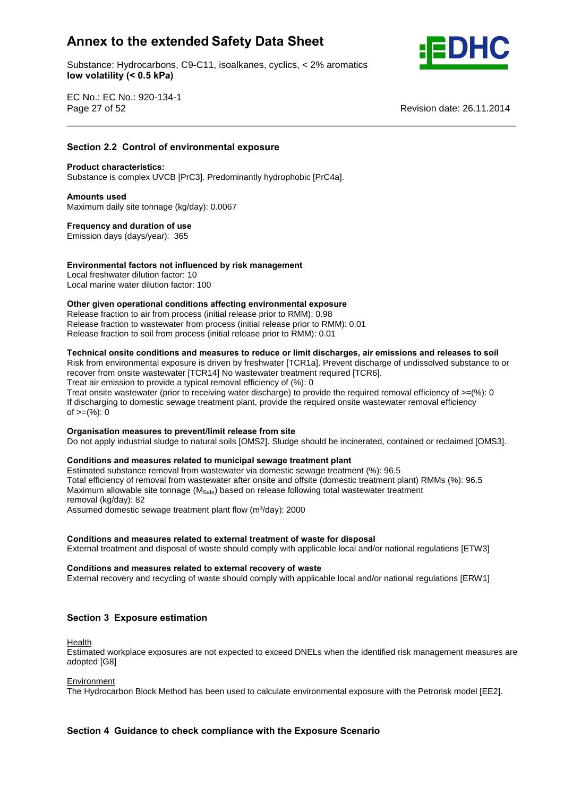Substance: Hydrocarbons, C9-C11, isoalkanes, cyclics, < 2% aromatics **volatility (< 0.5 kPa)**



EC No.: EC No.: 920-134-1 Page 27 of 52 Revision date: 26.11.2014

# **2.2 Control of environmental exposure Product characteristics:**

Substance is complex UVCB [PrC3]. Predominantly hydrophobic [PrC4a]. **Amounts used**

**Section**

Maximum daily site tonnage (kg/day): 0.0067 **Frequency and duration of use**

Emission days (days/year): 365

### **factors not influenced by risk management** Local freshwater dilution factor: 10

Local marine water dilution factor: 100

### **given operational conditions affecting environmental exposure**

Release fraction to air from process (initial release prior to RMM): 0.98 Release fraction to wastewater from process (initial release prior to RMM): 0.01 Release fraction to soil from process (initial release prior to RMM): 0.01

### **onsite conditions and measures to reduce or limit discharges, air emissions and releases to soil**

\_\_\_\_\_\_\_\_\_\_\_\_\_\_\_\_\_\_\_\_\_\_\_\_\_\_\_\_\_\_\_\_\_\_\_\_\_\_\_\_\_\_\_\_\_\_\_\_\_\_\_\_\_\_\_\_\_\_\_\_\_\_\_\_\_\_\_\_\_\_\_

Risk from environmental exposure is driven by freshwater [TCR1a]. Prevent discharge of undissolved substance to or recover from onsite wastewater [TCR14] No wastewater treatment required [TCR6]. Treat air emission to provide a typical removal efficiency of (%): 0 Treat onsite wastewater (prior to receiving water discharge) to provide the required removal efficiency of  $>=$ (%): 0 If discharging to domestic sewage treatment plant, provide the required onsite wastewater removal efficiency

n albertal ging to dent<br>of  $>=(\%)$ : 0

### **measures to prevent/limit release from site**

Do not apply industrial sludge to natural soils [OMS2]. Sludge should be incinerated, contained or reclaimed [OMS3].<br>Conditions and measures related to municipal sewage treatment plant

Estimated substance removal from wastewater via domestic sewage treatment (%): 96.5 Total efficiency of removal from wastewater after onsite and offsite (domestic treatment plant) RMMs (%): 96.5 Maximum allowable site tonnage ( $M_{\text{Safe}}$ ) based on release following total wastewater treatment<br>removal (kg/day): 82<br>Assumed domestic sewage treatment plant flow (m<sup>3</sup>/day): 2000 removal (kg/day): 82 Assumed domestic sewage treatment plant flow (m<sup>3</sup>/day): 2000

### **and measures related to external treatment of waste for disposal**

External treatment and disposal of waste should comply with applicable local and/or national regulations [ETW3]<br>Conditions and measures related to external recovery of waste

External recovery and recycling of waste should comply with applicable local and/or national regulations [ERW1]

### **<sup>3</sup> Exposure estimation**

Health

Estimated workplace exposures are not expected to exceed DNELs when the identified risk management measures are adopted [G8]

### Environment

The Hydrocarbon Block Method has been used to calculate environmental exposure with the Petrorisk model [EE2].

### **<sup>4</sup> Guidance to check compliance with the Exposure Scenario**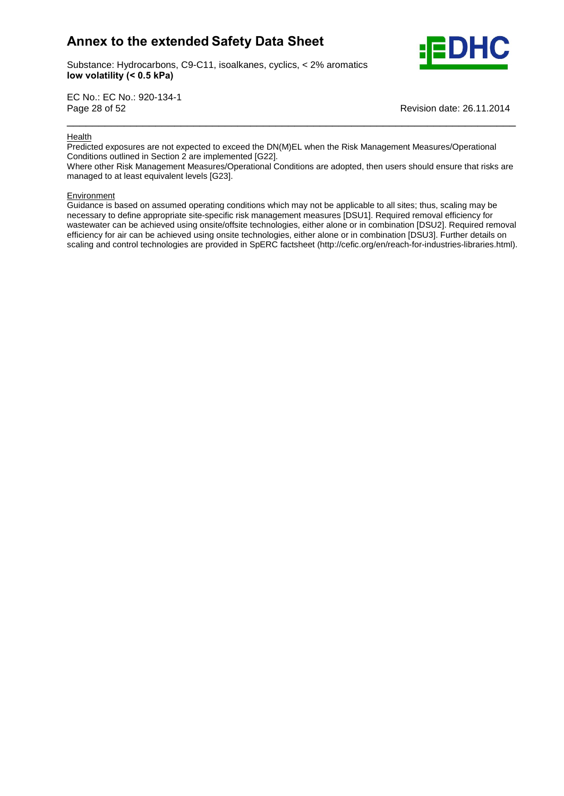

Substance: Hydrocarbons, C9-C11, isoalkanes, cyclics, < 2% aromatics **volatility (< 0.5 kPa)**

EC No.: EC No.: 920-134-1 Page 28 of 52 Revision date: 26.11.2014

### **Health**

Predicted exposures are not expected to exceed the DN(M)EL when the Risk Management Measures/Operational Conditions outlined in Section 2 are implemented [G22].

Where other Risk Management Measures/Operational Conditions are adopted, then users should ensure that risks are managed to at least equivalent levels [G23].

\_\_\_\_\_\_\_\_\_\_\_\_\_\_\_\_\_\_\_\_\_\_\_\_\_\_\_\_\_\_\_\_\_\_\_\_\_\_\_\_\_\_\_\_\_\_\_\_\_\_\_\_\_\_\_\_\_\_\_\_\_\_\_\_\_\_\_\_\_\_\_

### **Environment**

Guidance is based on assumed operating conditions which may not be applicable to all sites; thus, scaling may be necessary to define appropriate site-specific risk management measures [DSU1]. Required removal efficiency for wastewater can be achieved using onsite/offsite technologies, either alone or in combination [DSU2]. Required removal efficiency for air can be achieved using onsite technologies, either alone or in combination [DSU3]. Further details on scaling and control technologies are provided in SpERC factsheet (http://cefic.org/en/reach-for-industries-libraries.html).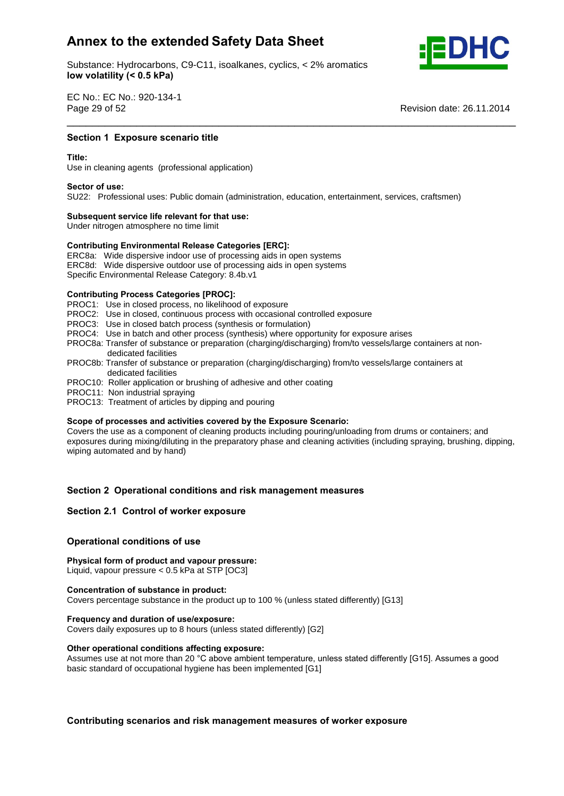Substance: Hydrocarbons, C9-C11, isoalkanes, cyclics, < 2% aromatics **volatility (< 0.5 kPa)**



EC No.: EC No.: 920-134-1 Page 29 of 52

**Revision date: 26.11.2014** 

## **1 Exposure scenario title**<br>————————————————————<br>Section 1 Exposure scenario title

Use in cleaning agents (professional application) **Sector of use:**

SU22: Professional uses: Public domain (administration, education, entertainment, services, craftsmen) **Subsequent service life relevant for that use:**

\_\_\_\_\_\_\_\_\_\_\_\_\_\_\_\_\_\_\_\_\_\_\_\_\_\_\_\_\_\_\_\_\_\_\_\_\_\_\_\_\_\_\_\_\_\_\_\_\_\_\_\_\_\_\_\_\_\_\_\_\_\_\_\_\_\_\_\_\_\_\_

Under nitrogen atmosphere no time limit

## **Subsequent service life relevant for that use:**<br>Under nitrogen atmosphere no time limit<br>Contributing Environmental Release Categories [ERC]:

ERC8a: Wide dispersive indoor use of processing aids in open systems ERC8d: Wide dispersive outdoor use of processing aids in open systems Specific Environmental Release Category: 8.4b.v1 **Contributing Process Categories [PROC]:**

PROC1: Use in closed process, no likelihood of exposure

- PROC2: Use in closed, continuous process with occasional controlled exposure
- PROC3: Use in closed batch process (synthesis or formulation)
- PROC4: Use in batch and other process (synthesis) where opportunity for exposure arises
- PROC8a: Transfer of substance or preparation (charging/discharging) from/to vessels/large containers at non dedicated facilities
- PROC8b: Transfer of substance or preparation (charging/discharging) from/to vessels/large containers at dedicated facilities
- PROC10: Roller application or brushing of adhesive and other coating
- PROC11: Non industrial spraying
- PROC13: Treatment of articles by dipping and pouring **Scope**

### **of processes and activities covered by the Exposure Scenario:**

Covers the use as a component of cleaning products including pouring/unloading from drums or containers; and exposures during mixing/diluting in the preparatory phase and cleaning activities (including spraying, brushing, dipping, wiping automated and by hand)

# **<sup>2</sup> Operational conditions and risk management measures Section 2.1 Control of worker exposure**

### **Section 2.1 Control of worker exposure**

## **conditions** of worker exposured<br> **Physical**<br> **Physical**<br> **Physical**<br> **Physical**

### **form of product and vapour pressure:**

Liquid, vapour pressure < 0.5 kPa at STP [OC3] **Concentration of substance in product:**

Covers percentage substance in the product up to 100 % (unless stated differently) [G13] **Frequency and duration of use/exposure:**

Covers daily exposures up to 8 hours (unless stated differently) [G2] **Other operational conditions affecting exposure:**

Other operational conditions affecting exposure:<br>Assumes use at not more than 20 °C above ambient temperature, unless stated differently [G15]. Assumes a good basic standard of occupational hygiene has been implemented [G1]

**scenarios and risk management measures of worker exposure**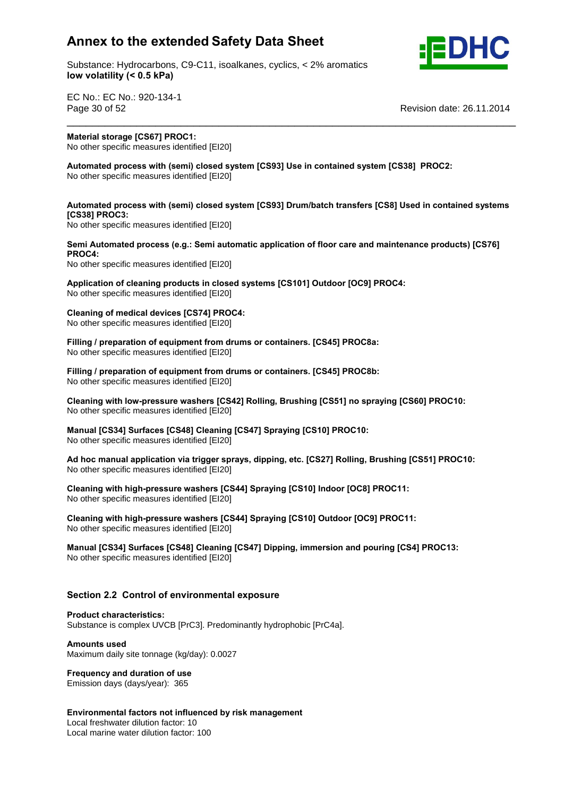

Substance: Hydrocarbons, C9-C11, isoalkanes, cyclics, < 2% aromatics **volatility (< 0.5 kPa)**

EC No.: EC No.: 920-134-1 Page 30 of 52 Revision date: 26.11.2014 \_\_\_\_\_\_\_\_\_\_\_\_\_\_\_\_\_\_\_\_\_\_\_\_\_\_\_\_\_\_\_\_\_\_\_\_\_\_\_\_\_\_\_\_\_\_\_\_\_\_\_\_\_\_\_\_\_\_\_\_\_\_\_\_\_\_\_\_\_\_\_ **Material**

 **storage [CS67] PROC1: No other specific measures identified [EI20]** 

 **process with (semi) closed system [CS93] Use in contained system [CS38] PROC2:** No other specific measures identified [EI20]

### **process with (semi) closed system [CS93] Drum/batch transfers [CS8] Used in contained systems PROC3: Automated process (e.g.: Semi automatic application of floor care and maintenance products) [CS76]**

**No other specific measures identified [EI20] PROC4:**

PROC4.

**No other specific measures identified [EI20]** 

 **of cleaning products in closed systems [CS101] Outdoor [OC9] PROC4:** No other specific measures identified [EI20] **Cleaning**

 **of medical devices [CS74] PROC4: No other specific measures identified [EI20]** 

 **/ preparation of equipment from drums or containers. [CS45] PROC8a:** If the specific measures identified [EI20]

 **/ preparation of equipment from drums or containers. [CS45] PROC8b:** No other specific measures identified [EI20]

 **with low-pressure washers [CS42] Rolling, Brushing [CS51] no spraying [CS60] PROC10: No other specific measures identified [EI20]** 

 **[CS34] Surfaces [CS48] Cleaning [CS47] Spraying [CS10] PROC10:** No other specific measures identified [EI20] **Ad**

 **hoc manual application via trigger sprays, dipping, etc. [CS27] Rolling, Brushing [CS51] PROC10:** No other specific measures identified [EI20] **Cleaning**

 **with high-pressure washers [CS44] Spraying [CS10] Indoor [OC8] PROC11:** No other specific measures identified [EI20] **Cleaning**

 **with high-pressure washers [CS44] Spraying [CS10] Outdoor [OC9] PROC11:** No other specific measures identified [EI20]

 **[CS34] Surfaces [CS48] Cleaning [CS47] Dipping, immersion and pouring [CS4] PROC13:** No other specific measures identified [EI20]

# **2.2 Control of environmental exposure Product characteristics:**

Substance is complex UVCB [PrC3]. Predominantly hydrophobic [PrC4a]. **Amounts used**

Maximum daily site tonnage (kg/day): 0.0027 **Frequency and duration of use**

Emission days (days/year): 365

 **factors not influenced by risk management** Local freshwater dilution factor: 10 Local marine water dilution factor: 100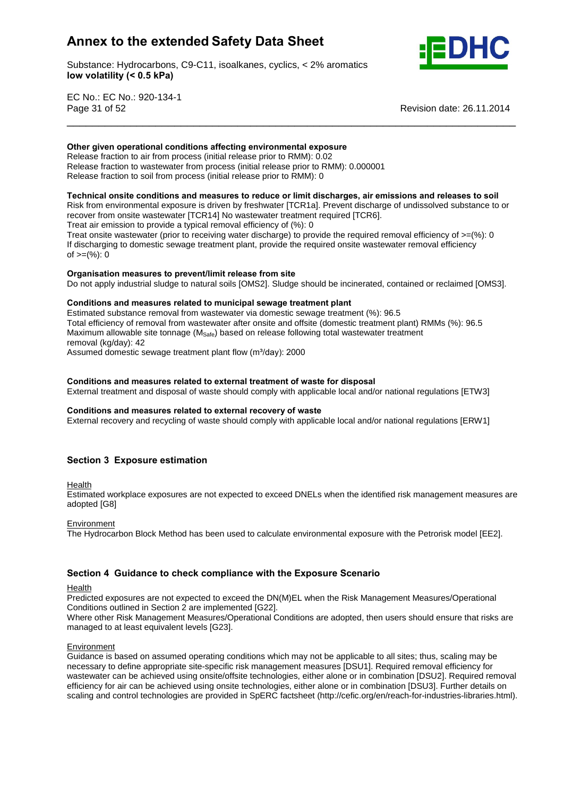Substance: Hydrocarbons, C9-C11, isoalkanes, cyclics, < 2% aromatics **volatility (< 0.5 kPa)**



EC No.: EC No.: 920-134-1 Page 31 of 52 Revision date: 26.11.2014

### **given operational conditions affecting environmental exposure**

Release fraction to air from process (initial release prior to RMM): 0.02 Release fraction to wastewater from process (initial release prior to RMM): 0.000001 **Release fraction to soil from process (initial release prior to RMM): 0** 

### **onsite conditions and measures to reduce or limit discharges, air emissions and releases to soil**

Risk from environmental exposure is driven by freshwater [TCR1a]. Prevent discharge of undissolved substance to or recover from onsite wastewater [TCR14] No wastewater treatment required [TCR6]. Treat air emission to provide a typical removal efficiency of (%): 0

\_\_\_\_\_\_\_\_\_\_\_\_\_\_\_\_\_\_\_\_\_\_\_\_\_\_\_\_\_\_\_\_\_\_\_\_\_\_\_\_\_\_\_\_\_\_\_\_\_\_\_\_\_\_\_\_\_\_\_\_\_\_\_\_\_\_\_\_\_\_\_ **Other**

Treat onsite wastewater (prior to receiving water discharge) to provide the required removal efficiency of  $>=$ (%): 0 If discharging to domestic sewage treatment plant, provide the required onsite wastewater removal efficiency n albertal ging to dent<br>of >=(%): 0

### **measures to prevent/limit release from site**

Do not apply industrial sludge to natural soils [OMS2]. Sludge should be incinerated, contained or reclaimed [OMS3].<br>Conditions and measures related to municipal sewage treatment plant

Estimated substance removal from wastewater via domestic sewage treatment (%): 96.5 Total efficiency of removal from wastewater after onsite and offsite (domestic treatment plant) RMMs (%): 96.5 Maximum allowable site tonnage ( $M_{\text{Safe}}$ ) based on release following total wastewater treatment<br>removal (kg/day): 42<br>Assumed domestic sewage treatment plant flow (m<sup>3</sup>/day): 2000 removal (kg/day): 42

Assumed domestic sewage treatment plant flow (m<sup>3</sup>/day): 2000

### **and measures related to external treatment of waste for disposal**

External treatment and disposal of waste should comply with applicable local and/or national regulations [ETW3]<br>Conditions and measures related to external recovery of waste

External recovery and recycling of waste should comply with applicable local and/or national regulations [ERW1]

### **<sup>3</sup> Exposure estimation**

Health

Estimated workplace exposures are not expected to exceed DNELs when the identified risk management measures are adopted [G8]

### **Environment**

The Hydrocarbon Block Method has been used to calculate environmental exposure with the Petrorisk model [EE2].

### **<sup>4</sup> Guidance to check compliance with the Exposure Scenario**

### Health

Predicted exposures are not expected to exceed the DN(M)EL when the Risk Management Measures/Operational Conditions outlined in Section 2 are implemented [G22].

Where other Risk Management Measures/Operational Conditions are adopted, then users should ensure that risks are managed to at least equivalent levels [G23].

### Environment

Guidance is based on assumed operating conditions which may not be applicable to all sites; thus, scaling may be necessary to define appropriate site-specific risk management measures [DSU1]. Required removal efficiency for wastewater can be achieved using onsite/offsite technologies, either alone or in combination [DSU2]. Required removal efficiency for air can be achieved using onsite technologies, either alone or in combination [DSU3]. Further details on scaling and control technologies are provided in SpERC factsheet (http://cefic.org/en/reach-for-industries-libraries.html).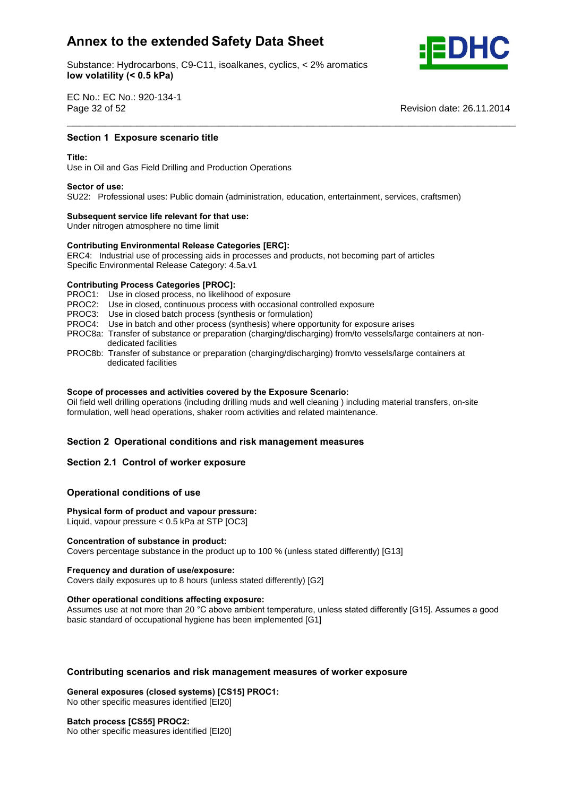

Substance: Hydrocarbons, C9-C11, isoalkanes, cyclics, < 2% aromatics **volatility (< 0.5 kPa)**

EC No.: EC No.: 920-134-1 Page 32 of 52

**Revision date: 26.11.2014** 

## **1 Exposure scenario title**<br>————————————————————<br>Section 1 Exposure scenario title

Use in Oiland Gas Field Drilling and Production Operations **Sector of use:**

SU22: Professional uses: Public domain (administration, education, entertainment, services, craftsmen) **Subsequent service life relevant for that use:**

\_\_\_\_\_\_\_\_\_\_\_\_\_\_\_\_\_\_\_\_\_\_\_\_\_\_\_\_\_\_\_\_\_\_\_\_\_\_\_\_\_\_\_\_\_\_\_\_\_\_\_\_\_\_\_\_\_\_\_\_\_\_\_\_\_\_\_\_\_\_\_

Under nitrogen atmosphere no time limit

# **Subsequent service life relevant for that use:**<br>Under nitrogen atmosphere no time limit<br>Contributing Environmental Release Categories [ERC]:

ERC4: Industrial use of processing aids in processes and products, not becoming part of articles Specific Environmental Release Category: 4.5a.v1 **Contributing Process Categories [PROC]:**

PROC1: Use in closed process, no likelihood of exposure PROC2: Use in closed, continuous process with occasional controlled exposure PROC3: Use in closed batch process (synthesis or formulation) PROC4: Use in batch and other process (synthesis) where opportunity for exposure arises PROC8a: Transfer of substance or preparation (charging/discharging) from/to vessels/large containers at non dedicated facilities PROC8b: Transfer of substance or preparation (charging/discharging) from/to vessels/large containers at dedicated facilities

### **of processes and activities covered by the Exposure Scenario:**

Oil field well drilling operations (including drilling muds and well cleaning ) including material transfers, on-site formulation, well head operations, shaker room activities and related maintenance.

# **<sup>2</sup> Operational conditions and risk management measures Section 2.1 Control of worker exposure**

### **Section 2.1 Control of worker exposure**

## **conditions** of worker exposured<br> **Physical**<br> **Physical**<br> **Physical**<br> **Physical**

### **form of product and vapour pressure:**

Liquid, vapour pressure < 0.5 kPa at STP [OC3] **Concentration of substance in product:**

Covers percentage substance in the product up to 100 % (unless stated differently) [G13] **Frequency and duration of use/exposure:**

Covers daily exposures up to 8 hours (unless stated differently) [G2] **Other operational conditions affecting exposure:**

Other operational conditions affecting exposure:<br>Assumes use at not more than 20 °C above ambient temperature, unless stated differently [G15]. Assumes a good basic standard of occupational hygiene has been implemented [G1]

# **scenarios and risk management measures of worker exposure General exposures (closed systems) [CS15] PROC1:**

No other specific measures identified [EI20] **Batch process [CS55] PROC2:**

No other specific measures identified [EI20]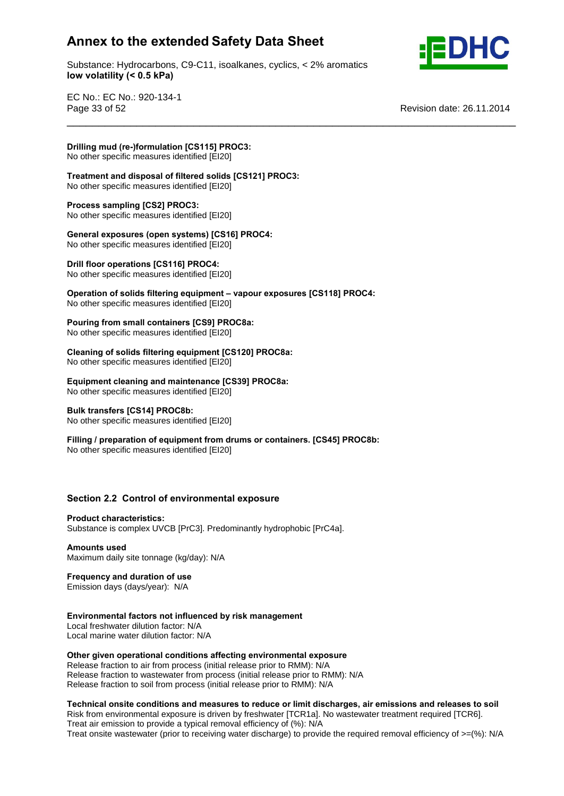Substance: Hydrocarbons, C9-C11, isoalkanes, cyclics, < 2% aromatics **volatility (< 0.5 kPa)**

\_\_\_\_\_\_\_\_\_\_\_\_\_\_\_\_\_\_\_\_\_\_\_\_\_\_\_\_\_\_\_\_\_\_\_\_\_\_\_\_\_\_\_\_\_\_\_\_\_\_\_\_\_\_\_\_\_\_\_\_\_\_\_\_\_\_\_\_\_\_\_



EC No.: EC No.: 920-134-1 Page 33 of 52 Revision date: 26.11.2014

**Drilling**

 **mud (re-)formulation [CS115] PROC3: Trimate in the contract of the control of the specific measures identified [EI20]** 

 **and disposal of filtered solids [CS121] PROC3:** No other specific measures identified [EI20] **Process sampling [CS2] PROC3:**

No other specific measures identified [EI20] **Process sampling [CS2] PROC3:**<br>No other specific measures identified [EI20]<br>General exposures (open systems) [CS16] PROC4:

No other specific measures identified [EI20] **Drill floor operations [CS116] PROC4:**

No other specific measures identified [EI20] **Operation**

**offeral filtering filtering filtering equipment c**<br>**offeral increases identified** [EI20]<br>**Operation of solids filtering equipment** – vapour exposures [CS118] PROC4: No other specific measures identified [EI20] **Pouring**

 **from small containers [CS9] PROC8a:** No other specific measures identified [EI20]

 **of solids filtering equipment [CS120] PROC8a:** No other specific measures identified [EI20] **Equipment**

 **cleaning and maintenance [CS39] PROC8a:** No other specific measures identified [EI20] **Bulk transfers [CS14] PROC8b:**

**Example 12 Construction** Fig. 1.10 Construction No other specific measures identified [EI20]

**/ Rulk transfers [CS14] PROC8b:**<br>
No other specific measures identified [EI20]<br> **Filling** / preparation of equipment from drums or containers. [CS45] PROC8b: No other specific measures identified [EI20]

# **2.2 Control of environmental exposure Product characteristics:**

Substance is complex UVCB [PrC3]. Predominantly hydrophobic [PrC4a]. **Amounts used**

Maximum daily site tonnage (kg/day): N/A **Frequency and duration of use**

Emission days (days/year): N/A **Environmental**

**factors not influenced by risk management**

Local freshwater dilution factor: N/A Local marine water dilution factor: N/A

 **given operational conditions affecting environmental exposure** Release fraction to air from process (initial release prior to RMM): N/A Release fraction to wastewater from process (initial release prior to RMM): N/A Action to the matter from process (initial release prior to RMM): N/A<br>Release fraction to soil from process (initial release prior to RMM): N/A

**onsite conditions and measures to reduce or limit discharges, air emissions and releases to soil**

Risk from environmental exposure is driven by freshwater [TCR1a]. No wastewater treatment required [TCR6]. Treat air emission to provide a typical removal efficiency of (%): N/A Treat onsite wastewater (prior to receiving water discharge) to provide the required removal efficiency of >=(%): N/A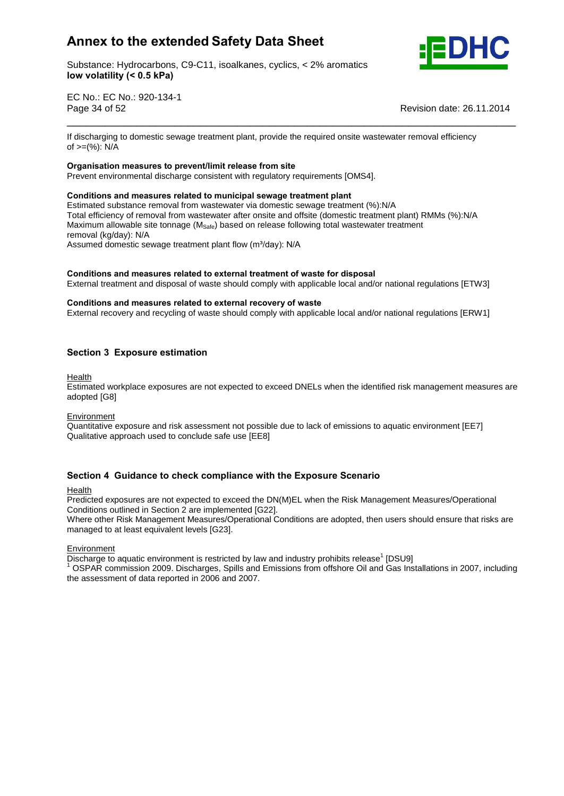

Substance: Hydrocarbons, C9-C11, isoalkanes, cyclics, < 2% aromatics **volatility (< 0.5 kPa)**

EC No.: EC No.: 920-134-1 Page 34 of 52 Revision date: 26.11.2014

If discharging to domestic sewage treatment plant, provide the required onsite wastewater removal efficiency n also half ging to domest.<br>of >=(%): N/A

\_\_\_\_\_\_\_\_\_\_\_\_\_\_\_\_\_\_\_\_\_\_\_\_\_\_\_\_\_\_\_\_\_\_\_\_\_\_\_\_\_\_\_\_\_\_\_\_\_\_\_\_\_\_\_\_\_\_\_\_\_\_\_\_\_\_\_\_\_\_\_

### **measures to prevent/limit release from site**

Prevent environmental discharge consistent with regulatory requirements [OMS4]. **Conditions and measures related to municipal sewage treatment plant**

Estimated substance removal from wastewater via domestic sewage treatment (%):N/A Total efficiency of removal from wastewater after onsite and offsite (domestic treatment plant) RMMs (%):N/A Maximum allowable site tonnage ( $M_{\text{Safe}}$ ) based on release following total wastewater treatment<br>removal (kg/day): N/A<br>Assumed domestic sewage treatment plant flow (m<sup>3</sup>/day): N/A removal (kg/day): N/A

Assumed domestic sewage treatment plant flow (m<sup>3</sup>/day): N/A

### **and measures related to external treatment of waste for disposal**

External treatment and disposal of waste should comply with applicable local and/or national regulations [ETW3]<br>Conditions and measures related to external recovery of waste

External recovery and recycling of waste should comply with applicable local and/or national regulations [ERW1]

### **<sup>3</sup> Exposure estimation**

Health

Estimated workplace exposures are not expected to exceed DNELs when the identified risk management measures are adopted [G8]

### Environment

Quantitative exposure and risk assessment not possible due to lack of emissions to aquatic environment [EE7] Qualitative approach used to conclude safe use [EE8]

### **<sup>4</sup> Guidance to check compliance with the Exposure Scenario**

### Health

Predicted exposures are not expected to exceed the DN(M)EL when the Risk Management Measures/Operational Conditions outlined in Section 2 are implemented [G22].

Where other Risk Management Measures/Operational Conditions are adopted, then users should ensure that risks are managed to at least equivalent levels [G23].

### Environment

Discharge to aquatic environment is restricted by law and industry prohibits release<sup>1</sup> [DSU9]

[DSU9] <sup>1</sup> OSPAR commission 2009. Discharges, Spills and Emissions from offshore Oil and Gas Installations in 2007, including the assessment of data reported in 2006 and 2007.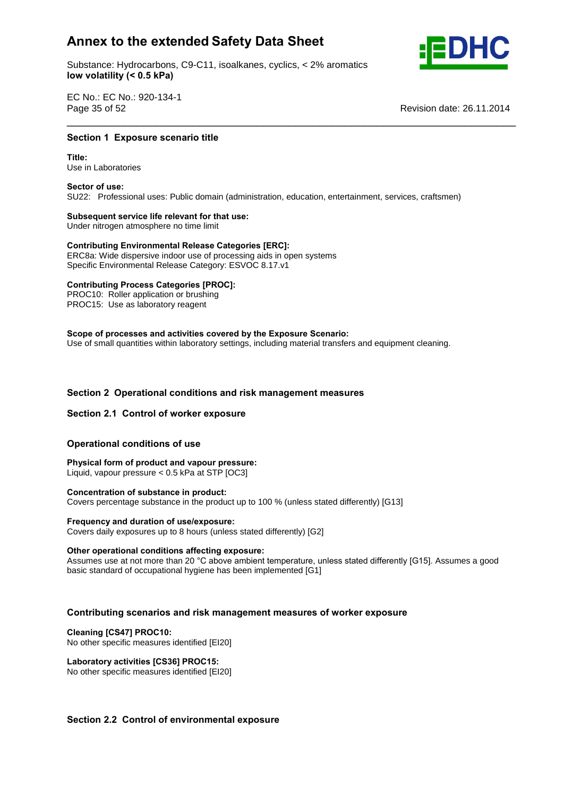Substance: Hydrocarbons, C9-C11, isoalkanes, cyclics, < 2% aromatics **volatility (< 0.5 kPa)**



EC No.: EC No.: 920-134-1 Page 35 of 52

**Revision date: 26.11.2014** 

## **1 Exposure scenario title**<br>————————————————————<br>Section 1 Exposure scenario title

Use in Laboratories **Sector of use:**

SU22: Professional uses: Public domain (administration, education, entertainment, services, craftsmen) **Subsequent service life relevant for that use:**

\_\_\_\_\_\_\_\_\_\_\_\_\_\_\_\_\_\_\_\_\_\_\_\_\_\_\_\_\_\_\_\_\_\_\_\_\_\_\_\_\_\_\_\_\_\_\_\_\_\_\_\_\_\_\_\_\_\_\_\_\_\_\_\_\_\_\_\_\_\_\_

Under nitrogen atmosphere no time limit

# **Subsequent service life relevant for that use:**<br>
Under nitrogen atmosphere no time limit<br>
Contributing Environmental Release Categories [ERC]:

ERC8a: Wide dispersive indoor use of processing aids in open systems Specific Environmental Release Category: ESVOC 8.17.v1 **Contributing Process Categories [PROC]:**

PROC10: Roller application or brushing PROC15: Use as laboratory reagent **Scope**

 **of processes and activities covered by the Exposure Scenario:** Use of small quantities within laboratory settings, including material transfers and equipment cleaning.

# **<sup>2</sup> Operational conditions and risk management measures Section 2.1 Control of worker exposure**

### **Section 2.1 Control of worker exposure**

## **conditions** of worker exposured<br>Operational conditions of use

 **form of product and vapour pressure:** Liquid, vapour pressure < 0.5 kPa at STP [OC3] **Concentration of substance in product:**

Covers percentage substance in the product up to 100 % (unless stated differently) [G13] **Frequency and duration of use/exposure:**

Covers daily exposures up to 8 hours (unless stated differently) [G2] **Other operational conditions affecting exposure:**

Other operational conditions affecting exposure:<br>Assumes use at not more than 20 °C above ambient temperature, unless stated differently [G15]. Assumes a good basic standard of occupational hygiene has been implemented [G1]

# **scenarios and risk management measures of worker exposure Cleaning [CS47] PROC10:**

## No other specific measures identified [EI20] **Laboratory activities [CS36] PROC15:**

No other specific measures identified [EI20]

### **2.2 Control of environmental exposure**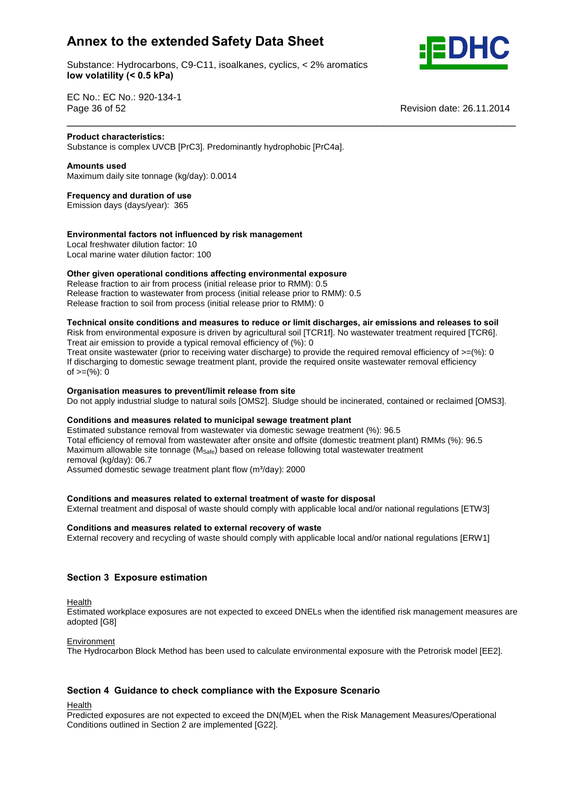Substance: Hydrocarbons, C9-C11, isoalkanes, cyclics, < 2% aromatics **volatility (< 0.5 kPa)**



**Revision date: 26.11.2014** 

EC No.: EC No.: 920-134-1 Page 36 of 52

### **Product characteristics:**

Substance is complex UVCB [PrC3]. Predominantly hydrophobic [PrC4a]. **Amounts used**

Maximum daily site tonnage (kg/day): 0.0014 **Frequency and duration of use**

Emission days (days/year): 365

### **factors not influenced by risk management**

Local freshwater dilution factor: 10 Local marine water dilution factor: 100 **Other**

### **given operational conditions affecting environmental exposure**

Release fraction to air from process (initial release prior to RMM): 0.5 Release fraction to wastewater from process (initial release prior to RMM): 0.5 release fraction to soil from process (initial release prior to RMM): 0

### **onsite conditions and measures to reduce or limit discharges, air emissions and releases to soil**

\_\_\_\_\_\_\_\_\_\_\_\_\_\_\_\_\_\_\_\_\_\_\_\_\_\_\_\_\_\_\_\_\_\_\_\_\_\_\_\_\_\_\_\_\_\_\_\_\_\_\_\_\_\_\_\_\_\_\_\_\_\_\_\_\_\_\_\_\_\_\_

Risk from environmental exposure is driven by agricultural soil [TCR1f]. No wastewater treatment required [TCR6]. Treat air emission to provide a typical removal efficiency of (%): 0

Treat onsite wastewater (prior to receiving water discharge) to provide the required removal efficiency of  $>=$ (%): 0 If discharging to domestic sewage treatment plant, provide the required onsite wastewater removal efficiency n albertal ging to dent<br>of >=(%): 0

### **measures to prevent/limit release from site**

Do not apply industrial sludge to natural soils [OMS2]. Sludge should be incinerated, contained or reclaimed [OMS3].<br>Conditions and measures related to municipal sewage treatment plant

Estimated substance removal from wastewater via domestic sewage treatment (%): 96.5 Total efficiency of removal from wastewater after onsite and offsite (domestic treatment plant) RMMs (%): 96.5 Maximum allowable site tonnage ( $M_{\text{Safe}}$ ) based on release following total wastewater treatment<br>removal (kg/day): 06.7<br>Assumed domestic sewage treatment plant flow (m<sup>3</sup>/day): 2000 removal (kg/day): 06.7

Assumed domestic sewage treatment plant flow (m<sup>3</sup>/day): 2000

### **and measures related to external treatment of waste for disposal**

External treatment and disposal of waste should comply with applicable local and/or national regulations [ETW3]<br>Conditions and measures related to external recovery of waste

External recovery and recycling of waste should comply with applicable local and/or national regulations [ERW1]

### **<sup>3</sup> Exposure estimation**

Health

Estimated workplace exposures are not expected to exceed DNELs when the identified risk management measures are adopted [G8]

### **Environment**

The Hydrocarbon Block Method has been used to calculate environmental exposure with the Petrorisk model [EE2].

### **<sup>4</sup> Guidance to check compliance with the Exposure Scenario**

Health

Predicted exposures are not expected to exceed the DN(M)EL when the Risk Management Measures/Operational Conditions outlined in Section 2 are implemented [G22].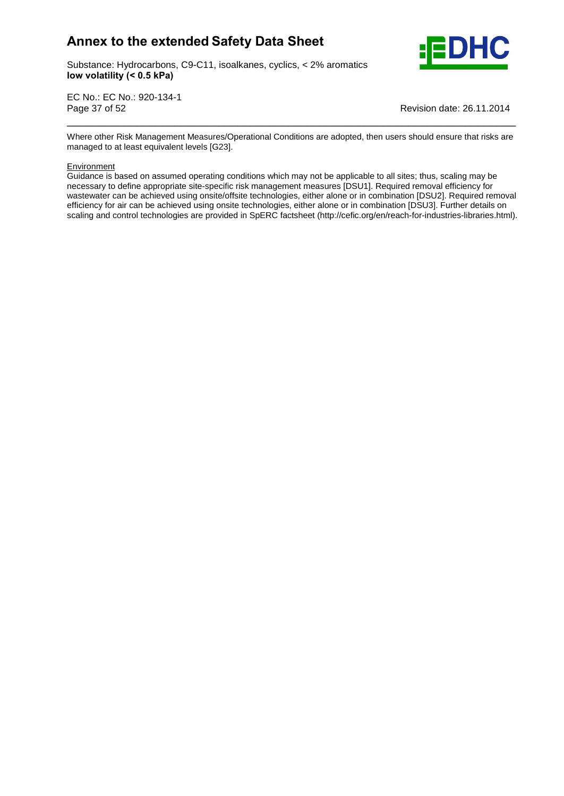

Substance: Hydrocarbons, C9-C11, isoalkanes, cyclics, < 2% aromatics **volatility (< 0.5 kPa)**

EC No.: EC No.: 920-134-1 Page 37 of 52 Revision date: 26.11.2014

Where other Risk Management Measures/Operational Conditions are adopted, then users should ensure that risks are managed to at least equivalent levels [G23].

\_\_\_\_\_\_\_\_\_\_\_\_\_\_\_\_\_\_\_\_\_\_\_\_\_\_\_\_\_\_\_\_\_\_\_\_\_\_\_\_\_\_\_\_\_\_\_\_\_\_\_\_\_\_\_\_\_\_\_\_\_\_\_\_\_\_\_\_\_\_\_

**Environment** 

Guidance is based on assumed operating conditions which may not be applicable to all sites; thus, scaling may be necessary to define appropriate site-specific risk management measures [DSU1]. Required removal efficiency for wastewater can be achieved using onsite/offsite technologies, either alone or in combination [DSU2]. Required removal efficiency for air can be achieved using onsite technologies, either alone or in combination [DSU3]. Further details on scaling and control technologies are provided in SpERC factsheet (http://cefic.org/en/reach-for-industries-libraries.html).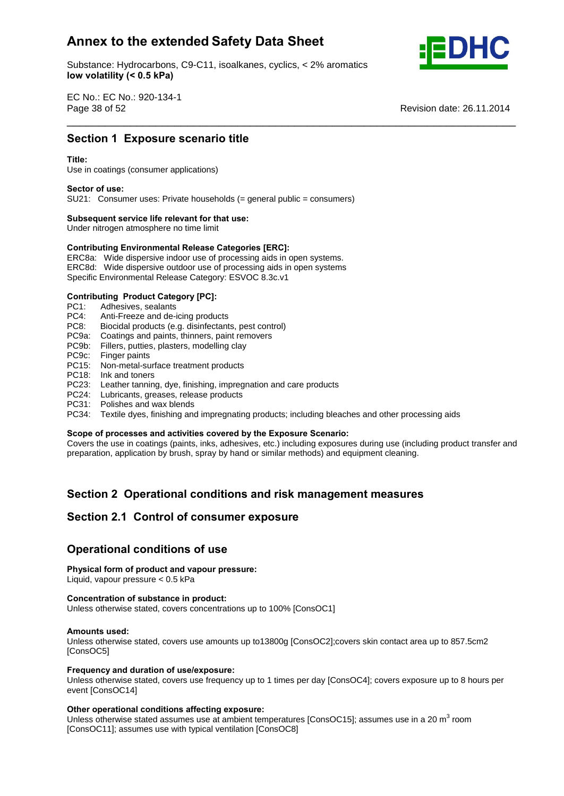Substance: Hydrocarbons, C9-C11, isoalkanes, cyclics, < 2% aromatics **volatility (< 0.5 kPa)**



EC No.: EC No.: 920-134-1 Page 38 of 52 Revision date: 26.11.2014 \_\_\_\_\_\_\_\_\_\_\_\_\_\_\_\_\_\_\_\_\_\_\_\_\_\_\_\_\_\_\_\_\_\_\_\_\_\_\_\_\_\_\_\_\_\_\_\_\_\_\_\_\_\_\_\_\_\_\_\_\_\_\_\_\_\_\_\_\_\_\_ **Section**

# **<sup>1</sup> Exposure scenario title Title:**

### Title<sup>.</sup>

Use in coatings (consumer applications) **Sector of use:**

SU21: Consumer uses: Private households (= general public = consumers) **Subsequent service life relevant for that use:**

Under nitrogen atmosphere no time limit

# **Subsequent service life relevant for that use:**<br>
Under nitrogen atmosphere no time limit<br>
Contributing Environmental Release Categories [ERC]:

ERC8a: Wide dispersive indoor use of processing aids in open systems. ERC8d: Wide dispersive outdoor use of processing aids in open systems Specific Environmental Release Category: ESVOC 8.3c.v1 **Contributing Product Category [PC]:**

- PC1: Adhesives, sealants<br>PC4: Anti-Freeze and de-
- Anti-Freeze and de-icing products
- PC8: Biocidal products (e.g. disinfectants, pest control)
- PC9a: Coatings and paints, thinners, paint removers
- PC9b: Fillers, putties, plasters, modelling clay
- PC9c: Finger paints
- PC15: Non-metal-surface treatment products
- PC18: Ink and toners
- PC23: Leather tanning, dye, finishing, impregnation and care products
- PC24: Lubricants, greases, release products
- PC31: Polishes and wax blends
- PC34: Textile dyes, finishing and impregnating products; including bleaches and other processing aids<br>Scope of processes and activities covered by the Exposure Scenario:

Covers the use in coatings (paints, inks, adhesives, etc.) including exposures during use (including product transfer and preparation, application by brush, spray by hand or similar methods) and equipment cleaning.

# **<sup>2</sup> Operational conditions and risk management measures Section 2.1 Control of consumer exposure**

# Section 2.1 Control of consumer expo<br>Operational conditions of use

## **Physical form of product and vapour pressure:**

## **Physical form of product and vapour pressure:**<br>Liquid, vapour pressure < 0.5 kPa<br>Concentration of substance in product:

Liquid, vapour pressure < 0.5 kPa **Concentration**

Unless otherwise stated, covers concentrations up to 100% [ConsOC1] **Amounts used:**

Unless otherwise stated, covers use amounts up to13800g [ConsOC2];covers skin contact area up to 857.5cm2 [ConsOC5] **Frequency**

### **and duration of use/exposure:**

Unless otherwise stated, covers use frequency up to 1 times per day [ConsOC4]; covers exposure up to 8 hours per event [ConsOC14]

### **operational conditions affecting exposure:**

Unless otherwise stated assumes use at ambient temperatures [ConsOC15]; assumes use in a 20 m<sup>3</sup> room [ConsOC11]; assumes use with typical ventilation [ConsOC8]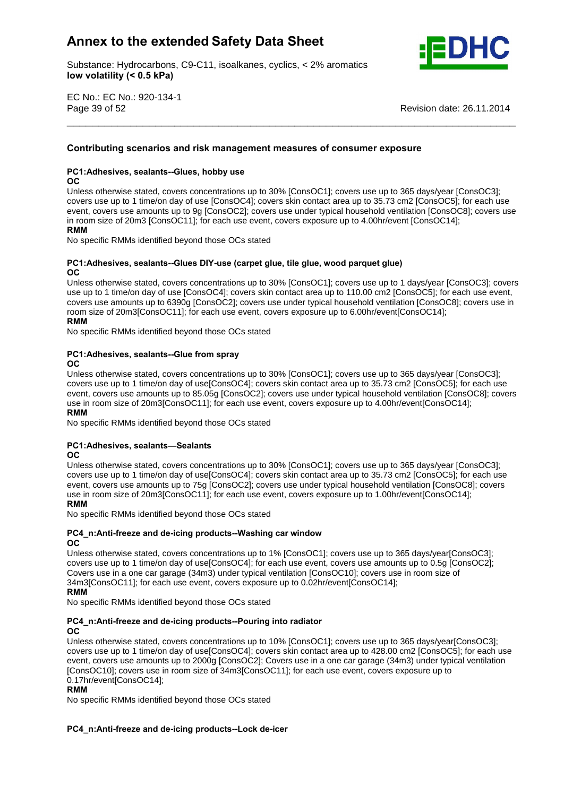Substance: Hydrocarbons, C9-C11, isoalkanes, cyclics, < 2% aromatics **volatility (< 0.5 kPa)**



EC No.: EC No.: 920-134-1 Page 39 of 52 Revision date: 26.11.2014

# **scenarios and risk management measures of consumer exposure PC1:Adhesives, sealants--Glues, hobby use**

### nc.

Unless otherwise stated, covers concentrations up to 30% [ConsOC1]; covers use up to 365 days/year [ConsOC3]; covers use up to 1 time/on day of use [ConsOC4]; covers skin contact area up to 35.73 cm2 [ConsOC5]; for each use event, covers use amounts up to 9g [ConsOC2]; covers use under typical household ventilation [ConsOC8]; covers use in room size of 20m3 [ConsOC11]; for each use event, covers exposure up to 4.00hr/event [ConsOC14]; **RMM** 

\_\_\_\_\_\_\_\_\_\_\_\_\_\_\_\_\_\_\_\_\_\_\_\_\_\_\_\_\_\_\_\_\_\_\_\_\_\_\_\_\_\_\_\_\_\_\_\_\_\_\_\_\_\_\_\_\_\_\_\_\_\_\_\_\_\_\_\_\_\_\_ **Contributing**

No specific RMMs identified beyond those OCs stated

### **sealants--Glues DIY-use (carpet glue, tile glue, wood parquet glue)**

### **OC**

Unless otherwise stated, covers concentrations up to 30% [ConsOC1]; covers use up to 1 days/year [ConsOC3]; covers use up to 1 time/on day of use [ConsOC4]; covers skin contact area up to 110.00 cm2 [ConsOC5]; for each use event, covers use amounts up to 6390g [ConsOC2]; covers use under typical household ventilation [ConsOC8]; covers use in **RMM**room size of 20m3[ConsOC11]; for each use event, covers exposure up to 6.00hr/event[ConsOC14];<br>RMM

## No specific RMMs identified beyond those OCs stated **PC1:Adhesives, sealants--Glue from spray**

### $OC$

Unless otherwise stated, covers concentrations up to 30% [ConsOC1]; covers use up to 365 days/year [ConsOC3]; covers use up to 1 time/on day of use[ConsOC4]; covers skin contact area up to 35.73 cm2 [ConsOC5]; for each use event, covers use amounts up to 85.05g [ConsOC2]; covers use under typical household ventilation [ConsOC8]; covers<br>RMM And The Second Ventilation of the Superior of the Second Ventilation (ConsOC8); covers use in room size of 20m3[ConsOC11]; for each use event, covers exposure up to 4.00hr/event[ConsOC14]; **RMM** 

No specific RMMs identified beyond those OCs stated<br>**PC1:Adhesives. sealants—Sealants** 

### **OC**

 Unless otherwise stated, covers concentrations up to 30% [ConsOC1]; covers use up to 365 days/year [ConsOC3]; covers use up to 1 time/on day of use[ConsOC4]; covers skin contact area up to 35.73 cm2 [ConsOC5]; for each use event, covers use amounts up to 75g [ConsOC2]; covers use under typical household ventilation [ConsOC8]; covers<br>RMM AMMADIS USES AND THE USES AND THE USES AND THE USES AND THE USES AND THE USES AND THE USES OF THE USES OF use in room size of 20m3[ConsOC11]; for each use event, covers exposure up to 1.00hr/event[ConsOC14];

### **RMM**

where the control of the stated sector that the sector stated **NO4** specific RMMs identified beyond those OCs stated **OC**

### **and de-icing products--Washing car window**  $_{\rm OC}$

Unless otherwise stated, covers concentrations up to 1% [ConsOC1]; covers use up to 365 days/year[ConsOC3]; covers use up to 1 time/on day of use[ConsOC4]; for each use event, covers use amounts up to 0.5g [ConsOC2]; covers use in a one car garage (34m3) under typical ventilation [ConsOC10]; covers use in room size of 34m3[ConsOC11]; for each use event, covers exposure up to 0.02hr/event[ConsOC14];

where the control of the stated sector that the sector stated **NO4** specific RMMs identified beyond those OCs stated **OC**

### **PC4** n:Anti-freeze and de-icing products--Pouring into radiator

### $OC$

Unless otherwise stated, covers concentrations up to 10% [ConsOC1]; covers use up to 365 days/year[ConsOC3]; covers use up to 1 time/on day of use[ConsOC4]; covers skin contact area up to 428.00 cm2 [ConsOC5]; for each use event, covers use amounts up to 2000g [ConsOC2]; Covers use in a one cargarage (34m3) under typical ventilation consoct to the meaning of the strengthene stay, service are the car gaings (state) and speak consocially covers use in room size of 34m3[ConsOC11]; for each use event, covers exposure up to 0.17hr/event[ConsOC14];

### **RMM**

No specific RMMs identified beyond those OCs stated

### **and de-icing products--Lock de-icer**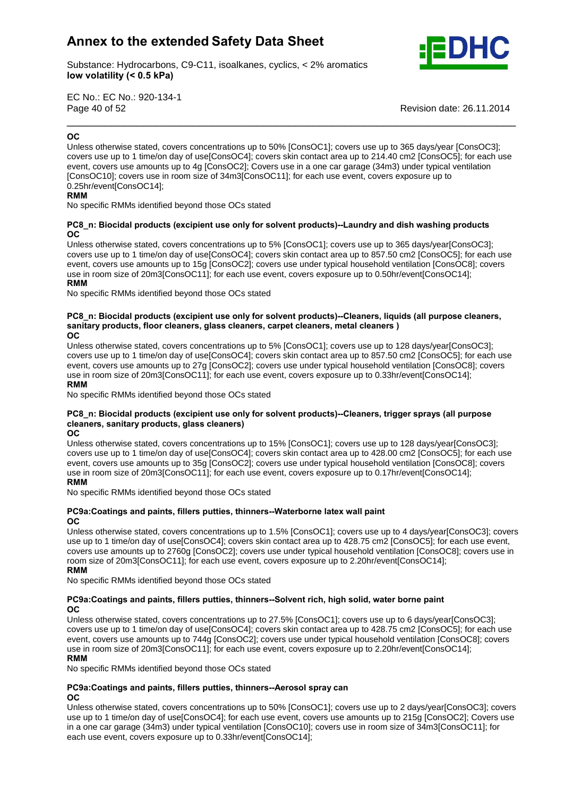

Substance: Hydrocarbons, C9-C11, isoalkanes, cyclics, < 2% aromatics **volatility (< 0.5 kPa)**

EC No.: EC No.: 920-134-1 Page 40 of 52 Revision date: 26.11.2014 \_\_\_\_\_\_\_\_\_\_\_\_\_\_\_\_\_\_\_\_\_\_\_\_\_\_\_\_\_\_\_\_\_\_\_\_\_\_\_\_\_\_\_\_\_\_\_\_\_\_\_\_\_\_\_\_\_\_\_\_\_\_\_\_\_\_\_\_\_\_\_ **OC**

### OC.

Unless otherwise stated, covers concentrations up to 50% [ConsOC1]; covers use up to 365 days/year [ConsOC3]; covers use up to 1 time/on day of use[ConsOC4]; covers skin contact area up to 214.40 cm2 [ConsOC5]; for each use event, covers use amounts up to 4g [ConsOC2]; Covers use in a one cargarage (34m3) under typical ventilation From, corrector and annuality of the state of 34m3[ConsOC11]; for each use event, covers exposure up to **RMM** ConsOC10]; covers use in room size of 34m3[ConsOC11]; for each use event, covers exposure up to 0.25hr/event[ConsOC14];

where the specific RMMs identified beyond those OCs stated **OC**

### **Biocidal products (excipient use only for solvent products)--Laundry and dish washing products** OC.

Unless otherwise stated, covers concentrations up to 5% [ConsOC1]; covers use up to 365 days/year[ConsOC3]; covers use up to 1 time/on day of use[ConsOC4]; covers skin contact area up to 857.50 cm2 [ConsOC5]; for each use event, covers use amounts up to 15g [ConsOC2]; covers use under typical household ventilation [ConsOC8]; covers use in room size of 20m3[ConsOC11]; for each use event, covers exposure up to 0.50hr/event[ConsOC14]; **RMM** 

No specific RMMs identified beyond those OCs stated

### **Biocidal products (excipient use only for solvent products)--Cleaners, liquids (all purpose cleaners, sanitary**Biocidal products (excipient use only for solvent products)--Cleaners, liquids (all<br>products, floor cleaners, glass cleaners, carpet cleaners, metal cleaners ) **OC**OC.

Unless otherwise stated, covers concentrations up to 5% [ConsOC1]; covers use up to 128 days/year[ConsOC3]; covers use up to 1 time/on day of use[ConsOC4]; covers skin contact area up to 857.50 cm2 [ConsOC5]; for each use event, covers use amounts up to 27g [ConsOC2]; covers use under typical household ventilation [ConsOC8]; covers<br>RMM, covers use amounts up to 27g [ConsOC2]; covers use under typical household ventilation [ConsOC8]; covers use in room size of 20m3[ConsOC11]; for each use event, covers exposure up to 0.33hr/event[ConsOC14];<br>RMM

whilf the specific RMMs identified beyond those OCs stated **cleaners,**

### **Biocidal products (excipient use only for solvent products)--Cleaners, trigger sprays (all purpose sanitary products, glass cleaners) OC**

**OC** 

Unless otherwise stated, covers concentrations up to 15% [ConsOC1]; covers use up to 128 days/year[ConsOC3]; covers use up to 1 time/on day of use[ConsOC4]; covers skin contact area up to 428.00 cm2 [ConsOC5]; for each use event, covers use amounts up to 35g [ConsOC2]; covers use under typical household ventilation [ConsOC8]; covers<br>RMM And The Second Ventilation of the Second Ventilation of the Second Ventilation [ConsOC8]; covers use in room size of 20m3[ConsOC11]; for each use event, covers exposure up to 0.17hr/event[ConsOC14];

........<br>No specific RMMs identified beyond those OCs stated

### **and paints, fillers putties, thinners--Waterborne latex wall paint** OC.

Unless otherwise stated, covers concentrations up to 1.5% [ConsOC1]; covers use up to 4 days/year[ConsOC3]; covers use up to 1 time/on day of use[ConsOC4]; covers skin contact area up to 428.75 cm2 [ConsOC5]; for each use event, covers use amounts up to 2760g [ConsOC2]; covers use under typical household ventilation [ConsOC8]; covers use in **RMM**room size of 20m3[ConsOC11]; for each use event, covers exposure up to 2.20hr/event[ConsOC14]; **RMM** 

**No specific RMMs identified beyond those OCs stated** 

### **and paints, fillers putties, thinners--Solvent rich, high solid, water borne paint OC**

 Unless otherwise stated, covers concentrations up to 27.5% [ConsOC1]; covers use up to 6 days/year[ConsOC3]; covers use up to 1 time/on day of use[ConsOC4]; covers skin contact area up to 428.75 cm2 [ConsOC5]; for each use event, covers use amounts up to 744g [ConsOC2]; covers use under typical household ventilation [ConsOC8]; covers<br>RMM And The Second Ventilation of the Second Ventilation of the Second Ventilation [ConsOC8]; covers use in room size of 20m3[ConsOC11]; for each use event, covers exposure up to 2.20hr/event[ConsOC14];<br>RMM

**No specific RMMs identified beyond those OCs stated** 

### **and paints, fillers putties, thinners--Aerosol spray can OC**

Unless otherwise stated, covers concentrations up to 50% [ConsOC1]; covers use up to 2 days/year[ConsOC3]; covers use up to 1 time/on day of use[ConsOC4]; for each use event, covers use amounts up to 215g [ConsOC2]; Covers use in a one cargarage (34m3) under typical ventilation [ConsOC10]; covers use in room sizeof 34m3[ConsOC11]; for each use event, covers exposure up to 0.33hr/event[ConsOC14];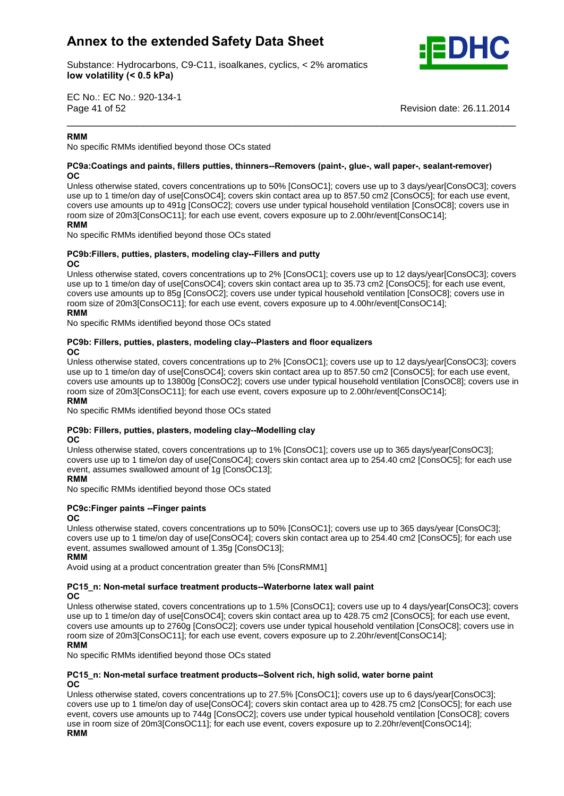Substance: Hydrocarbons, C9-C11, isoalkanes, cyclics, < 2% aromatics **volatility (< 0.5 kPa)**



EC No.: EC No.: 920-134-1 Page 41 of 52

Revision date: 26.11.2014

### **RMM**

**No specific RMMs identified beyond those OCs stated OC**

### **and paints, fillers putties, thinners--Removers (paint-, glue-, wall paper-, sealant-remover)** OC.

Unless otherwise stated, covers concentrations up to 50% [ConsOC1]; covers use up to 3 days/year[ConsOC3]; covers use up to 1 time/on day of use[ConsOC4]; covers skin contact area up to 857.50 cm2 [ConsOC5]; for each use event, covers use amounts up to 491g [ConsOC2]; covers use under typical household ventilation [ConsOC8]; covers use in **RMM**room size of 20m3[ConsOC11]; for each use event, covers exposure up to 2.00hr/event[ConsOC14];

\_\_\_\_\_\_\_\_\_\_\_\_\_\_\_\_\_\_\_\_\_\_\_\_\_\_\_\_\_\_\_\_\_\_\_\_\_\_\_\_\_\_\_\_\_\_\_\_\_\_\_\_\_\_\_\_\_\_\_\_\_\_\_\_\_\_\_\_\_\_\_

### **RMM**

where the contribution of the sector and those CCs stated **No** specific RMMs identified beyond those OCs stated

### **putties, plasters, modeling clay--Fillers and putty**

### **OC**

Unless otherwise stated, covers concentrations up to 2% [ConsOC1]; covers use up to 12 days/year[ConsOC3]; covers use up to 1 time/on day of use[ConsOC4]; covers skin contact area up to 35.73 cm2 [ConsOC5]; for each use event, covers use amounts up to 85g [ConsOC2]; covers use under typical household ventilation [ConsOC8]; covers use in **RMM**room size of 20m3[ConsOC11]; for each use event, covers exposure up to 4.00hr/event[ConsOC14];

where the contribution of the sector of the sector stated **No** specific RMMs identified beyond those OCs stated

### **Fillers, putties, plasters, modeling clay--Plasters and floor equalizers OC**

Unless otherwise stated, covers concentrations up to 2% [ConsOC1]; covers use up to 12 days/year[ConsOC3]; covers use up to 1 time/on day of use[ConsOC4]; covers skin contact area up to 857.50 cm2 [ConsOC5]; for each use event, covers use amounts up to 13800g [ConsOC2]; covers use under typical household ventilation [ConsOC8]; covers use in **RMM**room size of 20m3[ConsOC11]; for each use event, covers exposure up to 2.00hr/event[ConsOC14]; **RMM** 

where the contribution of the sector of the sector stated **No** specific RMMs identified beyond those OCs stated

### **Fillers, putties, plasters, modeling clay--Modelling clay**

### **OC**

Unless otherwise stated, covers concentrations up to 1% [ConsOC1]; covers use up to 365 days/year[ConsOC3]; covers use up to 1 time/on day of use[ConsOC4]; covers skin contact area up to 254.40 cm2 [ConsOC5]; for each use event, assumes swallowed amount of 1g [ConsOC13];

### **RMM**

No specific RMMs identified beyond those OCs stated **PC9c:Finger paints --Finger paints OC**

### OC.

Unless otherwise stated, covers concentrations up to 50% [ConsOC1]; covers use up to 365 days/year [ConsOC3]; covers use up to 1 time/on day of use[ConsOC4]; covers skin contact area up to 254.40 cm2 [ConsOC5]; for each use<br>**RMM** event, assumes swallowed amount of 1.35g [ConsOC13];

-------<br>Avoid using at a product concentration greater than 5% [ConsRMM1] **OC**

### **Non-metal surface treatment products--Waterborne latex wall paint** OC

Unless otherwise stated, covers concentrations up to 1.5% [ConsOC1]; covers use up to 4 days/year[ConsOC3]; covers use up to 1 time/on day of use[ConsOC4]; covers skin contact area up to 428.75 cm2 [ConsOC5]; for each use event, covers use amounts up to 2760g [ConsOC2]; covers use under typical household ventilation [ConsOC8]; covers use in **RMM**room size of 20m3[ConsOC11]; for each use event, covers exposure up to 2.20hr/event[ConsOC14];

### **RMM**

whilf the specific RMMs identified beyond those OCs stated **OC**

### **Non-metal surface treatment products--Solvent rich, high solid, water borne paint OC**

Unless otherwise stated, covers concentrations up to 27.5% [ConsOC1]; covers use up to 6 days/year[ConsOC3]; covers use up to 1 time/on day of use[ConsOC4]; covers skin contact area up to 428.75 cm2 [ConsOC5]; for each use event, covers use amounts up to 744g [ConsOC2]; covers use under typical household ventilation [ConsOC8]; covers<br>RMM And The Second Ventilation of the Second Ventilation of the Second Ventilation [ConsOC8]; covers use in room size of 20m3[ConsOC11]; for each use event, covers exposure up to 2.20hr/event[ConsOC14];

### **RMM**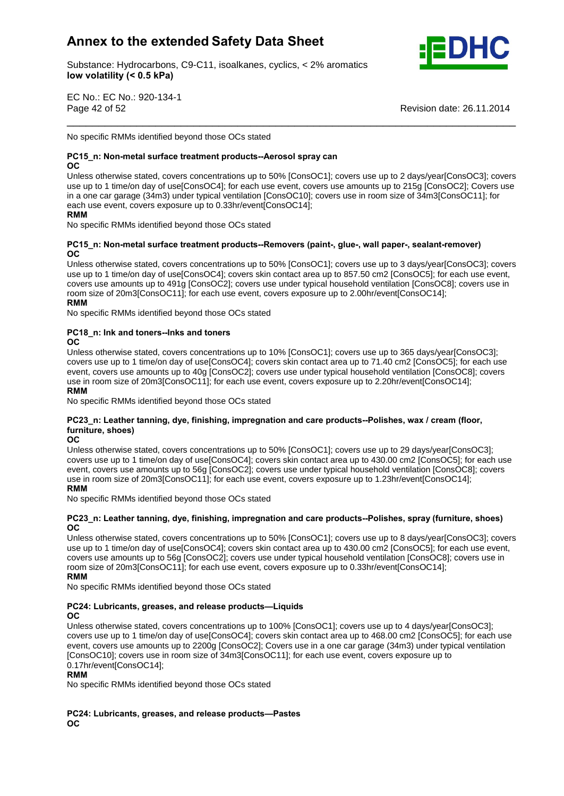

Substance: Hydrocarbons, C9-C11, isoalkanes, cyclics, < 2% aromatics **volatility (< 0.5 kPa)**

EC No.: EC No.: 920-134-1 Page 42 of 52 Revision date: 26.11.2014

No specific RMMs identified beyond those OCs stated

### **Non-metal surface treatment products--Aerosol spray can**

OC.

Unless otherwise stated, covers concentrations up to 50% [ConsOC1]; covers use up to 2 days/year[ConsOC3]; covers use up to 1 time/on day of use[ConsOC4]; for each use event, covers use amounts up to 215g [ConsOC2]; Covers use in a one cargarage (34m3) under typical ventilation [ConsOC10]; covers use in room sizeof 34m3[ConsOC11]; for **RMM**each use event, covers exposure up to 0.33hr/event[ConsOC14];

\_\_\_\_\_\_\_\_\_\_\_\_\_\_\_\_\_\_\_\_\_\_\_\_\_\_\_\_\_\_\_\_\_\_\_\_\_\_\_\_\_\_\_\_\_\_\_\_\_\_\_\_\_\_\_\_\_\_\_\_\_\_\_\_\_\_\_\_\_\_\_

### **RMM**

where the specific RMMs identified beyond those OCs stated **OC**

### **Non-metal surface treatment products--Removers (paint-, glue-, wall paper-, sealant-remover)** OC.

Unless otherwise stated, covers concentrations up to 50% [ConsOC1]; covers use up to 3 days/year[ConsOC3]; covers use up to 1 time/on day of use[ConsOC4]; covers skin contact area up to 857.50 cm2 [ConsOC5]; for each use event, covers use amounts up to 491g [ConsOC2]; covers use under typical household ventilation [ConsOC8]; covers use in **RMM**room size of 20m3[ConsOC11]; for each use event, covers exposure up to 2.00hr/event[ConsOC14];<br>RMM

No specific RMMs identified beyond those OCs stated **PC18\_n: Ink and toners--Inks and toners OC**

OC.

Unless otherwise stated, covers concentrations up to 10% [ConsOC1]; covers use up to 365 days/year[ConsOC3]; covers use up to 1 time/on day of use[ConsOC4]; covers skin contact area up to 71.40 cm2 [ConsOC5]; for each use event, covers use amounts up to 40g [ConsOC2]; covers use under typical household ventilation [ConsOC8]; covers<br>RMM And The Second Ventilation Consumers and the second ventilation (ConsOC8); covers use in room size of 20m3[ConsOC11]; for each use event, covers exposure up to 2.20hr/event[ConsOC14];

**RMM** 

. .......<br>No specific RMMs identified beyond those OCs stated

### **.** We specific RMMs identified beyond those OCs stated<br>No specific RMMs identified beyond those OCs stated<br>PC23 n: Leather tanning, dve, finishing, impregnation and care products--Polishes, wax / cream (floor, **shows**<br>.eather tann<br>shoes) **OC**

### OC.

Unless otherwise stated, covers concentrations up to 50% [ConsOC1]; covers use up to 29 days/year[ConsOC3]; covers use up to 1 time/on day of use[ConsOC4]; covers skin contact area up to 430.00 cm2 [ConsOC5]; for each use event, covers use amounts up to 56g [ConsOC2]; covers use under typical household ventilation [ConsOC8]; covers<br>RMM, covers use amounts up to 56g [ConsOC2]; covers use under typical household ventilation [ConsOC8]; covers use in room size of 20m3[ConsOC11]; for each use event, covers exposure up to 1.23hr/event[ConsOC14];<br>RMM

whilf the specific RMMs identified beyond those OCs stated

### **Leather tanning, dye, finishing, impregnation and care products--Polishes, spray (furniture, shoes) OC**

Unless otherwise stated, covers concentrations up to 50% [ConsOC1]; covers use up to 8 days/year[ConsOC3]; covers use up to 1 time/on day of use[ConsOC4]; covers skin contact area up to 430.00 cm2 [ConsOC5]; for each use event, covers use amounts up to 56g [ConsOC2]; covers use under typical household ventilation [ConsOC8]; covers use in **RMM**room size of 20m3[ConsOC11]; for each use event, covers exposure up to 0.33hr/event[ConsOC14];<br>RMM

**OC**

### No specific RMMs identified beyond those OCs stated<br>**PC24: Lubricants, greases, and release products—Liquids OC**

Unless otherwise stated, covers concentrations up to 100% [ConsOC1]; covers use up to 4 days/year[ConsOC3]; covers use up to 1 time/on day of use[ConsOC4]; covers skin contact area up to 468.00 cm2 [ConsOC5]; for each use event, covers use amounts up to 2200g [ConsOC2]; Covers use in a one cargarage (34m3) under typical ventilation crons occidence and allowing up to **Elect of 34m3[ConsOC11]**; for each use event, covers exposure up to **Representation** Consocial School and Tennis and Tennis and Tennis and Tennis and Tennis and Tennis and Tennis and Ten 0.17hr/event[ConsOC14];

**RMM** 

No specific RMMs identified beyond those OCs stated

**PC24: Lubricants, greases, and release products-Pastes OC**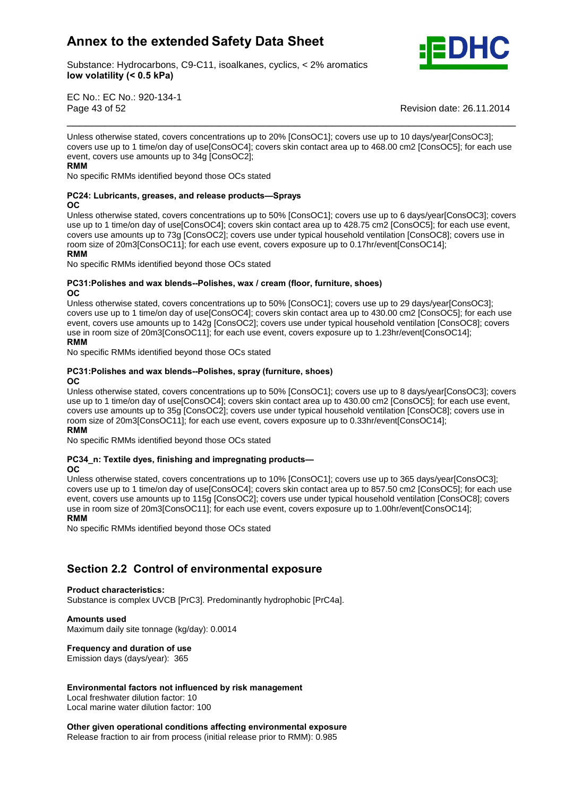

Substance: Hydrocarbons, C9-C11, isoalkanes, cyclics, < 2% aromatics **volatility (< 0.5 kPa)**

EC No.: EC No.: 920-134-1 Page 43 of 52 Revision date: 26.11.2014

Unless otherwise stated, covers concentrations up to 20% [ConsOC1]; covers use up to 10 days/year[ConsOC3]; covers use up to 1 time/on day of use[ConsOC4]; covers skin contact area up to 468.00 cm2 [ConsOC5]; for each use event, covers use amounts up to 34g [ConsOC2]; **RMM** 

\_\_\_\_\_\_\_\_\_\_\_\_\_\_\_\_\_\_\_\_\_\_\_\_\_\_\_\_\_\_\_\_\_\_\_\_\_\_\_\_\_\_\_\_\_\_\_\_\_\_\_\_\_\_\_\_\_\_\_\_\_\_\_\_\_\_\_\_\_\_\_

No specific RMMs identified beyond those OCs stated<br>**PC24: Lubricants, greases, and release products—Sprays OC**

### OC.

Unless otherwise stated, covers concentrations up to 50% [ConsOC1]; covers use up to 6 days/year[ConsOC3]; covers use up to 1 time/on day of use[ConsOC4]; covers skin contact area up to 428.75 cm2 [ConsOC5]; for each use event, covers use amounts up to 73g [ConsOC2]; covers use under typical household ventilation [ConsOC8]; covers use in **RMM**room size of 20m3[ConsOC11]; for each use event, covers exposure up to 0.17hr/event[ConsOC14]; **RMM** 

where the collect term in the sector of the sector stated **No**specific RMMs identified beyond those OCs stated **OC**

### **and wax blends--Polishes, wax / cream (floor, furniture, shoes)**  $OC$

Unless otherwise stated, covers concentrations up to 50% [ConsOC1]; covers use up to 29 days/year[ConsOC3]; covers use up to 1 time/on day of use[ConsOC4]; covers skin contact area up to 430.00 cm2 [ConsOC5]; for each use event, covers use amounts up to 142g [ConsOC2]; covers use under typical household ventilation [ConsOC8]; covers<br>RMM And The Second Ventilation of the Second Ventilation of the Second Ventilation [ConsOC8]; covers use in room size of 20m3[ConsOC11]; for each use event, covers exposure up to 1.23hr/event[ConsOC14]; **RMM** 

. .......<br>No specific RMMs identified beyond those OCs stated **OC**

### **and wax blends--Polishes, spray (furniture, shoes) OC**

Unless otherwise stated, covers concentrations up to 50% [ConsOC1]; covers use up to 8 days/year[ConsOC3]; covers use up to 1 time/on day of use[ConsOC4]; covers skin contact area up to 430.00 cm2 [ConsOC5]; for each use event, covers use amounts up to 35g [ConsOC2]; covers use under typical household ventilation [ConsOC8]; covers use in **RMM**room size of 20m3[ConsOC11]; for each use event, covers exposure up to 0.33hr/event[ConsOC14];

. .......<br>No specific RMMs identified beyond those OCs stated **OC**

### **PC34\_n: Textile dyes, finishing and impregnating products-**

### OC.

Unless otherwise stated, covers concentrations up to 10% [ConsOC1]; covers use up to 365 days/year[ConsOC3]; covers use up to 1 time/on day of use[ConsOC4]; covers skin contact area up to 857.50 cm2 [ConsOC5]; for each use event, covers use amounts up to 115g [ConsOC2]; covers use under typical household ventilation [ConsOC8]; covers<br>RMM And The Second Ventilation of the Second Ventilation of the Second Ventilation [ConsOC8]; covers use in room size of 20m3[ConsOC11]; for each use event, covers exposure up to 1.00hr/event[ConsOC14]; **RMM** 

No specific RMMs identified beyond those OCs stated

# **2.2 Control of environmental exposure Product characteristics:**

Substance is complex UVCB [PrC3]. Predominantly hydrophobic [PrC4a]. **Amounts used**

Maximum daily site tonnage (kg/day): 0.0014 **Frequency and duration of use**

Emission days (days/year): 365

### **factors not influenced by risk management**

Local freshwater dilution factor: 10 Local marine water dilution factor: 100 **Other**

 **given operational conditions affecting environmental exposure** Release fraction to air from process (initial release prior to RMM): 0.985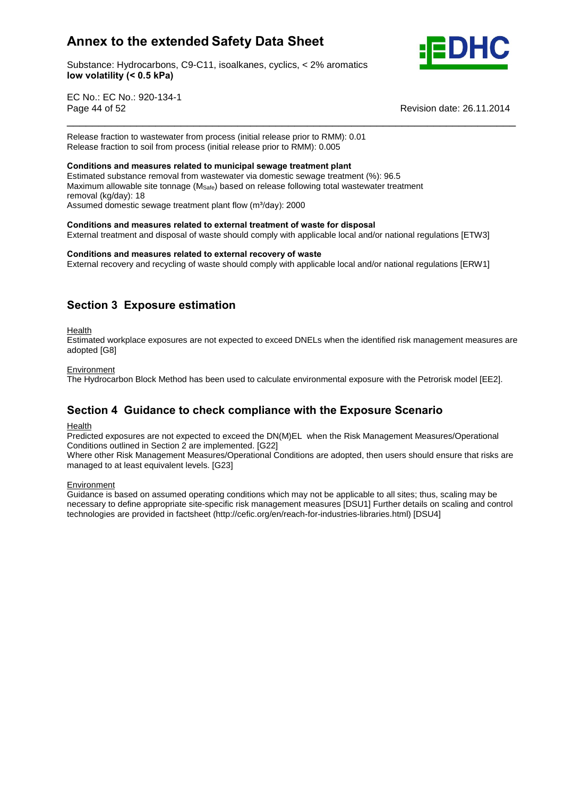

Substance: Hydrocarbons, C9-C11, isoalkanes, cyclics, < 2% aromatics **volatility (< 0.5 kPa)**

EC No.: EC No.: 920-134-1 Page 44 of 52 Revision date: 26.11.2014

Release fraction to wastewater from process (initial release prior to RMM): 0.01 Release fraction to soil from process (initial release prior to RMM): 0.005 **Conditions and measures related to municipal sewage treatment plant**

Estimated substance removal from wastewater via domestic sewage treatment (%): 96.5 Maximum allowable site tonnage (M<sub>Safe</sub>) based on release following total wastewater treatment<br>removal (kg/day): 18<br>Assumed domestic sewage treatment plant flow (m<sup>3</sup>/day): 2000 removal (kg/day): 18

Assumed domestic sewage treatment plant flow (m<sup>3</sup>/day): 2000

### **and measures related to external treatment of waste for disposal**

External treatment and disposal of waste should comply with applicable local and/or national regulations [ETW3]<br>Conditions and measures related to external recovery of waste

\_\_\_\_\_\_\_\_\_\_\_\_\_\_\_\_\_\_\_\_\_\_\_\_\_\_\_\_\_\_\_\_\_\_\_\_\_\_\_\_\_\_\_\_\_\_\_\_\_\_\_\_\_\_\_\_\_\_\_\_\_\_\_\_\_\_\_\_\_\_\_

External recovery and recycling of waste should comply with applicable local and/or national regulations [ERW1]

### **<sup>3</sup> Exposure estimation**

**Health** 

Estimated workplace exposures are not expected to exceed DNELs when the identified risk management measures are adopted [G8]

### Environment

The Hydrocarbon Block Method has been used to calculate environmental exposure with the Petrorisk model [EE2].<br>**Section 4 Guidance to check compliance with the Exposure Scenario** 

### Health

Predicted exposures are not expected to exceed the DN(M)EL when the Risk Management Measures/Operational Conditions outlined in Section 2 are implemented. [G22]

Where other Risk Management Measures/Operational Conditions are adopted, then users should ensure that risks are managed to at least equivalent levels. [G23]

**Environment** 

Guidance is based on assumed operating conditions which may not be applicable to all sites; thus, scaling may be necessary to define appropriate site-specific risk management measures [DSU1] Further details on scaling and control technologies are provided in factsheet (http://cefic.org/en/reach-for-industries-libraries.html) [DSU4]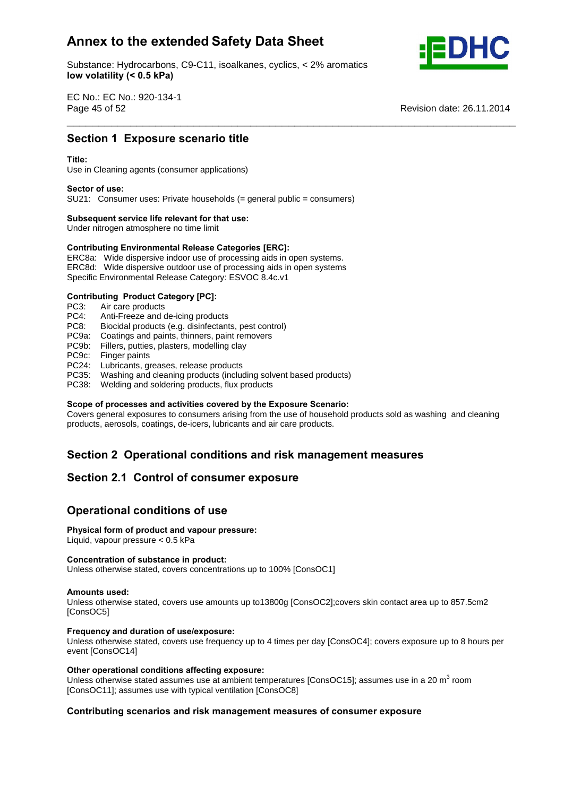Substance: Hydrocarbons, C9-C11, isoalkanes, cyclics, < 2% aromatics **volatility (< 0.5 kPa)**



EC No.: EC No.: 920-134-1 Page 45 of 52 Revision date: 26.11.2014 \_\_\_\_\_\_\_\_\_\_\_\_\_\_\_\_\_\_\_\_\_\_\_\_\_\_\_\_\_\_\_\_\_\_\_\_\_\_\_\_\_\_\_\_\_\_\_\_\_\_\_\_\_\_\_\_\_\_\_\_\_\_\_\_\_\_\_\_\_\_\_ **Section**

# **<sup>1</sup> Exposure scenario title Title:**

### Title<sup>.</sup>

Use in Cleaning agents (consumer applications) **Sector of use:**

SU21: Consumer uses: Private households (= general public = consumers) **Subsequent service life relevant for that use:**

Under nitrogen atmosphere no time limit

# **Subsequent service life relevant for that use:**<br>
Under nitrogen atmosphere no time limit<br>
Contributing Environmental Release Categories [ERC]:

ERC8a: Wide dispersive indoor use of processing aids in open systems. ERC8d: Wide dispersive outdoor use of processing aids in open systems Specific Environmental Release Category: ESVOC 8.4c.v1 **Contributing Product Category [PC]:**

- PC3: Air care products
- PC4: Anti-Freeze and de-icing products
- PC8: Biocidal products (e.g. disinfectants, pest control)
- PC9a: Coatings and paints, thinners, paint removers
- PC9b: Fillers, putties, plasters, modelling clay
- PC9c: Finger paints
- PC24: Lubricants, greases, release products
- PC35: Washing and cleaning products (including solvent based products)
- PC38: Welding and soldering products, flux products **Scope**

### **of processes and activities covered by the Exposure Scenario:**

Covers general exposures to consumers arising from the use of household products sold as washing and cleaning products, aerosols, coatings, de-icers, lubricants and air care products.

# **<sup>2</sup> Operational conditions and risk management measures Section 2.1 Control of consumer exposure**

# Section 2.1 Control of consumer expo<br>Operational conditions of use

## **Physical form of product and vapour pressure:**

## **Physical form of product and vapour pressure:**<br>Liquid, vapour pressure < 0.5 kPa<br>Concentration of substance in product:

Liquid, vapour pressure < 0.5 kPa **Concentration**

Unless otherwise stated, covers concentrations up to 100% [ConsOC1] **Amounts used:**

Unless otherwise stated, covers use amounts up to13800g [ConsOC2];covers skin contact area up to 857.5cm2 [ConsOC5] **Frequency**

### **and duration of use/exposure:**

Unless otherwise stated, covers use frequency up to 4 times per day [ConsOC4]; covers exposure up to 8 hours per event [ConsOC14]

### **operational conditions affecting exposure:**

Unless otherwise stated assumes use at ambient temperatures [ConsOC15]; assumes use in a 20 m<sup>3</sup> room Express of the wise stated assumes use at ambient temperatures [OnsOC11]; assumes use with typical ventilation [ConsOC8]

### **scenarios and risk management measures of consumer exposure**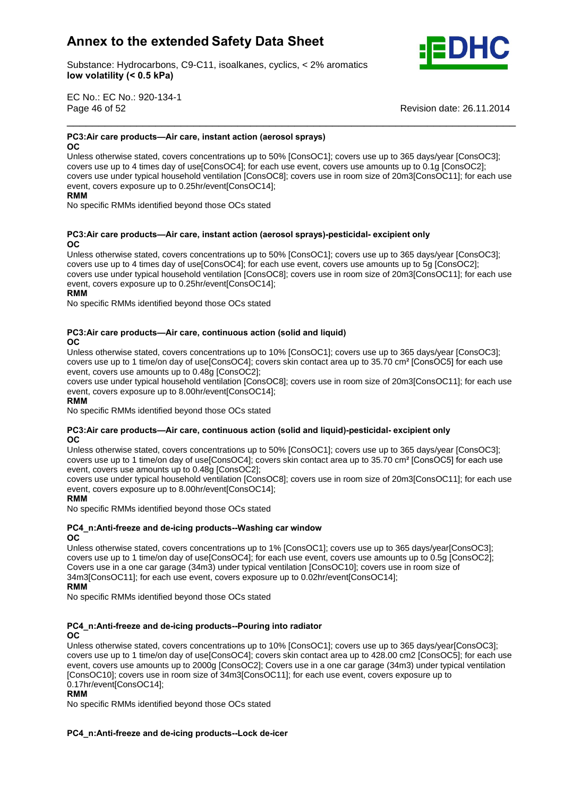

Substance: Hydrocarbons, C9-C11, isoalkanes, cyclics, < 2% aromatics **volatility (< 0.5 kPa)**

EC No.: EC No.: 920-134-1 Page 46 of 52

Revision date: 26.11.2014

### **PC3:Air care products—Air care, instant action (aerosol sprays)**

### **OC**

——

Unless otherwise stated, covers concentrations up to 50% [ConsOC1]; covers use up to 365 days/year [ConsOC3]; covers use up to 4 times day of use[ConsOC4]; for each use event, covers use amounts up to 0.1g [ConsOC2]; covers use under typical household ventilation [ConsOC8]; covers use in room size of 20m3[ConsOC11]; for each use event, covers exposure up to 0.25hr/event[ConsOC14];

\_\_\_\_\_\_\_\_\_\_\_\_\_\_\_\_\_\_\_\_\_\_\_\_\_\_\_\_\_\_\_\_\_\_\_\_\_\_\_\_\_\_\_\_\_\_\_\_\_\_\_\_\_\_\_\_\_\_\_\_\_\_\_\_\_\_\_\_\_\_\_

### **RMM**

No specific RMMs identified beyond those OCs stated

### **PC3:Air care products—Air care, instant action (aerosol sprays)-pesticidal- excipient only**  $OC$

Unless otherwise stated, covers concentrations up to 50% [ConsOC1]; covers use up to 365 days/year [ConsOC3]; covers use up to 4 times day of use[ConsOC4]; for each use event, covers use amounts up to 5g [ConsOC2]; covers use under typical household ventilation [ConsOC8]; covers use in room size of 20m3[ConsOC11]; for each use<br>
Reflection of 20m3[ConsOC11]; for each use event, covers exposure up to 0.25hr/event[ConsOC14];

### **RMM**

No specific RMMs identified beyond those OCs stated

### **example 2 c**are **products—Air** care, **continuous** action (solid and liquid)

Unless otherwise stated, covers concentrations up to 10% [ConsOC1]; covers use up to 365 days/year [ConsOC3]; OC<br>Unless otherwise stated, covers concentrations up to 10% [ConsOC1]; covers use up to 365 days/year [ConsOC3];<br>covers use up to 1 time/on day of use[ConsOC4]; covers skin contact area up to 35.70 cm<sup>2</sup> [ConsOC5] for each event, covers use amounts up to 0.48g [ConsOC2];

covers use under typical household ventilation [ConsOC8]; covers use in room size of 20m3[ConsOC11]; for each use event, covers exposure up to 8.00hr/event[ConsOC14];

### **RMM**

where the control of the stated beyond those OCs stated

### **PC3:Air care products—Air care, continuous action (solid and liquid)-pesticidal-excipient only**

Unless otherwise stated, covers concentrations up to 50% [ConsOC1]; covers use up to 365 days/year [ConsOC3]; OC<br>Unless otherwise stated, covers concentrations up to 50% [ConsOC1]; covers use up to 365 days/year [ConsOC3];<br>covers use up to 1 time/on day of use[ConsOC4]; covers skin contact area up to 35.70 cm² [ConsOC5] for each u event, covers use amounts up to 0.48g [ConsOC2];

covers use under typical household ventilation [ConsOC8]; covers use in room size of 20m3[ConsOC11]; for each use event, covers exposure up to 8.00hr/event[ConsOC14];

### **RMM**

. .......<br>No specific RMMs identified beyond those OCs stated

### **PC4** n:Anti-freeze and de-icing products--Washing car window  $OC$

Unless otherwise stated, covers concentrations up to 1% [ConsOC1]; covers use up to 365 days/year[ConsOC3]; covers use up to 1 time/on day of use[ConsOC4]; for each use event, covers use amounts up to 0.5g [ConsOC2]; covers use in a one car garage (34m3) under typical ventilation [ConsOC10]; covers use in room size of 34m3[ConsOC11]; for each use event, covers exposure up to 0.02hr/event[ConsOC14]; **RMM** 

No specific RMMs identified beyond those OCs stated

### **and de-icing products--Pouring into radiator**

### OC.

Unless otherwise stated, covers concentrations up to 10% [ConsOC1]; covers use up to 365 days/year[ConsOC3]; covers use up to 1 time/on day of use[ConsOC4]; covers skin contact area up to 428.00 cm2 [ConsOC5]; for each use event, covers use amounts up to 2000g [ConsOC2]; Covers use in a one cargarage (34m3) under typical ventilation crons occidence and allowing up to **Ecousy [concoced]**, correct use in a city can symbol of the change (component continuously produced in the constant). [ConsOC10]; covers use in room size of 34m3[ConsOC11]; for each use 0.17hr/event[ConsOC14];

### **RMM**

No specific RMMs identified beyond those OCs stated

### **and de-icing products--Lock de-icer**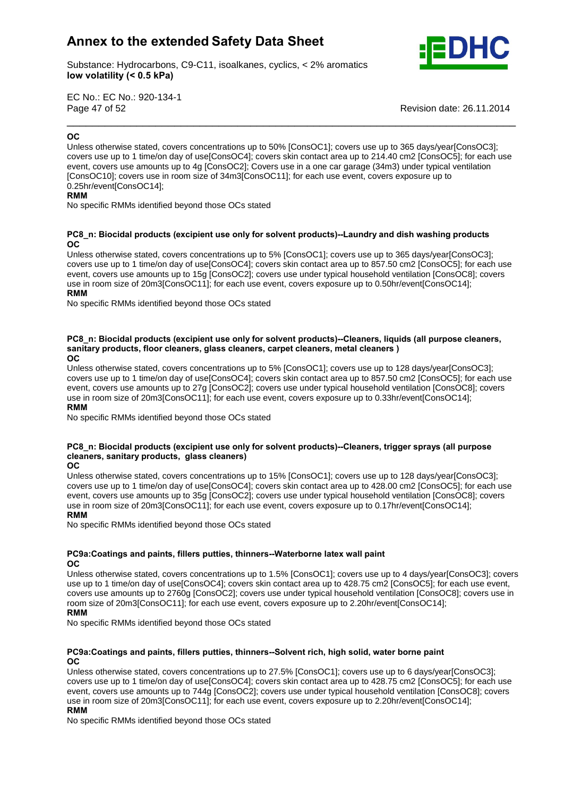

Substance: Hydrocarbons, C9-C11, isoalkanes, cyclics, < 2% aromatics **volatility (< 0.5 kPa)**

EC No.: EC No.: 920-134-1 Page 47 of 52 Revision date: 26.11.2014 \_\_\_\_\_\_\_\_\_\_\_\_\_\_\_\_\_\_\_\_\_\_\_\_\_\_\_\_\_\_\_\_\_\_\_\_\_\_\_\_\_\_\_\_\_\_\_\_\_\_\_\_\_\_\_\_\_\_\_\_\_\_\_\_\_\_\_\_\_\_\_ **OC**

### $OC$

Unless otherwise stated, covers concentrations up to 50% [ConsOC1]; covers use up to 365 days/year[ConsOC3]; covers use up to 1 time/on day of use[ConsOC4]; covers skin contact area up to 214.40 cm2 [ConsOC5]; for each use event, covers use amounts up to 4g [ConsOC2]; Covers use in a one cargarage (34m3) under typical ventilation From, corrector and annuality of the state of 34m3[ConsOC11]; for each use event, covers exposure up to **RMM** ConsOC10]; covers use in room size of 34m3[ConsOC11]; for each use event, covers exposure up to 0.25hr/event[ConsOC14];

### **RMM**

No specific RMMs identified beyond those OCs stated

### **Biocidal products (excipient use only for solvent products)--Laundry and dish washing products OC**

Unless otherwise stated, covers concentrations up to 5% [ConsOC1]; covers use up to 365 days/year[ConsOC3]; covers use up to 1 time/on day of use[ConsOC4]; covers skin contact area up to 857.50 cm2 [ConsOC5]; for each use event, covers use amounts up to 15g [ConsOC2]; covers use under typical household ventilation [ConsOC8]; covers<br>RMM, covers use amounts up to 15g [ConsOC2]; covers use under typical household ventilation [ConsOC8]; covers use in room size of 20m3[ConsOC11]; for each use event, covers exposure up to 0.50hr/event[ConsOC14];

### **RMM**

No specific RMMs identified beyond those OCs stated

### **Biocidal products (excipient use only for solvent products)--Cleaners, liquids (all purpose cleaners, sanitary**Biocidal products (excipient use only for solvent products)--Cleaners, liquids (all<br>products, floor cleaners, glass cleaners, carpet cleaners, metal cleaners ) **OCOC**

Unless otherwise stated, covers concentrations up to 5% [ConsOC1]; covers use up to 128 days/year[ConsOC3]; covers use up to 1 time/on day of use[ConsOC4]; covers skin contact area up to 857.50 cm2 [ConsOC5]; for each use event, covers use amounts up to 27g [ConsOC2]; covers use under typical household ventilation [ConsOC8]; covers<br>**RMM**, covers use amounts up to 27g [ConsOC2]; covers use under typical household ventilation [ConsOC8]; cover use in room size of 20m3[ConsOC11]; for each use event, covers exposure up to 0.33hr/event[ConsOC14]; **RMM** 

No specific RMMs identified beyond those OCs stated

### **Biocidal products (excipient use only for solvent products)--Cleaners, trigger sprays (all purpose sanitary products, glass cleaners) OC**

**OC** 

Unless otherwise stated, covers concentrations up to 15% [ConsOC1]; covers use up to 128 days/year[ConsOC3]; covers use up to 1 time/on day of use[ConsOC4]; covers skin contact area up to 428.00 cm2 [ConsOC5]; for each use event, covers use amounts up to 35g [ConsOC2]; covers use under typical household ventilation [ConsOC8]; covers use in room size of 20m3[ConsOC11]; for each use event, covers exposure up to 0.17hr/event[ConsOC14]; **RMM** 

No specific RMMs identified beyond those OCs stated

### **and paints, fillers putties, thinners--Waterborne latex wall paint** OC.

Unless otherwise stated, covers concentrations up to 1.5% [ConsOC1]; covers use up to 4 days/year[ConsOC3]; covers use up to 1 time/on day of use[ConsOC4]; covers skin contact area up to 428.75 cm2 [ConsOC5]; for each use event, covers use amounts up to 2760g [ConsOC2]; covers use under typical household ventilation [ConsOC8]; covers use in **RMM**room size of 20m3[ConsOC11]; for each use event, covers exposure up to 2.20hr/event[ConsOC14]; **RMM** 

No specific RMMs identified beyond those OCs stated

### **and paints, fillers putties, thinners--Solvent rich, high solid, water borne paint** OC.

Unless otherwise stated, covers concentrations up to 27.5% [ConsOC1]; covers use up to 6 days/year[ConsOC3]; covers use up to 1 time/on day of use[ConsOC4]; covers skin contact area up to 428.75 cm2 [ConsOC5]; for each use event, covers use amounts up to 744g [ConsOC2]; covers use under typical household ventilation [ConsOC8]; covers<br>RMM And The Second Ventilation of the Second Ventilation of the Second Ventilation [ConsOC8]; covers use in room size of 20m3[ConsOC11]; for each use event, covers exposure up to 2.20hr/event[ConsOC14]; **RMM** 

No specific RMMs identified beyond those OCs stated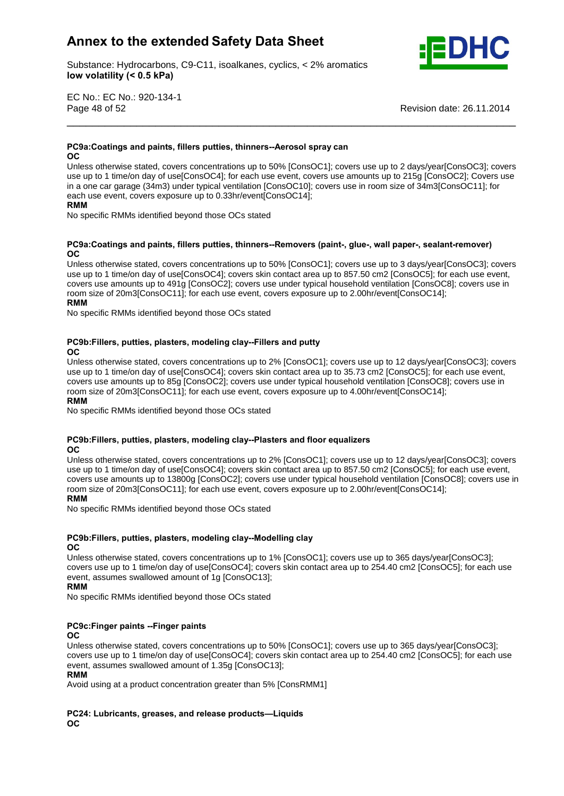Substance: Hydrocarbons, C9-C11, isoalkanes, cyclics, < 2% aromatics **volatility (< 0.5 kPa)**



EC No.: EC No.: 920-134-1 Page 48 of 52 Revision date: 26.11.2014

### **and paints, fillers putties, thinners--Aerosol spray can**

**OC** 

**PC9a:Coatings**

Unless otherwise stated, covers concentrations up to 50% [ConsOC1]; covers use up to 2 days/year[ConsOC3]; covers use up to 1 time/on day of use[ConsOC4]; for each use event, covers use amounts up to 215g [ConsOC2]; Covers use in a one cargarage (34m3) under typical ventilation [ConsOC10]; covers use in room sizeof 34m3[ConsOC11]; for **RMM**each use event, covers exposure up to 0.33hr/event[ConsOC14];

\_\_\_\_\_\_\_\_\_\_\_\_\_\_\_\_\_\_\_\_\_\_\_\_\_\_\_\_\_\_\_\_\_\_\_\_\_\_\_\_\_\_\_\_\_\_\_\_\_\_\_\_\_\_\_\_\_\_\_\_\_\_\_\_\_\_\_\_\_\_\_

### **RMM**

No specific RMMs identified beyond those OCs stated

### **and paints, fillers putties, thinners--Removers (paint-, glue-, wall paper-, sealant-remover)** OC.

Unless otherwise stated, covers concentrations up to 50% [ConsOC1]; covers use up to 3 days/year[ConsOC3]; covers use up to 1 time/on day of use[ConsOC4]; covers skin contact area up to 857.50 cm2 [ConsOC5]; for each use event, covers use amounts up to 491g [ConsOC2]; covers use under typical household ventilation [ConsOC8]; covers use in **RMM**room size of 20m3[ConsOC11]; for each use event, covers exposure up to 2.00hr/event[ConsOC14];<br>RMM

No specific RMMs identified beyond those OCs stated

### **putties, plasters, modeling clay--Fillers and putty OC**

Unless otherwise stated, covers concentrations up to 2% [ConsOC1]; covers use up to 12 days/year[ConsOC3]; covers use up to 1 time/on day of use[ConsOC4]; covers skin contact area up to 35.73 cm2 [ConsOC5]; for each use event, covers use amounts up to 85g [ConsOC2]; covers use under typical household ventilation [ConsOC8]; covers use in **RMM**room size of 20m3[ConsOC11]; for each use event, covers exposure up to 4.00hr/event[ConsOC14]; **RMM** 

No specific RMMs identified beyond those OCs stated

### **putties, plasters, modeling clay--Plasters and floor equalizers** OC.

Unless otherwise stated, covers concentrations up to 2% [ConsOC1]; covers use up to 12 days/year[ConsOC3]; covers use up to 1 time/on day of use[ConsOC4]; covers skin contact area up to 857.50 cm2 [ConsOC5]; for each use event, covers use amounts up to 13800g [ConsOC2]; covers use under typical household ventilation [ConsOC8]; covers use in **RMM**room size of 20m3[ConsOC11]; for each use event, covers exposure up to 2.00hr/event[ConsOC14]; **RMM** 

No specific RMMs identified beyond those OCs stated

### **pC9b:Fillers, putties, plasters, modeling clay--Modelling clay**

**OC** 

Unless otherwise stated, covers concentrations up to 1% [ConsOC1]; covers use up to 365 days/year[ConsOC3]; covers use up to 1 time/on day of use[ConsOC4]; covers skin contact area up to 254.40 cm2 [ConsOC5]; for each use event, assumes swallowed amount of 1g [ConsOC13];

### **RMM**

No specific RMMs identified beyond those OCs stated

### **PC9c:Finger paints --Finger paints**

OC.

Unless otherwise stated, covers concentrations up to 50% [ConsOC1]; covers use up to 365 days/year[ConsOC3]; covers use up to 1 time/on day of use[ConsOC4]; covers skin contact area up to 254.40 cm2 [ConsOC5]; for each use<br>**Reports** event, assumes swallowed amount of 1.35g [ConsOC13];

### **RMM**

Avoid using at a product concentration greater than 5% [ConsRMM1]<br>**Parage of a state of a state of a state of a state of a state of a state of a state of a state of a state of a** 

**PC24: Lubricants, greases, and release products—Liquids OC**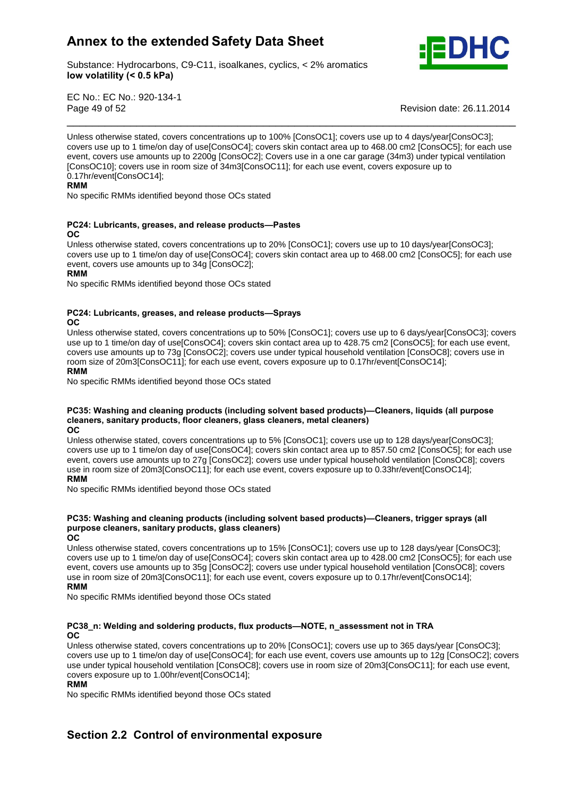

Substance: Hydrocarbons, C9-C11, isoalkanes, cyclics, < 2% aromatics **volatility (< 0.5 kPa)**

EC No.: EC No.: 920-134-1 Page 49 of 52 Revision date: 26.11.2014

Unless otherwise stated, covers concentrations up to 100% [ConsOC1]; covers use up to 4 days/year[ConsOC3]; covers use up to 1 time/on day of use[ConsOC4]; covers skin contact area up to 468.00 cm2 [ConsOC5]; for each use event, covers use amounts up to 2200g [ConsOC2]; Covers use in a one cargarage (34m3) under typical ventilation crons occidence and allowing up to **Elect of 34m3[ConsOC11]**; for each use event, covers exposure up to **Representation** Consocial School and Tennis and Tennis and Tennis and Tennis and Tennis and Tennis and Tennis and Ten 0.17hr/event[ConsOC14];

\_\_\_\_\_\_\_\_\_\_\_\_\_\_\_\_\_\_\_\_\_\_\_\_\_\_\_\_\_\_\_\_\_\_\_\_\_\_\_\_\_\_\_\_\_\_\_\_\_\_\_\_\_\_\_\_\_\_\_\_\_\_\_\_\_\_\_\_\_\_\_

### **RMM**

No specific RMMs identified beyond those OCs stated

### **PC24: Lubricants, greases, and release products-Pastes** OC.

Unless otherwise stated, covers concentrations up to 20% [ConsOC1]; covers use up to 10 days/year[ConsOC3]; covers use up to 1 time/on day of use[ConsOC4]; covers skin contact area up to 468.00 cm2 [ConsOC5]; for each use event, covers use amounts up to 34g [ConsOC2];<br>RMM

No specific RMMs identified beyond those OCs stated

### **PC24: Lubricants, greases, and release products–Sprays**

OC.

Unless otherwise stated, covers concentrations up to 50% [ConsOC1]; covers use up to 6 days/year[ConsOC3]; covers use up to 1 time/on day of use[ConsOC4]; covers skin contact area up to 428.75 cm2 [ConsOC5]; for each use event, covers use amounts up to 73g [ConsOC2]; covers use under typical household ventilation [ConsOC8]; covers use in **RMM**room size of 20m3[ConsOC11]; for each use event, covers exposure up to 0.17hr/event[ConsOC14];

### **RMM**

No specific RMMs identified beyond those OCs stated

### **Washing and cleaning products (including solvent based products)óCleaners, liquids (all purpose** shing and cleaning products (including solvent based products)—Clea<br>Sanitary products, floor cleaners, glass cleaners, metal cleaners) **OCOC**

Unless otherwise stated, covers concentrations up to 5% [ConsOC1]; covers use up to 128 days/year[ConsOC3]; covers use up to 1 time/on day of use[ConsOC4]; covers skin contact area up to 857.50 cm2 [ConsOC5]; for each use event, covers use amounts up to 27g [ConsOC2]; covers use under typical household ventilation [ConsOC8]; covers use in room size of 20m3[ConsOC11]; for each use event, covers exposure up to 0.33hr/event[ConsOC14]; **RMM** 

No specific RMMs identified beyond those OCs stated

### **Washing and cleaning products (including solvent based products)óCleaners, trigger sprays (all c**<br>ashing and cleaning products (including solvent l<br>cleaners, sanitary products, glass cleaners) **OC** $\overline{OC}$

Unless otherwise stated, covers concentrations up to 15% [ConsOC1]; covers use up to 128 days/year [ConsOC3]; covers use up to 1 time/on day of use[ConsOC4]; covers skin contact area up to 428.00 cm2 [ConsOC5]; for each use event, covers use amounts up to 35g [ConsOC2]; covers use under typical household ventilation [ConsOC8]; covers<br>RMM And The Second Ventilation of the Second Ventilation of the Second Ventilation [ConsOC8]; covers use in room size of 20m3[ConsOC11]; for each use event, covers exposure up to 0.17hr/event[ConsOC14];

### **RMM**

No specific RMMs identified beyond those OCs stated

### **Welding and soldering products, flux productsóNOTE, n\_assessment not in TRA** OC.

Unless otherwise stated, covers concentrations up to 20% [ConsOC1]; covers use up to 365 days/year [ConsOC3]; covers use up to 1 time/on day of use[ConsOC4]; for each use event, covers use amounts up to 12g [ConsOC2]; covers use under typical household ventilation [ConsOC8]; covers use in room sizeof 20m3[ConsOC11]; for each use event, **RMM**covers exposure up to 1.00hr/event[ConsOC14];

### **RMM**

No specific RMMs identified beyond those OCs stated

### **2.2 Control of environmental exposure**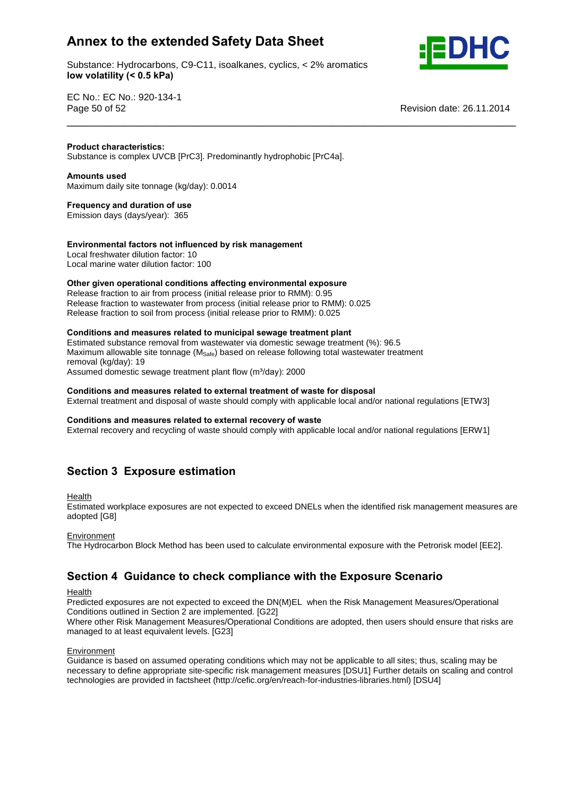Substance: Hydrocarbons, C9-C11, isoalkanes, cyclics, < 2% aromatics **volatility (< 0.5 kPa)**



EC No.: EC No.: 920-134-1 Page 50 of 52 Revision date: 26.11.2014

### **Product characteristics:**

Substance is complex UVCB [PrC3]. Predominantly hydrophobic [PrC4a]. **Amounts used**

**Product**

Maximum daily site tonnage (kg/day): 0.0014 **Frequency and duration of use**

Emission days (days/year): 365

### **factors not influenced by risk management**

Local freshwater dilution factor: 10 Local marine water dilution factor: 100

### **given operational conditions affecting environmental exposure**

Release fraction to air from process (initial release prior to RMM): 0.95 Release fraction to wastewater from process (initial release prior to RMM): 0.025 Release fraction to soil from process (initial release prior to RMM): 0.025 **Conditions and measures related to municipal sewage treatment plant**

Estimated substance removal from wastewater via domestic sewage treatment (%): 96.5 Maximum allowable site tonnage (M<sub>Safe</sub>) based on release following total wastewater treatment<br>removal (kg/day): 19<br>Assumed domestic sewage treatment plant flow (m<sup>3</sup>/day): 2000 removal (kg/day): 19

Assumed domestic sewage treatment plant flow (m<sup>3</sup>/day): 2000

### **and measures related to external treatment of waste for disposal**

External treatment and disposal of waste should comply with applicable local and/or national regulations [ETW3]<br>Conditions and measures related to external recovery of waste

\_\_\_\_\_\_\_\_\_\_\_\_\_\_\_\_\_\_\_\_\_\_\_\_\_\_\_\_\_\_\_\_\_\_\_\_\_\_\_\_\_\_\_\_\_\_\_\_\_\_\_\_\_\_\_\_\_\_\_\_\_\_\_\_\_\_\_\_\_\_\_

External recovery and recycling of waste should comply with applicable local and/or national regulations [ERW1]

### **<sup>3</sup> Exposure estimation**

Health

Estimated workplace exposures are not expected to exceed DNELs when the identified risk management measures are adopted [G8]

### Environment

The Hydrocarbon Block Method has been used to calculate environmental exposure with the Petrorisk model [EE2].<br>**Section 4 Guidance to check compliance with the Exposure Scenario** 

**Health** 

Predicted exposures are not expected to exceed the DN(M)EL when the Risk Management Measures/Operational Conditions outlined in Section 2 are implemented. [G22]

Where other Risk Management Measures/Operational Conditions are adopted, then users should ensure that risks are managed to at least equivalent levels. [G23]

### Environment

Guidance is based on assumed operating conditions which may not be applicable to all sites; thus, scaling may be necessary to define appropriate site-specific risk management measures [DSU1] Further details on scaling and control technologies are provided in factsheet (http://cefic.org/en/reach-for-industries-libraries.html) [DSU4]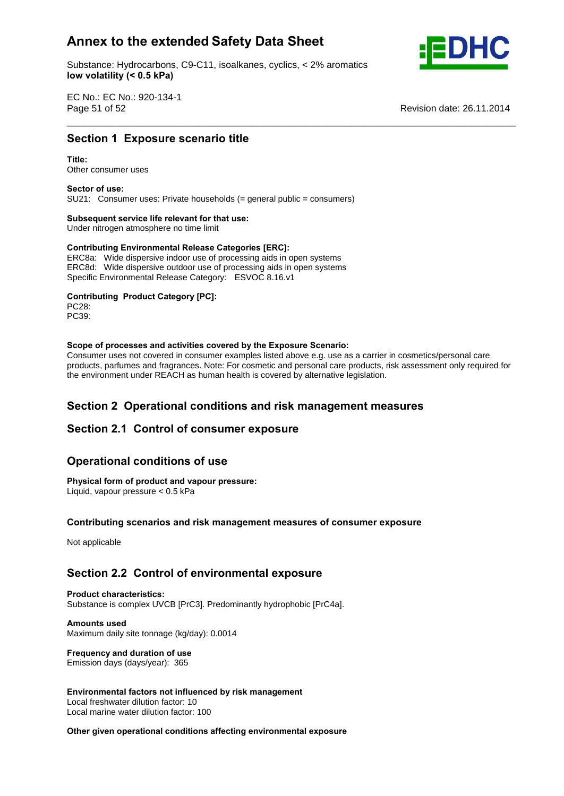Substance: Hydrocarbons, C9-C11, isoalkanes, cyclics, < 2% aromatics **volatility (< 0.5 kPa)**



EC No.: EC No.: 920-134-1 Page 51 of 52 Revision date: 26.11.2014 \_\_\_\_\_\_\_\_\_\_\_\_\_\_\_\_\_\_\_\_\_\_\_\_\_\_\_\_\_\_\_\_\_\_\_\_\_\_\_\_\_\_\_\_\_\_\_\_\_\_\_\_\_\_\_\_\_\_\_\_\_\_\_\_\_\_\_\_\_\_\_ **Section**

# **<sup>1</sup> Exposure scenario title Title:**

Other consumer uses **Sector of use:**

SU21: Consumer uses: Private households (= general public = consumers) **Subsequent service life relevant for that use:**

# **Subsequent service life relevant for that use:**<br>
Under nitrogen atmosphere no time limit<br>
Contributing Environmental Release Categories [ERC]:

Under nitrogen atmosphere no time limit

ERC8a: Wide dispersive indoor use of processing aids in open systems ERC8d: Wide dispersive outdoor use of processing aids in open systems Specific Environmental Release Category: ESVOC 8.16.v1 **Contributing Product Category [PC]:**

PC28: PC39: **Scope**

### **of processes and activities covered by the Exposure Scenario:**

Consumer uses not covered in consumer examples listed above e.g. use as a carrier in cosmetics/personal care products, parfumes and fragrances. Note: For cosmetic and personal care products, risk assessment only required for the environment under REACH as human health is covered by alternative legislation.

# **<sup>2</sup> Operational conditions and risk management measures Section 2.1 Control of consumer exposure**

# Section 2.1 Control of consumer expo<br>Operational conditions of use

## **Physical form of product and vapour pressure:**

Liquid, vapour pressure < 0.5 kPa **Contributing**

### **scenarios and risk management measures of consumer exposure**

Not applicable

# **2.2 Control of environmental exposure Product characteristics:**

Substance is complex UVCB [PrC3]. Predominantly hydrophobic [PrC4a]. **Amounts used**

Maximum daily site tonnage (kg/day): 0.0014 **Frequency and duration of use**

## Emission days (days/year): 365

 **factors not influenced by risk management** Local freshwater dilution factor: 10 Local marine water dilution factor: 100 **Other**

### **given operational conditions affecting environmental exposure**